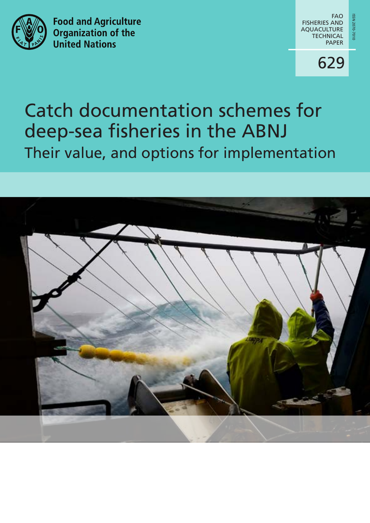

**Food and Agriculture** Organization of the **United Nations** 



ISSN 2070-7010

**SSN 2070-7010** 

629

# Catch documentation schemes for deep-sea fisheries in the ABNJ Their value, and options for implementation

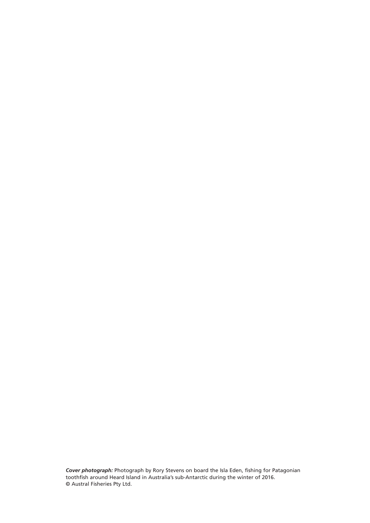*Cover photograph:* Photograph by Rory Stevens on board the Isla Eden, fishing for Patagonian toothfish around Heard Island in Australia's sub-Antarctic during the winter of 2016. © Austral Fisheries Pty Ltd.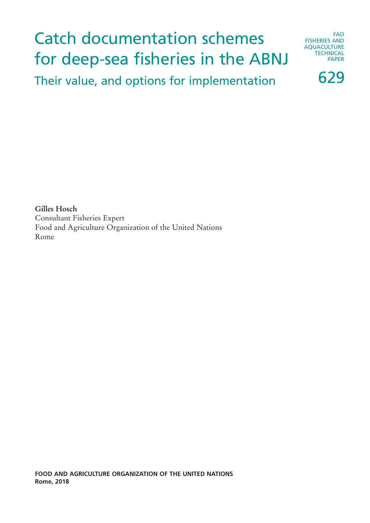# Catch documentation schemes for deep-sea fisheries in the ABNJ

FAO FISHERIES AND AQUACULTURE **TECHNICAL** PAPER

629

Their value, and options for implementation

**Gilles Hosch** Consultant Fisheries Expert Food and Agriculture Organization of the United Nations Rome

**FOOD AND AGRICULTURE ORGANIZATION OF THE UNITED NATIONS Rome, 2018**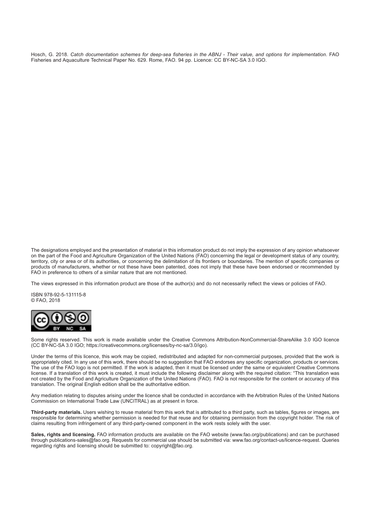Hosch, G. 2018. *Catch documentation schemes for deep-sea fisheries in the ABNJ - Their value, and options for implementation*. FAO Fisheries and Aquaculture Technical Paper No. 629. Rome, FAO. 94 pp. Licence: CC BY-NC-SA 3.0 IGO.

The designations employed and the presentation of material in this information product do not imply the expression of any opinion whatsoever on the part of the Food and Agriculture Organization of the United Nations (FAO) concerning the legal or development status of any country, territory, city or area or of its authorities, or concerning the delimitation of its frontiers or boundaries. The mention of specific companies or products of manufacturers, whether or not these have been patented, does not imply that these have been endorsed or recommended by FAO in preference to others of a similar nature that are not mentioned.

The views expressed in this information product are those of the author(s) and do not necessarily reflect the views or policies of FAO.

ISBN 978-92-5-131115-8 © FAO, 2018



Some rights reserved. This work is made available under the Creative Commons Attribution-NonCommercial-ShareAlike 3.0 IGO licence (CC BY-NC-SA 3.0 IGO; https://creativecommons.org/licenses/by-nc-sa/3.0/igo).

Under the terms of this licence, this work may be copied, redistributed and adapted for non-commercial purposes, provided that the work is appropriately cited. In any use of this work, there should be no suggestion that FAO endorses any specific organization, products or services. The use of the FAO logo is not permitted. If the work is adapted, then it must be licensed under the same or equivalent Creative Commons license. If a translation of this work is created, it must include the following disclaimer along with the required citation: "This translation was not created by the Food and Agriculture Organization of the United Nations (FAO). FAO is not responsible for the content or accuracy of this translation. The original English edition shall be the authoritative edition.

Any mediation relating to disputes arising under the licence shall be conducted in accordance with the Arbitration Rules of the United Nations Commission on International Trade Law (UNCITRAL) as at present in force.

**Third-party materials.** Users wishing to reuse material from this work that is attributed to a third party, such as tables, figures or images, are responsible for determining whether permission is needed for that reuse and for obtaining permission from the copyright holder. The risk of claims resulting from infringement of any third-party-owned component in the work rests solely with the user.

**Sales, rights and licensing.** FAO information products are available on the FAO website (www.fao.org/publications) and can be purchased through publications-sales@fao.org. Requests for commercial use should be submitted via: www.fao.org/contact-us/licence-request. Queries regarding rights and licensing should be submitted to: copyright@fao.org.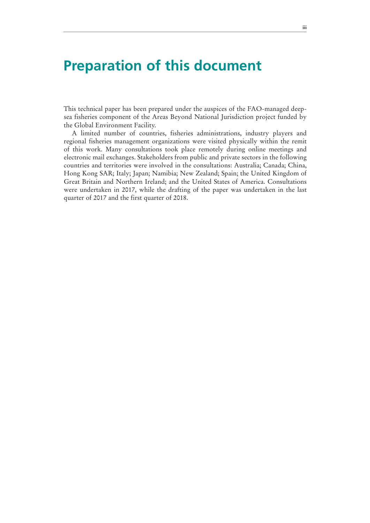# **Preparation of this document**

This technical paper has been prepared under the auspices of the FAO-managed deepsea fisheries component of the Areas Beyond National Jurisdiction project funded by the Global Environment Facility.

A limited number of countries, fisheries administrations, industry players and regional fisheries management organizations were visited physically within the remit of this work. Many consultations took place remotely during online meetings and electronic mail exchanges. Stakeholders from public and private sectors in the following countries and territories were involved in the consultations: Australia; Canada; China, Hong Kong SAR; Italy; Japan; Namibia; New Zealand; Spain; the United Kingdom of Great Britain and Northern Ireland; and the United States of America. Consultations were undertaken in 2017, while the drafting of the paper was undertaken in the last quarter of 2017 and the first quarter of 2018.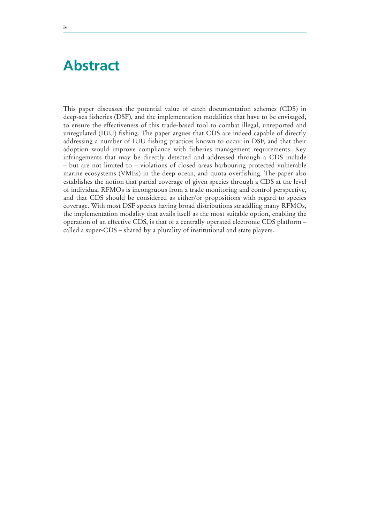### **Abstract**

This paper discusses the potential value of catch documentation schemes (CDS) in deep-sea fisheries (DSF), and the implementation modalities that have to be envisaged, to ensure the effectiveness of this trade-based tool to combat illegal, unreported and unregulated (IUU) fishing. The paper argues that CDS are indeed capable of directly addressing a number of IUU fishing practices known to occur in DSF, and that their adoption would improve compliance with fisheries management requirements. Key infringements that may be directly detected and addressed through a CDS include – but are not limited to – violations of closed areas harbouring protected vulnerable marine ecosystems (VMEs) in the deep ocean, and quota overfishing. The paper also establishes the notion that partial coverage of given species through a CDS at the level of individual RFMOs is incongruous from a trade monitoring and control perspective, and that CDS should be considered as either/or propositions with regard to species coverage. With most DSF species having broad distributions straddling many RFMOs, the implementation modality that avails itself as the most suitable option, enabling the operation of an effective CDS, is that of a centrally operated electronic CDS platform – called a super-CDS – shared by a plurality of institutional and state players.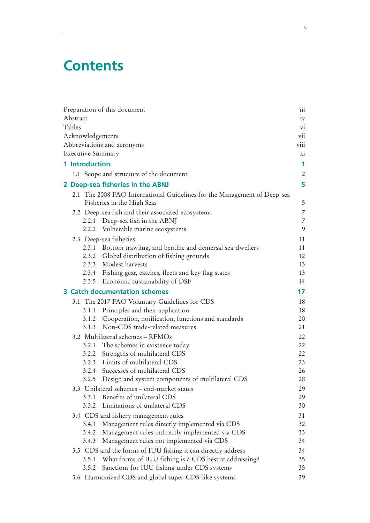# **Contents**

|          |                | Preparation of this document                                                                           | 111             |
|----------|----------------|--------------------------------------------------------------------------------------------------------|-----------------|
| Abstract |                |                                                                                                        | 1V              |
| Tables   |                |                                                                                                        | $\overline{vi}$ |
|          |                | Acknowledgements                                                                                       | V11             |
|          |                | Abbreviations and acronyms                                                                             | V111            |
|          |                | <b>Executive Summary</b>                                                                               | X1              |
|          | 1 Introduction |                                                                                                        | 1               |
|          |                | 1.1 Scope and structure of the document                                                                | $\overline{2}$  |
|          |                | 2 Deep-sea fisheries in the ABNJ                                                                       | 5               |
|          |                | 2.1 The 2008 FAO International Guidelines for the Management of Deep-sea<br>Fisheries in the High Seas | 5               |
|          |                |                                                                                                        | $\overline{7}$  |
|          | 2.2.1          | 2.2 Deep-sea fish and their associated ecosystems<br>Deep-sea fish in the ABNJ                         | $\overline{7}$  |
|          |                | 2.2.2 Vulnerable marine ecosystems                                                                     | 9               |
|          |                | 2.3 Deep-sea fisheries                                                                                 | 11              |
|          |                | 2.3.1 Bottom trawling, and benthic and demersal sea-dwellers                                           | 11              |
|          |                | 2.3.2 Global distribution of fishing grounds                                                           | 12              |
|          |                | 2.3.3 Modest harvests                                                                                  | 13              |
|          |                | 2.3.4 Fishing gear, catches, fleets and key flag states                                                | 13              |
|          |                | 2.3.5 Economic sustainability of DSF                                                                   | 14              |
|          |                | <b>3 Catch documentation schemes</b>                                                                   | 17              |
|          |                | 3.1 The 2017 FAO Voluntary Guidelines for CDS                                                          | 18              |
|          | 3.1.1          | Principles and their application                                                                       | 18              |
|          | 3.1.2          | Cooperation, notification, functions and standards                                                     | 20              |
|          | 3.1.3          | Non-CDS trade-related measures                                                                         | 21              |
|          |                | 3.2 Multilateral schemes - RFMOs                                                                       | 22              |
|          |                | 3.2.1 The schemes in existence today                                                                   | 22              |
|          |                | 3.2.2 Strengths of multilateral CDS                                                                    | 22              |
|          |                | 3.2.3 Limits of multilateral CDS                                                                       | 23              |
|          | 3.2.4          | Successes of multilateral CDS                                                                          | 26              |
|          | 3.2.5          | Design and system components of multilateral CDS                                                       | 28              |
|          |                | 3.3 Unilateral schemes - end-market states                                                             | 29              |
|          | 3.3.1          | Benefits of unilateral CDS                                                                             | 29              |
|          | 3.3.2          | Limitations of unilateral CDS                                                                          | 30              |
|          |                | 3.4 CDS and fishery management rules                                                                   | 31              |
|          | 3.4.1          | Management rules directly implemented via CDS                                                          | 32              |
|          | 3.4.2          | Management rules indirectly implemented via CDS                                                        | 33              |
|          | 3.4.3          | Management rules not implemented via CDS                                                               | 34              |
|          |                | 3.5 CDS and the forms of IUU fishing it can directly address                                           | 34              |
|          | 3.5.1          | What forms of IUU fishing is a CDS best at addressing?                                                 | 35              |
|          | 3.5.2          | Sanctions for IUU fishing under CDS systems                                                            | 35              |
|          |                | 3.6 Harmonized CDS and global super-CDS-like systems                                                   | 39              |

**v**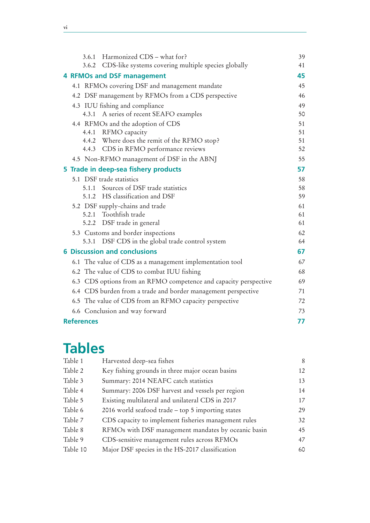|                   | 3.6.1 Harmonized CDS - what for?                                 | 39 |
|-------------------|------------------------------------------------------------------|----|
|                   | 3.6.2 CDS-like systems covering multiple species globally        | 41 |
|                   | <b>4 RFMOs and DSF management</b>                                | 45 |
|                   | 4.1 RFMOs covering DSF and management mandate                    | 45 |
|                   | 4.2 DSF management by RFMOs from a CDS perspective               | 46 |
|                   | 4.3 IUU fishing and compliance                                   | 49 |
|                   | 4.3.1 A series of recent SEAFO examples                          | 50 |
|                   | 4.4 RFMOs and the adoption of CDS                                | 51 |
|                   | 4.4.1 RFMO capacity                                              | 51 |
|                   | 4.4.2 Where does the remit of the RFMO stop?                     | 51 |
|                   | 4.4.3 CDS in RFMO performance reviews                            | 52 |
|                   | 4.5 Non-RFMO management of DSF in the ABNJ                       | 55 |
|                   | 5 Trade in deep-sea fishery products                             | 57 |
|                   | 5.1 DSF trade statistics                                         | 58 |
|                   | 5.1.1 Sources of DSF trade statistics                            | 58 |
|                   | 5.1.2 HS classification and DSF                                  | 59 |
|                   | 5.2 DSF supply-chains and trade                                  | 61 |
|                   | 5.2.1 Toothfish trade                                            | 61 |
|                   | 5.2.2 DSF trade in general                                       | 61 |
|                   | 5.3 Customs and border inspections                               | 62 |
| 5.3.1             | DSF CDS in the global trade control system                       | 64 |
|                   | <b>6 Discussion and conclusions</b>                              | 67 |
|                   | 6.1 The value of CDS as a management implementation tool         | 67 |
|                   | 6.2 The value of CDS to combat IUU fishing                       | 68 |
|                   | 6.3 CDS options from an RFMO competence and capacity perspective | 69 |
|                   | 6.4 CDS burden from a trade and border management perspective    | 71 |
|                   | 6.5 The value of CDS from an RFMO capacity perspective           | 72 |
|                   | 6.6 Conclusion and way forward                                   | 73 |
| <b>References</b> |                                                                  | 77 |

# **Tables**

| Table 1  | Harvested deep-sea fishes                            | 8  |
|----------|------------------------------------------------------|----|
| Table 2  | Key fishing grounds in three major ocean basins      | 12 |
| Table 3  | Summary: 2014 NEAFC catch statistics                 | 13 |
| Table 4  | Summary: 2006 DSF harvest and vessels per region     | 14 |
| Table 5  | Existing multilateral and unilateral CDS in 2017     | 17 |
| Table 6  | 2016 world seafood trade - top 5 importing states    | 29 |
| Table 7  | CDS capacity to implement fisheries management rules | 32 |
| Table 8  | RFMOs with DSF management mandates by oceanic basin  | 45 |
| Table 9  | CDS-sensitive management rules across RFMOs          | 47 |
| Table 10 | Major DSF species in the HS-2017 classification      | 60 |
|          |                                                      |    |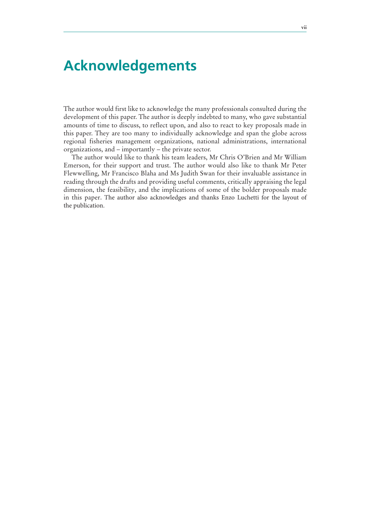## **Acknowledgements**

The author would first like to acknowledge the many professionals consulted during the development of this paper. The author is deeply indebted to many, who gave substantial amounts of time to discuss, to reflect upon, and also to react to key proposals made in this paper. They are too many to individually acknowledge and span the globe across regional fisheries management organizations, national administrations, international organizations, and – importantly – the private sector.

The author would like to thank his team leaders, Mr Chris O'Brien and Mr William Emerson, for their support and trust. The author would also like to thank Mr Peter Flewwelling, Mr Francisco Blaha and Ms Judith Swan for their invaluable assistance in reading through the drafts and providing useful comments, critically appraising the legal dimension, the feasibility, and the implications of some of the bolder proposals made in this paper. The author also acknowledges and thanks Enzo Luchetti for the layout of the publication.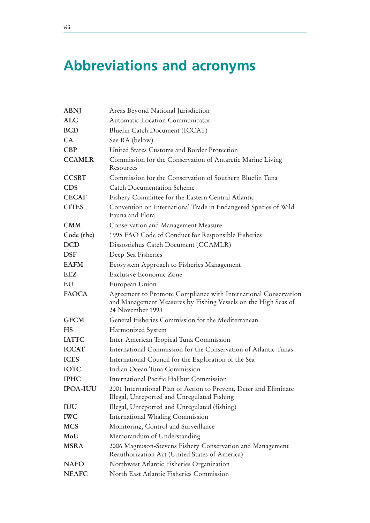# **Abbreviations and acronyms**

| <b>ABNJ</b>     | Areas Beyond National Jurisdiction                                                                                                                    |
|-----------------|-------------------------------------------------------------------------------------------------------------------------------------------------------|
| <b>ALC</b>      | Automatic Location Communicator                                                                                                                       |
| <b>BCD</b>      | Bluefin Catch Document (ICCAT)                                                                                                                        |
| CA              | See RA (below)                                                                                                                                        |
| <b>CBP</b>      | United States Customs and Border Protection                                                                                                           |
| <b>CCAMLR</b>   | Commission for the Conservation of Antarctic Marine Living<br>Resources                                                                               |
| <b>CCSBT</b>    | Commission for the Conservation of Southern Bluefin Tuna                                                                                              |
| <b>CDS</b>      | <b>Catch Documentation Scheme</b>                                                                                                                     |
| <b>CECAF</b>    | Fishery Committee for the Eastern Central Atlantic                                                                                                    |
| <b>CITES</b>    | Convention on International Trade in Endangered Species of Wild<br>Fauna and Flora                                                                    |
| <b>CMM</b>      | Conservation and Management Measure                                                                                                                   |
| Code (the)      | 1995 FAO Code of Conduct for Responsible Fisheries                                                                                                    |
| <b>DCD</b>      | Dissostichus Catch Document (CCAMLR)                                                                                                                  |
| <b>DSF</b>      | Deep-Sea Fisheries                                                                                                                                    |
| <b>EAFM</b>     | Ecosystem Approach to Fisheries Management                                                                                                            |
| <b>EEZ</b>      | <b>Exclusive Economic Zone</b>                                                                                                                        |
| EU              | European Union                                                                                                                                        |
| <b>FAOCA</b>    | Agreement to Promote Compliance with International Conservation<br>and Management Measures by Fishing Vessels on the High Seas of<br>24 November 1993 |
| <b>GFCM</b>     | General Fisheries Commission for the Mediterranean                                                                                                    |
| <b>HS</b>       | Harmonized System                                                                                                                                     |
| <b>IATTC</b>    | Inter-American Tropical Tuna Commission                                                                                                               |
| <b>ICCAT</b>    | International Commission for the Conservation of Atlantic Tunas                                                                                       |
| <b>ICES</b>     | International Council for the Exploration of the Sea                                                                                                  |
| <b>IOTC</b>     | Indian Ocean Tuna Commission                                                                                                                          |
| <b>IPHC</b>     | International Pacific Halibut Commission                                                                                                              |
| <b>IPOA-IUU</b> | 2001 International Plan of Action to Prevent, Deter and Eliminate<br>Illegal, Unreported and Unregulated Fishing                                      |
| IUU             | Illegal, Unreported and Unregulated (fishing)                                                                                                         |
| <b>IWC</b>      | <b>International Whaling Commission</b>                                                                                                               |
| <b>MCS</b>      | Monitoring, Control and Surveillance                                                                                                                  |
| MoU             | Memorandum of Understanding                                                                                                                           |
| <b>MSRA</b>     | 2006 Magnuson-Stevens Fishery Conservation and Management<br>Reauthorization Act (United States of America)                                           |
| <b>NAFO</b>     | Northwest Atlantic Fisheries Organization                                                                                                             |
| <b>NEAFC</b>    | North East Atlantic Fisheries Commission                                                                                                              |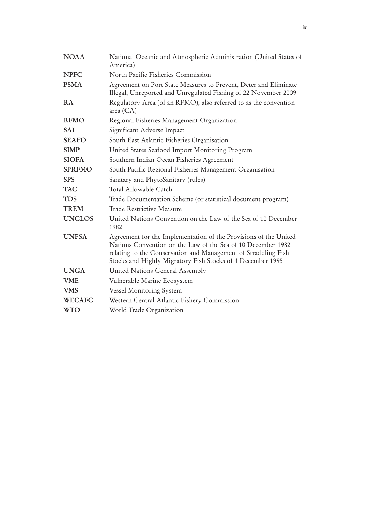| <b>NOAA</b>   | National Oceanic and Atmospheric Administration (United States of<br>America)                                                                                                                                                                                    |
|---------------|------------------------------------------------------------------------------------------------------------------------------------------------------------------------------------------------------------------------------------------------------------------|
| <b>NPFC</b>   | North Pacific Fisheries Commission                                                                                                                                                                                                                               |
| <b>PSMA</b>   | Agreement on Port State Measures to Prevent, Deter and Eliminate<br>Illegal, Unreported and Unregulated Fishing of 22 November 2009                                                                                                                              |
| <b>RA</b>     | Regulatory Area (of an RFMO), also referred to as the convention<br>area $(CA)$                                                                                                                                                                                  |
| <b>RFMO</b>   | Regional Fisheries Management Organization                                                                                                                                                                                                                       |
| <b>SAI</b>    | Significant Adverse Impact                                                                                                                                                                                                                                       |
| <b>SEAFO</b>  | South East Atlantic Fisheries Organisation                                                                                                                                                                                                                       |
| <b>SIMP</b>   | United States Seafood Import Monitoring Program                                                                                                                                                                                                                  |
| <b>SIOFA</b>  | Southern Indian Ocean Fisheries Agreement                                                                                                                                                                                                                        |
| <b>SPRFMO</b> | South Pacific Regional Fisheries Management Organisation                                                                                                                                                                                                         |
| <b>SPS</b>    | Sanitary and PhytoSanitary (rules)                                                                                                                                                                                                                               |
| <b>TAC</b>    | Total Allowable Catch                                                                                                                                                                                                                                            |
| <b>TDS</b>    | Trade Documentation Scheme (or statistical document program)                                                                                                                                                                                                     |
| <b>TREM</b>   | Trade Restrictive Measure                                                                                                                                                                                                                                        |
| <b>UNCLOS</b> | United Nations Convention on the Law of the Sea of 10 December<br>1982                                                                                                                                                                                           |
| <b>UNFSA</b>  | Agreement for the Implementation of the Provisions of the United<br>Nations Convention on the Law of the Sea of 10 December 1982<br>relating to the Conservation and Management of Straddling Fish<br>Stocks and Highly Migratory Fish Stocks of 4 December 1995 |
| <b>UNGA</b>   | United Nations General Assembly                                                                                                                                                                                                                                  |
| <b>VME</b>    | Vulnerable Marine Ecosystem                                                                                                                                                                                                                                      |
| <b>VMS</b>    | Vessel Monitoring System                                                                                                                                                                                                                                         |
| <b>WECAFC</b> | Western Central Atlantic Fishery Commission                                                                                                                                                                                                                      |
| <b>WTO</b>    | World Trade Organization                                                                                                                                                                                                                                         |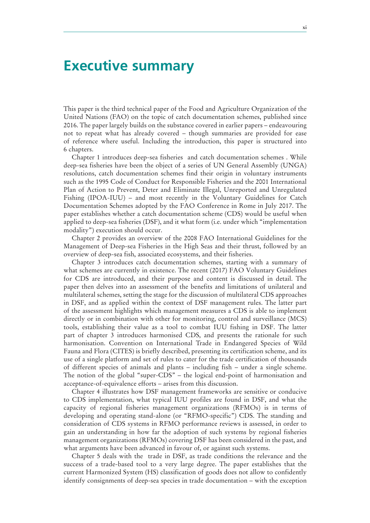### **Executive summary**

This paper is the third technical paper of the Food and Agriculture Organization of the United Nations (FAO) on the topic of catch documentation schemes, published since 2016. The paper largely builds on the substance covered in earlier papers – endeavouring not to repeat what has already covered – though summaries are provided for ease of reference where useful. Including the introduction, this paper is structured into 6 chapters.

Chapter 1 introduces deep-sea fisheries and catch documentation schemes . While deep-sea fisheries have been the object of a series of UN General Assembly (UNGA) resolutions, catch documentation schemes find their origin in voluntary instruments such as the 1995 Code of Conduct for Responsible Fisheries and the 2001 International Plan of Action to Prevent, Deter and Eliminate Illegal, Unreported and Unregulated Fishing (IPOA-IUU) – and most recently in the Voluntary Guidelines for Catch Documentation Schemes adopted by the FAO Conference in Rome in July 2017. The paper establishes whether a catch documentation scheme (CDS) would be useful when applied to deep-sea fisheries (DSF), and it what form (i.e. under which "implementation modality") execution should occur.

Chapter 2 provides an overview of the 2008 FAO International Guidelines for the Management of Deep-sea Fisheries in the High Seas and their thrust, followed by an overview of deep-sea fish, associated ecosystems, and their fisheries.

Chapter 3 introduces catch documentation schemes, starting with a summary of what schemes are currently in existence. The recent (2017) FAO Voluntary Guidelines for CDS are introduced, and their purpose and content is discussed in detail. The paper then delves into an assessment of the benefits and limitations of unilateral and multilateral schemes, setting the stage for the discussion of multilateral CDS approaches in DSF, and as applied within the context of DSF management rules. The latter part of the assessment highlights which management measures a CDS is able to implement directly or in combination with other for monitoring, control and surveillance (MCS) tools, establishing their value as a tool to combat IUU fishing in DSF. The latter part of chapter 3 introduces harmonised CDS, and presents the rationale for such harmonisation. Convention on International Trade in Endangered Species of Wild Fauna and Flora (CITES) is briefly described, presenting its certification scheme, and its use of a single platform and set of rules to cater for the trade certification of thousands of different species of animals and plants – including fish – under a single scheme. The notion of the global "super-CDS" – the logical end-point of harmonisation and acceptance-of-equivalence efforts – arises from this discussion.

Chapter 4 illustrates how DSF management frameworks are sensitive or conducive to CDS implementation, what typical IUU profiles are found in DSF, and what the capacity of regional fisheries management organizations (RFMOs) is in terms of developing and operating stand-alone (or "RFMO-specific") CDS. The standing and consideration of CDS systems in RFMO performance reviews is assessed, in order to gain an understanding in how far the adoption of such systems by regional fisheries management organizations (RFMOs) covering DSF has been considered in the past, and what arguments have been advanced in favour of, or against such systems.

Chapter 5 deals with the trade in DSF, as trade conditions the relevance and the success of a trade-based tool to a very large degree. The paper establishes that the current Harmonized System (HS) classification of goods does not allow to confidently identify consignments of deep-sea species in trade documentation – with the exception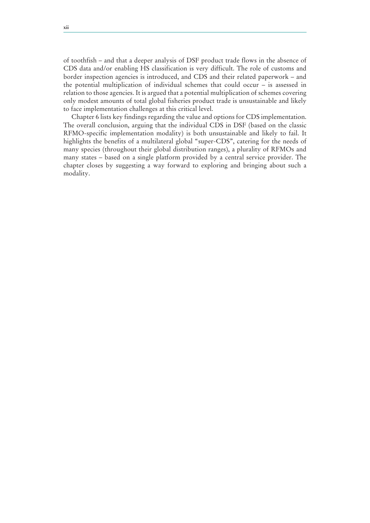of toothfish – and that a deeper analysis of DSF product trade flows in the absence of CDS data and/or enabling HS classification is very difficult. The role of customs and border inspection agencies is introduced, and CDS and their related paperwork – and the potential multiplication of individual schemes that could occur – is assessed in relation to those agencies. It is argued that a potential multiplication of schemes covering only modest amounts of total global fisheries product trade is unsustainable and likely to face implementation challenges at this critical level.

Chapter 6 lists key findings regarding the value and options for CDS implementation. The overall conclusion, arguing that the individual CDS in DSF (based on the classic RFMO-specific implementation modality) is both unsustainable and likely to fail. It highlights the benefits of a multilateral global "super-CDS", catering for the needs of many species (throughout their global distribution ranges), a plurality of RFMOs and many states – based on a single platform provided by a central service provider. The chapter closes by suggesting a way forward to exploring and bringing about such a modality.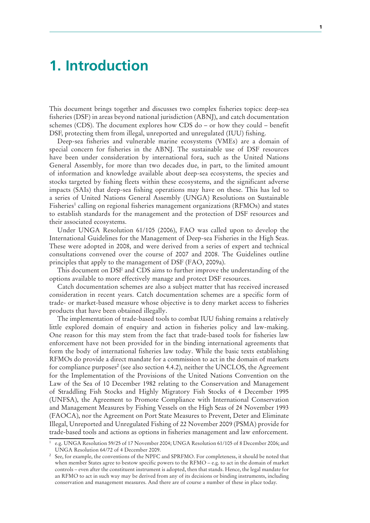### **1. Introduction**

This document brings together and discusses two complex fisheries topics: deep-sea fisheries (DSF) in areas beyond national jurisdiction (ABNJ), and catch documentation schemes (CDS). The document explores how CDS do – or how they could – benefit DSF, protecting them from illegal, unreported and unregulated (IUU) fishing.

Deep-sea fisheries and vulnerable marine ecosystems (VMEs) are a domain of special concern for fisheries in the ABNJ. The sustainable use of DSF resources have been under consideration by international fora, such as the United Nations General Assembly, for more than two decades due, in part, to the limited amount of information and knowledge available about deep-sea ecosystems, the species and stocks targeted by fishing fleets within these ecosystems, and the significant adverse impacts (SAIs) that deep-sea fishing operations may have on these. This has led to a series of United Nations General Assembly (UNGA) Resolutions on Sustainable Fisheries<sup>1</sup> calling on regional fisheries management organizations (RFMOs) and states to establish standards for the management and the protection of DSF resources and their associated ecosystems.

Under UNGA Resolution 61/105 (2006), FAO was called upon to develop the International Guidelines for the Management of Deep-sea Fisheries in the High Seas. These were adopted in 2008, and were derived from a series of expert and technical consultations convened over the course of 2007 and 2008. The Guidelines outline principles that apply to the management of DSF (FAO, 2009a).

This document on DSF and CDS aims to further improve the understanding of the options available to more effectively manage and protect DSF resources.

Catch documentation schemes are also a subject matter that has received increased consideration in recent years. Catch documentation schemes are a specific form of trade- or market-based measure whose objective is to deny market access to fisheries products that have been obtained illegally.

The implementation of trade-based tools to combat IUU fishing remains a relatively little explored domain of enquiry and action in fisheries policy and law-making. One reason for this may stem from the fact that trade-based tools for fisheries law enforcement have not been provided for in the binding international agreements that form the body of international fisheries law today. While the basic texts establishing RFMOs do provide a direct mandate for a commission to act in the domain of markets for compliance purposes<sup>2</sup> (see also section 4.4.2), neither the UNCLOS, the Agreement for the Implementation of the Provisions of the United Nations Convention on the Law of the Sea of 10 December 1982 relating to the Conservation and Management of Straddling Fish Stocks and Highly Migratory Fish Stocks of 4 December 1995 (UNFSA), the Agreement to Promote Compliance with International Conservation and Management Measures by Fishing Vessels on the High Seas of 24 November 1993 (FAOCA), nor the Agreement on Port State Measures to Prevent, Deter and Eliminate Illegal, Unreported and Unregulated Fishing of 22 November 2009 (PSMA) provide for trade-based tools and actions as options in fisheries management and law enforcement.

<sup>1</sup> e.g. UNGA Resolution 59/25 of 17 November 2004; UNGA Resolution 61/105 of 8 December 2006; and UNGA Resolution 64/72 of 4 December 2009.

<sup>2</sup> See, for example, the conventions of the NPFC and SPRFMO. For completeness, it should be noted that when member States agree to bestow specific powers to the RFMO – e.g. to act in the domain of market controls – even after the constituent instrument is adopted, then that stands. Hence, the legal mandate for an RFMO to act in such way may be derived from any of its decisions or binding instruments, including conservation and management measures. And there are of course a number of these in place today.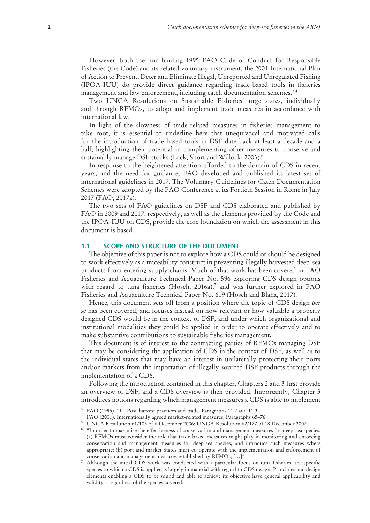However, both the non-binding 1995 FAO Code of Conduct for Responsible Fisheries (the Code) and its related voluntary instrument, the 2001 International Plan of Action to Prevent, Deter and Eliminate Illegal, Unreported and Unregulated Fishing (IPOA-IUU) do provide direct guidance regarding trade-based tools in fisheries management and law enforcement, including catch documentation schemes.<sup>3,4</sup>

Two UNGA Resolutions on Sustainable Fisheries<sup>5</sup> urge states, individually and through RFMOs, to adopt and implement trade measures in accordance with international law.

In light of the slowness of trade-related measures in fisheries management to take root, it is essential to underline here that unequivocal and motivated calls for the introduction of trade-based tools in DSF date back at least a decade and a half, highlighting their potential in complementing other measures to conserve and sustainably manage DSF stocks (Lack, Short and Willock, 2003).<sup>6</sup>

In response to the heightened attention afforded to the domain of CDS in recent years, and the need for guidance, FAO developed and published its latest set of international guidelines in 2017. The Voluntary Guidelines for Catch Documentation Schemes were adopted by the FAO Conference at its Fortieth Session in Rome in July 2017 (FAO, 2017a).

The two sets of FAO guidelines on DSF and CDS elaborated and published by FAO in 2009 and 2017, respectively, as well as the elements provided by the Code and the IPOA-IUU on CDS, provide the core foundation on which the assessment in this document is based.

#### **1.1 Scope and structure of the document**

The objective of this paper is not to explore how a CDS could or should be designed to work effectively as a traceability construct in preventing illegally harvested deep-sea products from entering supply chains. Much of that work has been covered in FAO Fisheries and Aquaculture Technical Paper No. 596 exploring CDS design options with regard to tuna fisheries (Hosch, 2016a),<sup>7</sup> and was further explored in FAO Fisheries and Aquaculture Technical Paper No. 619 (Hosch and Blaha, 2017).

Hence, this document sets off from a position where the topic of CDS design *per se* has been covered, and focuses instead on how relevant or how valuable a properly designed CDS would be in the context of DSF, and under which organizational and institutional modalities they could be applied in order to operate effectively and to make substantive contributions to sustainable fisheries management.

This document is of interest to the contracting parties of RFMOs managing DSF that may be considering the application of CDS in the context of DSF, as well as to the individual states that may have an interest in unilaterally protecting their ports and/or markets from the importation of illegally sourced DSF products through the implementation of a CDS.

Following the introduction contained in this chapter, Chapters 2 and 3 first provide an overview of DSF, and a CDS overview is then provided. Importantly, Chapter 3 introduces notions regarding which management measures a CDS is able to implement

FAO (1995). 11 - Post-harvest practices and trade. Paragraphs 11.2 and 11.3.

<sup>4</sup> FAO (2001). Internationally agreed market-related measures. Paragraphs 65–76.

<sup>5</sup> UNGA Resolution 61/105 of 6 December 2006; UNGA Resolution 62/177 of 18 December 2007.

<sup>6</sup> "In order to maximise the effectiveness of conservation and management measures for deep-sea species: (a) RFMOs must consider the role that trade-based measures might play in monitoring and enforcing conservation and management measures for deep-sea species, and introduce such measures where appropriate; (b) port and market States must co-operate with the implementation and enforcement of conservation and management measures established by RFMOs; […]"

<sup>7</sup> Although the initial CDS work was conducted with a particular focus on tuna fisheries, the specific species to which a CDS is applied is largely immaterial with regard to CDS design. Principles and design elements enabling a CDS to be sound and able to achieve its objective have general applicability and validity – regardless of the species covered.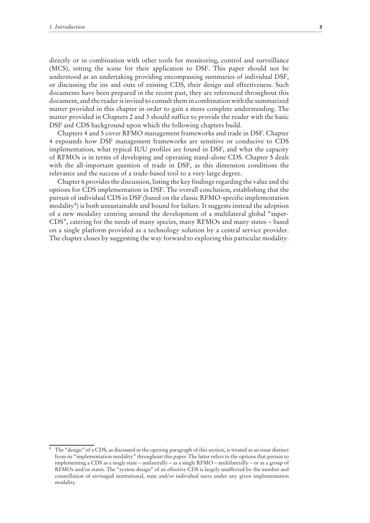directly or in combination with other tools for monitoring, control and surveillance (MCS), setting the scene for their application to DSF. This paper should not be understood as an undertaking providing encompassing summaries of individual DSF, or discussing the ins and outs of existing CDS, their design and effectiveness. Such documents have been prepared in the recent past, they are referenced throughout this document, and the reader is invited to consult them in combination with the summarized matter provided in this chapter in order to gain a more complete understanding. The matter provided in Chapters 2 and 3 should suffice to provide the reader with the basic DSF and CDS background upon which the following chapters build.

Chapters 4 and 5 cover RFMO management frameworks and trade in DSF. Chapter 4 expounds how DSF management frameworks are sensitive or conducive to CDS implementation, what typical IUU profiles are found in DSF, and what the capacity of RFMOs is in terms of developing and operating stand-alone CDS. Chapter 5 deals with the all-important question of trade in DSF, as this dimension conditions the relevance and the success of a trade-based tool to a very large degree.

Chapter 6 provides the discussion, listing the key findings regarding the value and the options for CDS implementation in DSF. The overall conclusion, establishing that the pursuit of individual CDS in DSF (based on the classic RFMO-specific implementation modality8 ) is both unsustainable and bound for failure. It suggests instead the adoption of a new modality centring around the development of a multilateral global "super-CDS", catering for the needs of many species, many RFMOs and many states – based on a single platform provided as a technology solution by a central service provider. The chapter closes by suggesting the way forward to exploring this particular modality.

<sup>8</sup> The "design" of a CDS, as discussed in the opening paragraph of this section, is treated as an issue distinct from its "implementation modality" throughout this paper. The latter refers to the options that pertain to implementing a CDS as a single state – unilaterally – as a single RFMO – multilaterally – or as a group of RFMOs and/or states. The "system design" of an effective CDS is largely unaffected by the number and constellation of envisaged institutional, state and/or individual users under any given implementation modality.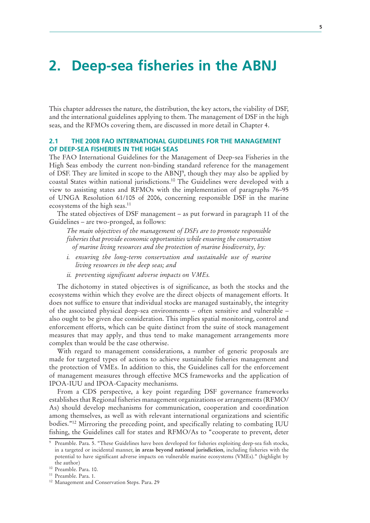## **2. Deep-sea fisheries in the ABNJ**

This chapter addresses the nature, the distribution, the key actors, the viability of DSF, and the international guidelines applying to them. The management of DSF in the high seas, and the RFMOs covering them, are discussed in more detail in Chapter 4.

#### **2.1 The 2008 FAO International Guidelines for the Management of Deep-sea Fisheries in the High Seas**

The FAO International Guidelines for the Management of Deep-sea Fisheries in the High Seas embody the current non-binding standard reference for the management of DSF. They are limited in scope to the ABNJ<sup>9</sup>, though they may also be applied by coastal States within national jurisdictions.10 The Guidelines were developed with a view to assisting states and RFMOs with the implementation of paragraphs 76–95 of UNGA Resolution 61/105 of 2006, concerning responsible DSF in the marine ecosystems of the high seas.<sup>11</sup>

The stated objectives of DSF management – as put forward in paragraph 11 of the Guidelines – are two-pronged, as follows:

*The main objectives of the management of DSFs are to promote responsible fisheries that provide economic opportunities while ensuring the conservation of marine living resources and the protection of marine biodiversity, by:*

- *i. ensuring the long-term conservation and sustainable use of marine living resources in the deep seas; and*
- *ii. preventing significant adverse impacts on VMEs.*

The dichotomy in stated objectives is of significance, as both the stocks and the ecosystems within which they evolve are the direct objects of management efforts. It does not suffice to ensure that individual stocks are managed sustainably, the integrity of the associated physical deep-sea environments – often sensitive and vulnerable – also ought to be given due consideration. This implies spatial monitoring, control and enforcement efforts, which can be quite distinct from the suite of stock management measures that may apply, and thus tend to make management arrangements more complex than would be the case otherwise.

With regard to management considerations, a number of generic proposals are made for targeted types of actions to achieve sustainable fisheries management and the protection of VMEs. In addition to this, the Guidelines call for the enforcement of management measures through effective MCS frameworks and the application of IPOA-IUU and IPOA-Capacity mechanisms.

From a CDS perspective, a key point regarding DSF governance frameworks establishes that Regional fisheries management organizations or arrangements (RFMO/ As) should develop mechanisms for communication, cooperation and coordination among themselves, as well as with relevant international organizations and scientific bodies."<sup>12</sup> Mirroring the preceding point, and specifically relating to combating IUU fishing, the Guidelines call for states and RFMO/As to "cooperate to prevent, deter

<sup>9</sup> Preamble. Para. 5. "These Guidelines have been developed for fisheries exploiting deep-sea fish stocks, in a targeted or incidental manner, **in areas beyond national jurisdiction**, including fisheries with the potential to have significant adverse impacts on vulnerable marine ecosystems (VMEs)." (highlight by the author)

<sup>10</sup> Preamble. Para. 10.

<sup>&</sup>lt;sup>11</sup> Preamble. Para. 1.

<sup>&</sup>lt;sup>12</sup> Management and Conservation Steps. Para. 29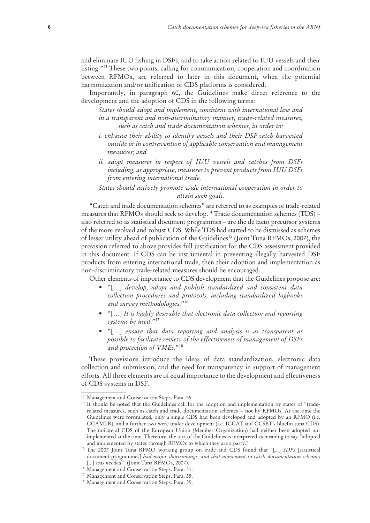and eliminate IUU fishing in DSFs, and to take action related to IUU vessels and their listing."13 These two points, calling for communication, cooperation and coordination between RFMOs, are referred to later in this document, when the potential harmonization and/or unification of CDS platforms is considered.

Importantly, in paragraph 60, the Guidelines make direct reference to the development and the adoption of CDS in the following terms:

*States should adopt and implement, consistent with international law and in a transparent and non-discriminatory manner, trade-related measures, such as catch and trade documentation schemes, in order to:*

- *i. enhance their ability to identify vessels and their DSF catch harvested outside or in contravention of applicable conservation and management measures; and*
- *ii. adopt measures in respect of IUU vessels and catches from DSFs including, as appropriate, measures to prevent products from IUU DSFs from entering international trade.*

*States should actively promote wide international cooperation in order to attain such goals.*

"Catch and trade documentation schemes" are referred to as examples of trade-related measures that RFMOs should seek to develop.<sup>14</sup> Trade documentation schemes (TDS) also referred to as statistical document programmes – are the de facto precursor systems of the more evolved and robust CDS. While TDS had started to be dismissed as schemes of lesser utility ahead of publication of the Guidelines<sup>15</sup> (Joint Tuna RFMOs, 2007), the provision referred to above provides full justification for the CDS assessment provided in this document. If CDS can be instrumental in preventing illegally harvested DSF products from entering international trade, then their adoption and implementation as non-discriminatory trade-related measures should be encouraged.

Other elements of importance to CDS development that the Guidelines propose are:

- • "[…] *develop, adopt and publish standardized and consistent data collection procedures and protocols, including standardized logbooks and survey methodologies*."16
- • "[…] *It is highly desirable that electronic data collection and reporting systems be used*."17
- • "[…] *ensure that data reporting and analysis is as transparent as possible to facilitate review of the effectiveness of management of DSFs and protection of VMEs*."18

These provisions introduce the ideas of data standardization, electronic data collection and submission, and the need for transparency in support of management efforts. All three elements are of equal importance to the development and effectiveness of CDS systems in DSF.

<sup>13</sup> Management and Conservation Steps. Para. 59

<sup>&</sup>lt;sup>14</sup> It should be noted that the Guidelines call for the adoption and implementation by states of "traderelated measures, such as catch and trade documentation schemes"– not by RFMOs. At the time the Guidelines were formulated, only a single CDS had been developed and adopted by an RFMO (i.e. CCAMLR), and a further two were under development (i.e. ICCAT and CCSBT's bluefin tuna CDS). The unilateral CDS of the European Union (Member Organization) had neither been adopted nor implemented at the time. Therefore, the text of the Guidelines is interpreted as meaning to say "adopted and implemented by states through RFMOs to which they are a party."

<sup>15</sup> The 2007 Joint Tuna RFMO working group on trade and CDS found that "[...] *SDPs* [statistical document programmes] *had major shortcomings, and that movement to catch documentation schemes* [...] *was needed*." (Joint Tuna RFMOs, 2007).

<sup>&</sup>lt;sup>16</sup> Management and Conservation Steps. Para. 31.

<sup>&</sup>lt;sup>17</sup> Management and Conservation Steps. Para. 35.

<sup>&</sup>lt;sup>18</sup> Management and Conservation Steps. Para. 39.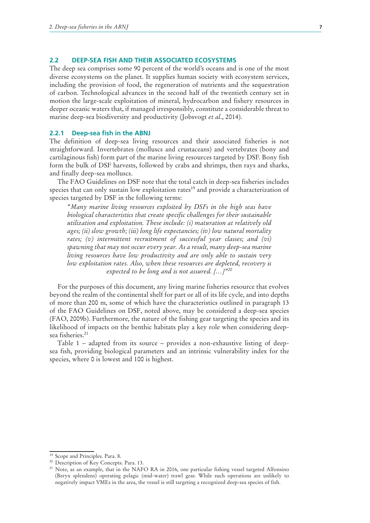#### **2.2 Deep-sea fish and their associated ecosystems**

The deep sea comprises some 90 percent of the world's oceans and is one of the most diverse ecosystems on the planet. It supplies human society with ecosystem services, including the provision of food, the regeneration of nutrients and the sequestration of carbon. Technological advances in the second half of the twentieth century set in motion the large-scale exploitation of mineral, hydrocarbon and fishery resources in deeper oceanic waters that, if managed irresponsibly, constitute a considerable threat to marine deep-sea biodiversity and productivity (Jobsvogt *et al*., 2014).

#### **2.2.1 Deep-sea fish in the ABNJ**

The definition of deep-sea living resources and their associated fisheries is not straightforward. Invertebrates (molluscs and crustaceans) and vertebrates (bony and cartilaginous fish) form part of the marine living resources targeted by DSF. Bony fish form the bulk of DSF harvests, followed by crabs and shrimps, then rays and sharks, and finally deep-sea molluscs.

The FAO Guidelines on DSF note that the total catch in deep-sea fisheries includes species that can only sustain low exploitation rates<sup>19</sup> and provide a characterization of species targeted by DSF in the following terms:

*"Many marine living resources exploited by DSFs in the high seas have biological characteristics that create specific challenges for their sustainable utilization and exploitation. These include: (i) maturation at relatively old ages; (ii) slow growth; (iii) long life expectancies; (iv) low natural mortality rates; (v) intermittent recruitment of successful year classes; and (vi) spawning that may not occur every year. As a result, many deep-sea marine living resources have low productivity and are only able to sustain very low exploitation rates. Also, when these resources are depleted, recovery is expected to be long and is not assured. […]"20*

For the purposes of this document, any living marine fisheries resource that evolves beyond the realm of the continental shelf for part or all of its life cycle, and into depths of more than 200 m, some of which have the characteristics outlined in paragraph 13 of the FAO Guidelines on DSF, noted above, may be considered a deep-sea species (FAO, 2009b). Furthermore, the nature of the fishing gear targeting the species and its likelihood of impacts on the benthic habitats play a key role when considering deepsea fisheries.<sup>21</sup>

Table 1 – adapted from its source – provides a non-exhaustive listing of deepsea fish, providing biological parameters and an intrinsic vulnerability index for the species, where 0 is lowest and 100 is highest.

<sup>&</sup>lt;sup>19</sup> Scope and Principles. Para. 8.

<sup>&</sup>lt;sup>20</sup> Description of Key Concepts. Para. 13.

<sup>21</sup> Note, as an example, that in the NAFO RA in 2016, one particular fishing vessel targeted Alfonsino (Beryx splendens) operating pelagic (mid-water) trawl gear. While such operations are unlikely to negatively impact VMEs in the area, the vessel is still targeting a recognized deep-sea species of fish.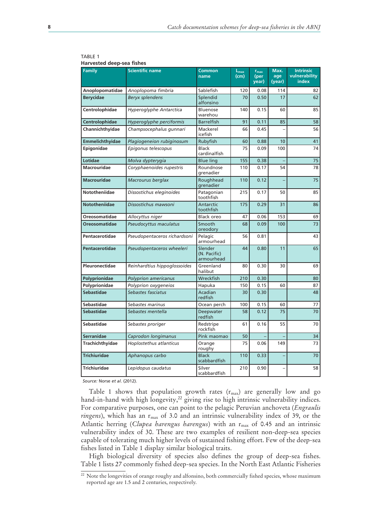| Family                                         | <b>Scientific name</b>             | <b>Common</b><br>name                 | $L_{\rm max}$<br>(cm) | $r_{\text{max}}$<br>(per<br>year) | Max.<br>age<br>(year) | <b>Intrinsic</b><br>vulnerability<br>index |
|------------------------------------------------|------------------------------------|---------------------------------------|-----------------------|-----------------------------------|-----------------------|--------------------------------------------|
| Anoplopomatidae                                | Anoplopoma fimbria                 | Sablefish                             | 120                   | 0.08                              | 114                   | 82                                         |
| <b>Berycidae</b>                               | Splendid<br><b>Beryx splendens</b> |                                       |                       | 0.50                              | 17                    | 62                                         |
| Centrolophidae                                 | Hyperoglyphe Antarctica            | Bluenose<br>warehou                   | 140                   | 0.15                              | 60                    | 85                                         |
| <b>Centrolophidae</b>                          | Hyperoglyphe perciformis           | <b>Barrelfish</b>                     | 91                    | 0.11                              | 85                    | 58                                         |
| Channichthyidae                                | Champsocephalus gunnari            | Mackerel<br>icefish                   | 66                    | 0.45                              |                       | 56                                         |
| Emmelichthyidae                                | Plagiogeneion rubiginosum          | Rubyfish                              | 60                    | 0.88                              | 10                    | 41                                         |
| Epigonidae                                     | Epigonus telescopus                | Black<br>cardinalfish                 | 75                    | 0.09                              | 100                   | 74                                         |
| Lotidae                                        | Molva dypterygia                   | <b>Blue ling</b>                      | 155                   | 0.38                              |                       | 75                                         |
| <b>Macrouridae</b>                             | Coryphaenoides rupestris           | Roundnose<br>grenadier                | 110                   | 0.17                              | 54                    | 78                                         |
| <b>Macrouridae</b>                             | Macrourus berglax                  | Roughhead<br>grenadier                | 110                   | 0.12                              |                       | 75                                         |
| Nototheniidae                                  | Dissostichus eleginoides           | Patagonian<br>toothfish               | 215                   | 0.17                              | 50                    | 85                                         |
| Nototheniidae                                  | Dissostichus mawsoni               | <b>Antarctic</b><br>toothfish         | 175                   | 0.29                              | 31                    | 86                                         |
| <b>Oreosomatidae</b>                           | Allocyttus niger                   | <b>Black oreo</b>                     | 47                    | 0.06                              | 153                   | 69                                         |
| <b>Oreosomatidae</b>                           | Pseudocyttus maculatus             |                                       | 68                    | 0.09                              | 100                   | 73                                         |
| Pentacerotidae<br>Pseudopentaceros richardsoni |                                    | Pelagic<br>armourhead                 | 56                    | 0.81                              |                       | 43                                         |
| Pentacerotidae                                 | Pseudopentaceros wheeleri          | Slender<br>(N. Pacific)<br>armourhead | 44                    | 0.80                              | 11                    | 65                                         |
| Pleuronectidae                                 | Reinhardtius hippoglossoides       | Greenland<br>halibut                  | 80                    | 0.30                              | 30                    | 69                                         |
| Polyprionidae                                  | Polyprion americanus               | Wreckfish                             | 210                   | 0.30                              |                       | 80                                         |
| Polyprionidae                                  | Polyprion oxygeneios               | Hapuka                                | 150                   | 0.15                              | 60                    | 87                                         |
| <b>Sebastidae</b>                              | Sebastes fasciatus                 | Acadian<br>redfish                    | 30                    | 0.30                              |                       | 48                                         |
| <b>Sebastidae</b>                              | Sebastes marinus                   | Ocean perch                           | 100                   | 0.15                              | 60                    | 77                                         |
| <b>Sebastidae</b><br>Sebastes mentella         |                                    | Deepwater<br>redfish                  | 58                    | 0.12                              | 75                    | 70                                         |
| <b>Sebastidae</b>                              | Sebastes proriger                  | Redstripe<br>rockfish                 | 61                    | 0.16                              | 55                    | 70                                         |
| <b>Serranidae</b>                              | Caprodon longimanus                | Pink maomao                           | 50                    |                                   |                       | 34                                         |
| <b>Trachichthyidae</b>                         | Hoplostethus atlanticus            | Orange<br>roughy                      | 75                    | 0.06                              | 149                   | 73                                         |
| <b>Trichiuridae</b>                            | Aphanopus carbo                    | <b>Black</b><br>scabbardfish          | 110                   | 0.33                              |                       | 70                                         |
| <b>Trichiuridae</b>                            | Lepidopus caudatus                 | Silver<br>scabbardfish                | 210                   | 0.90                              |                       | 58                                         |

| <b>TABLE 1</b>            |  |
|---------------------------|--|
| Harvested deep-sea fishes |  |

*Source:* Norse *et al*. (2012).

Table 1 shows that population growth rates  $(r_{max})$  are generally low and go hand-in-hand with high longevity,<sup>22</sup> giving rise to high intrinsic vulnerability indices. For comparative purposes, one can point to the pelagic Peruvian anchoveta (*Engraulis ringens*), which has an  $r_{\text{max}}$  of 3.0 and an intrinsic vulnerability index of 39, or the Atlantic herring (*Clupea harengus harengus*) with an r<sub>max</sub> of 0.45 and an intrinsic vulnerability index of 30. These are two examples of resilient non-deep-sea species capable of tolerating much higher levels of sustained fishing effort. Few of the deep-sea fishes listed in Table 1 display similar biological traits.

High biological diversity of species also defines the group of deep-sea fishes. Table 1 lists 27 commonly fished deep-sea species. In the North East Atlantic Fisheries

<sup>&</sup>lt;sup>22</sup> Note the longevities of orange roughy and alfonsino, both commercially fished species, whose maximum reported age are 1.5 and 2 centuries, respectively.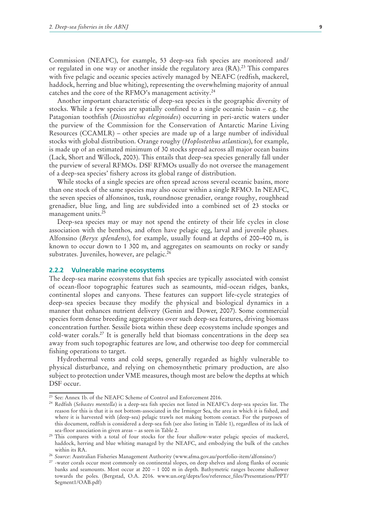Commission (NEAFC), for example, 53 deep-sea fish species are monitored and/ or regulated in one way or another inside the regulatory area  $(RA)$ <sup>23</sup>. This compares with five pelagic and oceanic species actively managed by NEAFC (redfish, mackerel, haddock, herring and blue whiting), representing the overwhelming majority of annual catches and the core of the RFMO's management activity.<sup>24</sup>

Another important characteristic of deep-sea species is the geographic diversity of stocks. While a few species are spatially confined to a single oceanic basin  $-$  e.g. the Patagonian toothfish (*Dissostichus eleginoides*) occurring in peri-arctic waters under the purview of the Commission for the Conservation of Antarctic Marine Living Resources (CCAMLR) – other species are made up of a large number of individual stocks with global distribution. Orange roughy (*Hoplostethus atlanticus*), for example, is made up of an estimated minimum of 30 stocks spread across all major ocean basins (Lack, Short and Willock, 2003). This entails that deep-sea species generally fall under the purview of several RFMOs. DSF RFMOs usually do not oversee the management of a deep-sea species' fishery across its global range of distribution.

While stocks of a single species are often spread across several oceanic basins, more than one stock of the same species may also occur within a single RFMO. In NEAFC, the seven species of alfonsinos, tusk, roundnose grenadier, orange roughy, roughhead grenadier, blue ling, and ling are subdivided into a combined set of 23 stocks or management units.<sup>25</sup>

Deep-sea species may or may not spend the entirety of their life cycles in close association with the benthos, and often have pelagic egg, larval and juvenile phases. Alfonsino (*Beryx splendens*), for example, usually found at depths of 200–400 m, is known to occur down to 1 300 m, and aggregates on seamounts on rocky or sandy substrates. Juveniles, however, are pelagic.<sup>26</sup>

#### **2.2.2 Vulnerable marine ecosystems**

The deep-sea marine ecosystems that fish species are typically associated with consist of ocean-floor topographic features such as seamounts, mid-ocean ridges, banks, continental slopes and canyons. These features can support life-cycle strategies of deep-sea species because they modify the physical and biological dynamics in a manner that enhances nutrient delivery (Genin and Dower, 2007). Some commercial species form dense breeding aggregations over such deep-sea features, driving biomass concentration further. Sessile biota within these deep ecosystems include sponges and cold-water corals.27 It is generally held that biomass concentrations in the deep sea away from such topographic features are low, and otherwise too deep for commercial fishing operations to target.

Hydrothermal vents and cold seeps, generally regarded as highly vulnerable to physical disturbance, and relying on chemosynthetic primary production, are also subject to protection under VME measures, though most are below the depths at which DSF occur.

<sup>23</sup> See: Annex 1b. of the NEAFC Scheme of Control and Enforcement 2016.

<sup>24</sup> Redfish (*Sebastes mentella*) is a deep-sea fish species not listed in NEAFC's deep-sea species list. The reason for this is that it is not bottom-associated in the Irminger Sea, the area in which it is fished, and where it is harvested with (deep-sea) pelagic trawls not making bottom contact. For the purposes of this document, redfish is considered a deep-sea fish (see also listing in Table 1), regardless of its lack of sea-floor association in given areas – as seen in Table 2.

<sup>&</sup>lt;sup>25</sup> This compares with a total of four stocks for the four shallow-water pelagic species of mackerel, haddock, herring and blue whiting managed by the NEAFC, and embodying the bulk of the catches within its RA.

<sup>26</sup> *Source*: Australian Fisheries Management Authority (www.afma.gov.au/portfolio-item/alfonsino/)

<sup>&</sup>lt;sup>27</sup> -water corals occur most commonly on continental slopes, on deep shelves and along flanks of oceanic banks and seamounts. Most occur at 200 – 1 000 m in depth. Bathymetric ranges become shallower towards the poles. (Bergstad, O.A. 2016. www.un.org/depts/los/reference\_files/Presentations/PPT/ Segment1/OAB.pdf)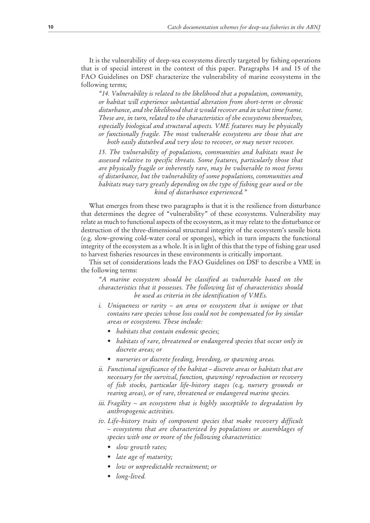It is the vulnerability of deep-sea ecosystems directly targeted by fishing operations that is of special interest in the context of this paper. Paragraphs 14 and 15 of the FAO Guidelines on DSF characterize the vulnerability of marine ecosystems in the following terms;

*"14. Vulnerability is related to the likelihood that a population, community, or habitat will experience substantial alteration from short-term or chronic disturbance, and the likelihood that it would recover and in what time frame. These are, in turn, related to the characteristics of the ecosystems themselves, especially biological and structural aspects. VME features may be physically or functionally fragile. The most vulnerable ecosystems are those that are both easily disturbed and very slow to recover, or may never recover.*

*15. The vulnerability of populations, communities and habitats must be assessed relative to specific threats. Some features, particularly those that are physically fragile or inherently rare, may be vulnerable to most forms of disturbance, but the vulnerability of some populations, communities and habitats may vary greatly depending on the type of fishing gear used or the kind of disturbance experienced."*

What emerges from these two paragraphs is that it is the resilience from disturbance that determines the degree of "vulnerability" of these ecosystems. Vulnerability may relate as much to functional aspects of the ecosystem, as it may relate to the disturbance or destruction of the three-dimensional structural integrity of the ecosystem's sessile biota (e.g. slow-growing cold-water coral or sponges), which in turn impacts the functional integrity of the ecosystem as a whole. It is in light of this that the type of fishing gear used to harvest fisheries resources in these environments is critically important.

This set of considerations leads the FAO Guidelines on DSF to describe a VME in the following terms:

*"A marine ecosystem should be classified as vulnerable based on the characteristics that it possesses. The following list of characteristics should be used as criteria in the identification of VMEs.*

- *i.* Uniqueness or rarity an area or ecosystem that is unique or that *contains rare species whose loss could not be compensated for by similar areas or ecosystems. These include:*
	- *• habitats that contain endemic species;*
	- *• habitats of rare, threatened or endangered species that occur only in discrete areas; or*
	- *• nurseries or discrete feeding, breeding, or spawning areas.*
- *ii. Functional significance of the habitat discrete areas or habitats that are necessary for the survival, function, spawning/ reproduction or recovery of fish stocks, particular life-history stages (*e.g. *nursery grounds or rearing areas), or of rare, threatened or endangered marine species.*
- *iii. Fragility an ecosystem that is highly susceptible to degradation by anthropogenic activities.*
- *iv. Life-history traits of component species that make recovery difficult – ecosystems that are characterized by populations or assemblages of species with one or more of the following characteristics:*
	- *• slow growth rates;*
	- *• late age of maturity;*
	- *• low or unpredictable recruitment; or*
	- *• long-lived.*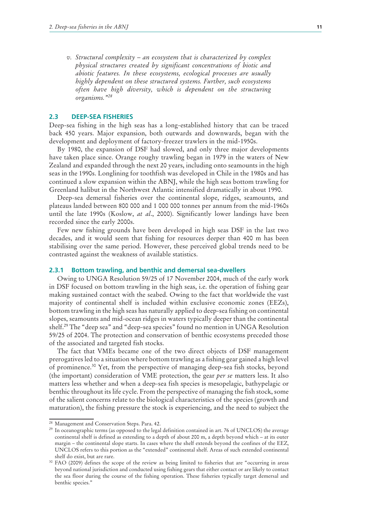*v. Structural complexity – an ecosystem that is characterized by complex physical structures created by significant concentrations of biotic and abiotic features. In these ecosystems, ecological processes are usually highly dependent on these structured systems. Further, such ecosystems often have high diversity, which is dependent on the structuring organisms."28*

#### **2.3 Deep-sea fisheries**

Deep-sea fishing in the high seas has a long-established history that can be traced back 450 years. Major expansion, both outwards and downwards, began with the development and deployment of factory-freezer trawlers in the mid-1950s.

By 1980, the expansion of DSF had slowed, and only three major developments have taken place since. Orange roughy trawling began in 1979 in the waters of New Zealand and expanded through the next 20 years, including onto seamounts in the high seas in the 1990s. Longlining for toothfish was developed in Chile in the 1980s and has continued a slow expansion within the ABNJ, while the high seas bottom trawling for Greenland halibut in the Northwest Atlantic intensified dramatically in about 1990.

Deep-sea demersal fisheries over the continental slope, ridges, seamounts, and plateaus landed between 800 000 and 1 000 000 tonnes per annum from the mid-1960s until the late 1990s (Koslow, *at al*., 2000). Significantly lower landings have been recorded since the early 2000s.

Few new fishing grounds have been developed in high seas DSF in the last two decades, and it would seem that fishing for resources deeper than 400 m has been stabilising over the same period. However, these perceived global trends need to be contrasted against the weakness of available statistics.

#### **2.3.1 Bottom trawling, and benthic and demersal sea-dwellers**

Owing to UNGA Resolution 59/25 of 17 November 2004, much of the early work in DSF focused on bottom trawling in the high seas, i.e. the operation of fishing gear making sustained contact with the seabed. Owing to the fact that worldwide the vast majority of continental shelf is included within exclusive economic zones (EEZs), bottom trawling in the high seas has naturally applied to deep-sea fishing on continental slopes, seamounts and mid-ocean ridges in waters typically deeper than the continental shelf.<sup>29</sup> The "deep sea" and "deep-sea species" found no mention in UNGA Resolution 59/25 of 2004. The protection and conservation of benthic ecosystems preceded those of the associated and targeted fish stocks.

The fact that VMEs became one of the two direct objects of DSF management prerogatives led to a situation where bottom trawling as a fishing gear gained a high level of prominence.30 Yet, from the perspective of managing deep-sea fish stocks, beyond (the important) consideration of VME protection, the gear *per se* matters less. It also matters less whether and when a deep-sea fish species is mesopelagic, bathypelagic or benthic throughout its life cycle. From the perspective of managing the fish stock, some of the salient concerns relate to the biological characteristics of the species (growth and maturation), the fishing pressure the stock is experiencing, and the need to subject the

<sup>28</sup> Management and Conservation Steps. Para. 42.

 $29$  In oceanographic terms (as opposed to the legal definition contained in art. 76 of UNCLOS) the average continental shelf is defined as extending to a depth of about 200 m, a depth beyond which – at its outer margin – the continental slope starts. In cases where the shelf extends beyond the confines of the EEZ, UNCLOS refers to this portion as the "extended" continental shelf. Areas of such extended continental shelf do exist, but are rare.

<sup>30</sup> FAO (2009) defines the scope of the review as being limited to fisheries that are "occurring in areas beyond national jurisdiction and conducted using fishing gears that either contact or are likely to contact the sea floor during the course of the fishing operation. These fisheries typically target demersal and benthic species."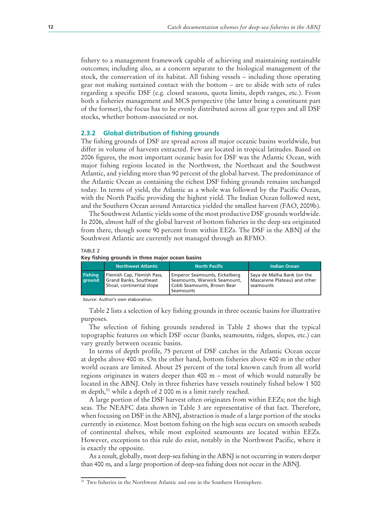fishery to a management framework capable of achieving and maintaining sustainable outcomes; including also, as a concern separate to the biological management of the stock, the conservation of its habitat. All fishing vessels – including those operating gear not making sustained contact with the bottom – are to abide with sets of rules regarding a specific DSF (e.g. closed seasons, quota limits, depth ranges, etc.). From both a fisheries management and MCS perspective (the latter being a constituent part of the former), the focus has to be evenly distributed across all gear types and all DSF stocks, whether bottom-associated or not.

#### **2.3.2 Global distribution of fishing grounds**

The fishing grounds of DSF are spread across all major oceanic basins worldwide, but differ in volume of harvests extracted. Few are located in tropical latitudes. Based on 2006 figures, the most important oceanic basin for DSF was the Atlantic Ocean, with major fishing regions located in the Northwest, the Northeast and the Southwest Atlantic, and yielding more than 90 percent of the global harvest. The predominance of the Atlantic Ocean as containing the richest DSF fishing grounds remains unchanged today. In terms of yield, the Atlantic as a whole was followed by the Pacific Ocean, with the North Pacific providing the highest yield. The Indian Ocean followed next, and the Southern Ocean around Antarctica yielded the smallest harvest (FAO, 2009b).

The Southwest Atlantic yields some of the most productive DSF grounds worldwide. In 2006, almost half of the global harvest of bottom fisheries in the deep sea originated from there, though some 90 percent from within EEZs. The DSF in the ABNJ of the Southwest Atlantic are currently not managed through an RFMO.

TABLE<sub>2</sub>

**Key fishing grounds in three major ocean basins**

|                          | <b>Northwest Atlantic</b>                                                        | <b>North Pacific</b>                                                                                     | <b>Indian Ocean</b>                                                     |
|--------------------------|----------------------------------------------------------------------------------|----------------------------------------------------------------------------------------------------------|-------------------------------------------------------------------------|
| <b>Fishing</b><br>ground | Flemish Cap, Flemish Pass,<br>Grand Banks, Southeast<br>Shoal, continental slope | Emperor Seamounts, Eickelberg<br>Seamounts, Warwick Seamount,<br>Cobb Seamounts, Brown Bear<br>Seamounts | Saya de Malha Bank (on the<br>Mascarene Plateau) and other<br>seamounts |

*Source:* Author's own elaboration.

Table 2 lists a selection of key fishing grounds in three oceanic basins for illustrative purposes.

The selection of fishing grounds rendered in Table 2 shows that the typical topographic features on which DSF occur (banks, seamounts, ridges, slopes, etc.) can vary greatly between oceanic basins.

In terms of depth profile, 75 percent of DSF catches in the Atlantic Ocean occur at depths above 400 m. On the other hand, bottom fisheries above 400 m in the other world oceans are limited. About 25 percent of the total known catch from all world regions originates in waters deeper than 400 m – most of which would naturally be located in the ABNJ. Only in three fisheries have vessels routinely fished below 1 500 m depth,<sup>31</sup> while a depth of 2 000 m is a limit rarely reached.

A large portion of the DSF harvest often originates from within EEZs; not the high seas. The NEAFC data shown in Table 3 are representative of that fact. Therefore, when focusing on DSF in the ABNJ, abstraction is made of a large portion of the stocks currently in existence. Most bottom fishing on the high seas occurs on smooth seabeds of continental shelves, while most exploited seamounts are located within EEZs. However, exceptions to this rule do exist, notably in the Northwest Pacific, where it is exactly the opposite.

As a result, globally, most deep-sea fishing in the ABNJ is not occurring in waters deeper than 400 m, and a large proportion of deep-sea fishing does not occur in the ABNJ.

<sup>&</sup>lt;sup>31</sup> Two fisheries in the Northwest Atlantic and one in the Southern Hemisphere.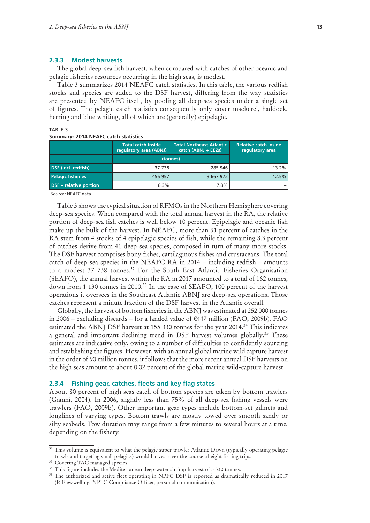#### **2.3.3 Modest harvests**

The global deep-sea fish harvest, when compared with catches of other oceanic and pelagic fisheries resources occurring in the high seas, is modest.

Table 3 summarizes 2014 NEAFC catch statistics. In this table, the various redfish stocks and species are added to the DSF harvest, differing from the way statistics are presented by NEAFC itself, by pooling all deep-sea species under a single set of figures. The pelagic catch statistics consequently only cover mackerel, haddock, herring and blue whiting, all of which are (generally) epipelagic.

#### Table 3

#### **Summary: 2014 NEAFC catch statistics**

|                          | <b>Total catch inside</b><br>regulatory area (ABNJ) | <b>Total Northeast Atlantic</b><br>catch (ABNJ + EEZs) | <b>Relative catch inside</b><br>regulatory area |
|--------------------------|-----------------------------------------------------|--------------------------------------------------------|-------------------------------------------------|
|                          | (tonnes)                                            |                                                        |                                                 |
| DSF (incl. redfish)      | 37 738                                              | 285 946                                                | $13.2\%$                                        |
| <b>Pelagic fisheries</b> | 456 957                                             | 3 667 972                                              | 12.5%                                           |
| DSF - relative portion   | 8.3%                                                | 7.8%                                                   |                                                 |

*Source:* NEAFC data.

Table 3 shows the typical situation of RFMOs in the Northern Hemisphere covering deep-sea species. When compared with the total annual harvest in the RA, the relative portion of deep-sea fish catches is well below 10 percent. Epipelagic and oceanic fish make up the bulk of the harvest. In NEAFC, more than 91 percent of catches in the RA stem from 4 stocks of 4 epipelagic species of fish, while the remaining 8.3 percent of catches derive from 41 deep-sea species, composed in turn of many more stocks. The DSF harvest comprises bony fishes, cartilaginous fishes and crustaceans. The total catch of deep-sea species in the NEAFC RA in 2014 – including redfish – amounts to a modest 37 738 tonnes.<sup>32</sup> For the South East Atlantic Fisheries Organisation (SEAFO), the annual harvest within the RA in 2017 amounted to a total of 162 tonnes, down from 1 130 tonnes in 2010.<sup>33</sup> In the case of SEAFO, 100 percent of the harvest operations it oversees in the Southeast Atlantic ABNJ are deep-sea operations. Those catches represent a minute fraction of the DSF harvest in the Atlantic overall.

Globally, the harvest of bottom fisheries in the ABNJ was estimated at 252 000 tonnes in 2006 – excluding discards – for a landed value of €447 million (FAO, 2009b). FAO estimated the ABNJ DSF harvest at 155 330 tonnes for the year 2014.<sup>34</sup> This indicates a general and important declining trend in DSF harvest volumes globally.<sup>35</sup> These estimates are indicative only, owing to a number of difficulties to confidently sourcing and establishing the figures. However, with an annual global marine wild capture harvest in the order of 90 million tonnes, it follows that the more recent annual DSF harvests on the high seas amount to about 0.02 percent of the global marine wild-capture harvest.

#### **2.3.4 Fishing gear, catches, fleets and key flag states**

About 80 percent of high seas catch of bottom species are taken by bottom trawlers (Gianni, 2004). In 2006, slightly less than 75% of all deep-sea fishing vessels were trawlers (FAO, 2009b). Other important gear types include bottom-set gillnets and longlines of varying types. Bottom trawls are mostly towed over smooth sandy or silty seabeds. Tow duration may range from a few minutes to several hours at a time, depending on the fishery.

<sup>&</sup>lt;sup>32</sup> This volume is equivalent to what the pelagic super-trawler Atlantic Dawn (typically operating pelagic trawls and targeting small pelagics) would harvest over the course of eight fishing trips.

<sup>&</sup>lt;sup>33</sup> Covering TAC managed species.

<sup>&</sup>lt;sup>34</sup> This figure includes the Mediterranean deep-water shrimp harvest of 5 330 tonnes.

<sup>&</sup>lt;sup>35</sup> The authorized and active fleet operating in NPFC DSF is reported as dramatically reduced in 2017 (P. Flewwelling, NPFC Compliance Officer, personal communication).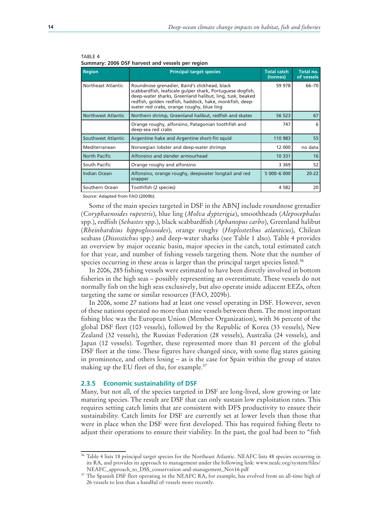| <b>Region</b>       | <b>Principal target species</b>                                                                                                                                                                                                                                                |             |           |  |
|---------------------|--------------------------------------------------------------------------------------------------------------------------------------------------------------------------------------------------------------------------------------------------------------------------------|-------------|-----------|--|
| Northeast Atlantic  | Roundnose grenadier, Baird's slickhead, black<br>scabbardfish, leafscale quiper shark, Portuguese dogfish,<br>deep-water sharks, Greenland halibut, ling, tusk, beaked<br>redfish, golden redfish, haddock, hake, monkfish, deep-<br>water red crabs, orange roughy, blue ling | 59 978      | $66 - 70$ |  |
| Northwest Atlantic  | Northern shrimp, Greenland halibut, redfish and skates                                                                                                                                                                                                                         | 56 523      | 67        |  |
|                     | Orange roughy, alfonsino, Patagonian toothfish and<br>deep-sea red crabs                                                                                                                                                                                                       | 747         | 6         |  |
| Southwest Atlantic  | Argentine hake and Argentine short-fin squid                                                                                                                                                                                                                                   | 110 983     | 55        |  |
| Mediterranean       | Norwegian lobster and deep-water shrimps                                                                                                                                                                                                                                       | 12 000      | no data   |  |
| North Pacific       | Alfonsino and slender armourhead                                                                                                                                                                                                                                               | 10 331      | 16        |  |
| South Pacific       | Orange roughy and alfonsino                                                                                                                                                                                                                                                    | 3 3 6 9     | 52        |  |
| <b>Indian Ocean</b> | Alfonsino, orange roughy, deepwater longtail and red<br>snapper                                                                                                                                                                                                                | 5 000-6 000 | $20 - 22$ |  |
| Southern Ocean      | Toothfish (2 species)                                                                                                                                                                                                                                                          | 4 5 8 2     | 20        |  |

| IABLE 4                                          |  |  |  |  |
|--------------------------------------------------|--|--|--|--|
| Summary: 2006 DSF harvest and vessels per region |  |  |  |  |

*Source:* Adapted from FAO (2009b).

Some of the main species targeted in DSF in the ABNJ include roundnose grenadier (*Coryphaenoides rupestris*), blue ling (*Molva dypterigia*), smoothheads (*Alepocephalus* spp.), redfish (*Sebastes* spp.), black scabbardfish (*Aphanopus carbo*), Greenland halibut (*Rheinhardtius hippoglossoides*), orange roughy (*Hoplostethus atlanticus*), Chilean seabass (*Dissostichus* spp.) and deep-water sharks (see Table 1 also). Table 4 provides an overview by major oceanic basin, major species in the catch, total estimated catch for that year, and number of fishing vessels targeting them. Note that the number of species occurring in these areas is larger than the principal target species listed.<sup>36</sup>

In 2006, 285 fishing vessels were estimated to have been directly involved in bottom fisheries in the high seas – possibly representing an overestimate. These vessels do not normally fish on the high seas exclusively, but also operate inside adjacent EEZs, often targeting the same or similar resources (FAO, 2009b).

In 2006, some 27 nations had at least one vessel operating in DSF. However, seven of these nations operated no more than nine vessels between them. The most important fishing bloc was the European Union (Member Organization), with 36 percent of the global DSF fleet (103 vessels), followed by the Republic of Korea (33 vessels), New Zealand (32 vessels), the Russian Federation (28 vessels), Australia (24 vessels), and Japan (12 vessels). Together, these represented more than 81 percent of the global DSF fleet at the time. These figures have changed since, with some flag states gaining in prominence, and others losing – as is the case for Spain within the group of states making up the EU fleet of the, for example.<sup>37</sup>

#### **2.3.5 Economic sustainability of DSF**

Many, but not all, of the species targeted in DSF are long-lived, slow growing or late maturing species. The result are DSF that can only sustain low exploitation rates. This requires setting catch limits that are consistent with DFS productivity to ensure their sustainability. Catch limits for DSF are currently set at lower levels than those that were in place when the DSF were first developed. This has required fishing fleets to adjust their operations to ensure their viability. In the past, the goal had been to "fish

Table 4

<sup>36</sup> Table 4 lists 18 principal target species for the Northeast Atlantic. NEAFC lists 48 species occurring in its RA, and provides its approach to management under the following link: www.neafc.org/system/files/ NEAFC\_approach\_to\_DSS\_conservation-and-management\_Nov16.pdf

<sup>&</sup>lt;sup>37</sup> The Spanish DSF fleet operating in the NEAFC RA, for example, has evolved from an all-time high of 26 vessels to less than a handful of vessels more recently.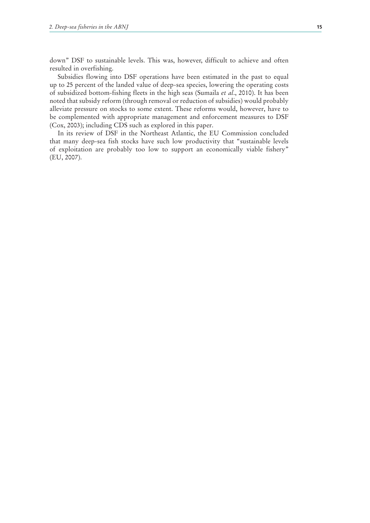down" DSF to sustainable levels. This was, however, difficult to achieve and often resulted in overfishing.

Subsidies flowing into DSF operations have been estimated in the past to equal up to 25 percent of the landed value of deep-sea species, lowering the operating costs of subsidized bottom-fishing fleets in the high seas (Sumaila *et al*., 2010). It has been noted that subsidy reform (through removal or reduction of subsidies) would probably alleviate pressure on stocks to some extent. These reforms would, however, have to be complemented with appropriate management and enforcement measures to DSF (Cox, 2003); including CDS such as explored in this paper.

In its review of DSF in the Northeast Atlantic, the EU Commission concluded that many deep-sea fish stocks have such low productivity that "sustainable levels of exploitation are probably too low to support an economically viable fishery" (EU, 2007).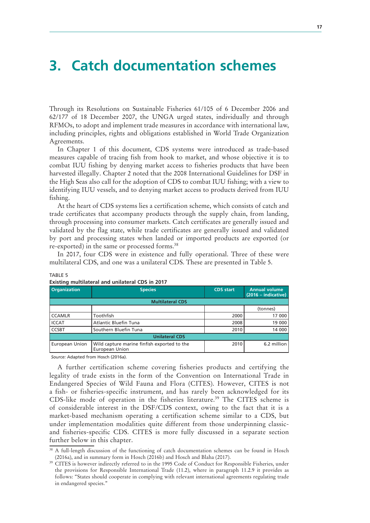## **3. Catch documentation schemes**

Through its Resolutions on Sustainable Fisheries 61/105 of 6 December 2006 and 62/177 of 18 December 2007, the UNGA urged states, individually and through RFMOs, to adopt and implement trade measures in accordance with international law, including principles, rights and obligations established in World Trade Organization Agreements.

In Chapter 1 of this document, CDS systems were introduced as trade-based measures capable of tracing fish from hook to market, and whose objective it is to combat IUU fishing by denying market access to fisheries products that have been harvested illegally. Chapter 2 noted that the 2008 International Guidelines for DSF in the High Seas also call for the adoption of CDS to combat IUU fishing; with a view to identifying IUU vessels, and to denying market access to products derived from IUU fishing.

At the heart of CDS systems lies a certification scheme, which consists of catch and trade certificates that accompany products through the supply chain, from landing, through processing into consumer markets. Catch certificates are generally issued and validated by the flag state, while trade certificates are generally issued and validated by port and processing states when landed or imported products are exported (or re-exported) in the same or processed forms.38

In 2017, four CDS were in existence and fully operational. Three of these were multilateral CDS, and one was a unilateral CDS. These are presented in Table 5.

| <b>Organization</b>     | <b>Species</b>                                                | <b>CDS start</b> | <b>Annual volume</b><br>$(2016 - indicative)$ |  |  |  |  |  |
|-------------------------|---------------------------------------------------------------|------------------|-----------------------------------------------|--|--|--|--|--|
| <b>Multilateral CDS</b> |                                                               |                  |                                               |  |  |  |  |  |
|                         |                                                               |                  | (tonnes)                                      |  |  |  |  |  |
| <b>CCAMLR</b>           | Toothfish                                                     | 2000             | 17 000                                        |  |  |  |  |  |
| <b>ICCAT</b>            | <b>Atlantic Bluefin Tuna</b>                                  | 2008             | 19 000                                        |  |  |  |  |  |
| <b>CCSBT</b>            | Southern Bluefin Tuna                                         | 2010             | 14 000                                        |  |  |  |  |  |
| <b>Unilateral CDS</b>   |                                                               |                  |                                               |  |  |  |  |  |
| European Union          | Wild capture marine finfish exported to the<br>European Union | 2010             | 6.2 million                                   |  |  |  |  |  |

#### TARI F 5 **Existing multilateral and unilateral CDS in 2017**

*Source:* Adapted from Hosch (2016a).

A further certification scheme covering fisheries products and certifying the legality of trade exists in the form of the Convention on International Trade in Endangered Species of Wild Fauna and Flora (CITES). However, CITES is not a fish- or fisheries-specific instrument, and has rarely been acknowledged for its CDS-like mode of operation in the fisheries literature.<sup>39</sup> The CITES scheme is of considerable interest in the DSF/CDS context, owing to the fact that it is a market-based mechanism operating a certification scheme similar to a CDS, but under implementation modalities quite different from those underpinning classicand fisheries-specific CDS. CITES is more fully discussed in a separate section further below in this chapter.

<sup>&</sup>lt;sup>38</sup> A full-length discussion of the functioning of catch documentation schemes can be found in Hosch (2016a), and in summary form in Hosch (2016b) and Hosch and Blaha (2017).

<sup>&</sup>lt;sup>39</sup> CITES is however indirectly referred to in the 1995 Code of Conduct for Responsible Fisheries, under the provisions for Responsible International Trade (11.2), where in paragraph 11.2.9 it provides as follows: "States should cooperate in complying with relevant international agreements regulating trade in endangered species."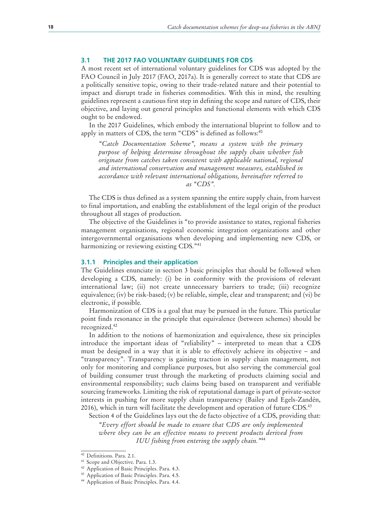#### **3.1 The 2017 FAO Voluntary Guidelines for CDS**

A most recent set of international voluntary guidelines for CDS was adopted by the FAO Council in July 2017 (FAO, 2017a). It is generally correct to state that CDS are a politically sensitive topic, owing to their trade-related nature and their potential to impact and disrupt trade in fisheries commodities. With this in mind, the resulting guidelines represent a cautious first step in defining the scope and nature of CDS, their objective, and laying out general principles and functional elements with which CDS ought to be endowed.

In the 2017 Guidelines, which embody the international bluprint to follow and to apply in matters of CDS, the term "CDS" is defined as follows:<sup>40</sup>

*"Catch Documentation Scheme", means a system with the primary purpose of helping determine throughout the supply chain whether fish originate from catches taken consistent with applicable national, regional and international conservation and management measures, established in accordance with relevant international obligations, hereinafter referred to as "CDS".*

The CDS is thus defined as a system spanning the entire supply chain, from harvest to final importation, and enabling the establishment of the legal origin of the product throughout all stages of production.

The objective of the Guidelines is "to provide assistance to states, regional fisheries management organisations, regional economic integration organizations and other intergovernmental organisations when developing and implementing new CDS, or harmonizing or reviewing existing CDS."<sup>41</sup>

#### **3.1.1 Principles and their application**

The Guidelines enunciate in section 3 basic principles that should be followed when developing a CDS, namely: (i) be in conformity with the provisions of relevant international law; (ii) not create unnecessary barriers to trade; (iii) recognize equivalence; (iv) be risk-based; (v) be reliable, simple, clear and transparent; and (vi) be electronic, if possible.

Harmonization of CDS is a goal that may be pursued in the future. This particular point finds resonance in the principle that equivalence (between schemes) should be recognized.42

In addition to the notions of harmonization and equivalence, these six principles introduce the important ideas of "reliability" – interpreted to mean that a CDS must be designed in a way that it is able to effectively achieve its objective – and "transparency". Transparency is gaining traction in supply chain management, not only for monitoring and compliance purposes, but also serving the commercial goal of building consumer trust through the marketing of products claiming social and environmental responsibility; such claims being based on transparent and verifiable sourcing frameworks. Limiting the risk of reputational damage is part of private-sector interests in pushing for more supply chain transparency (Bailey and Egels-Zandén, 2016), which in turn will facilitate the development and operation of future CDS.43

Section 4 of the Guidelines lays out the de facto objective of a CDS, providing that: *"Every effort should be made to ensure that CDS are only implemented* 

*where they can be an effective means to prevent products derived from IUU fishing from entering the supply chain."*<sup>44</sup>

<sup>40</sup> Definitions. Para. 2.1.

<sup>41</sup> Scope and Objective. Para. 1.3.

<sup>42</sup> Application of Basic Principles. Para. 4.3.

<sup>43</sup> Application of Basic Principles. Para. 4.5.

<sup>44</sup> Application of Basic Principles. Para. 4.4.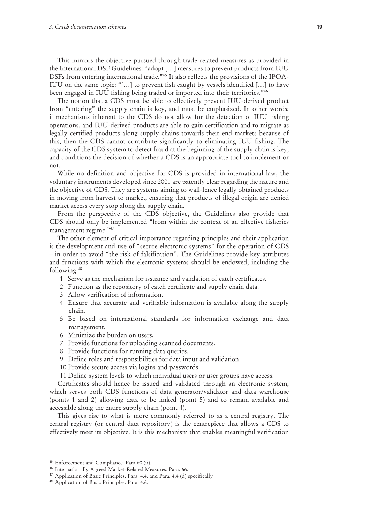This mirrors the objective pursued through trade-related measures as provided in the International DSF Guidelines: "adopt […] measures to prevent products from IUU DSFs from entering international trade."45 It also reflects the provisions of the IPOA-IUU on the same topic: "[…] to prevent fish caught by vessels identified […] to have been engaged in IUU fishing being traded or imported into their territories."46

The notion that a CDS must be able to effectively prevent IUU-derived product from "entering" the supply chain is key, and must be emphasized. In other words; if mechanisms inherent to the CDS do not allow for the detection of IUU fishing operations, and IUU-derived products are able to gain certification and to migrate as legally certified products along supply chains towards their end-markets because of this, then the CDS cannot contribute significantly to eliminating IUU fishing. The capacity of the CDS system to detect fraud at the beginning of the supply chain is key, and conditions the decision of whether a CDS is an appropriate tool to implement or not.

While no definition and objective for CDS is provided in international law, the voluntary instruments developed since 2001 are patently clear regarding the nature and the objective of CDS. They are systems aiming to wall-fence legally obtained products in moving from harvest to market, ensuring that products of illegal origin are denied market access every stop along the supply chain.

From the perspective of the CDS objective, the Guidelines also provide that CDS should only be implemented "from within the context of an effective fisheries management regime."47

The other element of critical importance regarding principles and their application is the development and use of "secure electronic systems" for the operation of CDS – in order to avoid "the risk of falsification". The Guidelines provide key attributes and functions with which the electronic systems should be endowed, including the following:48

- 1 Serve as the mechanism for issuance and validation of catch certificates.
- 2 Function as the repository of catch certificate and supply chain data.
- 3 Allow verification of information.
- 4 Ensure that accurate and verifiable information is available along the supply chain.
- 5 Be based on international standards for information exchange and data management.
- 6 Minimize the burden on users.
- 7 Provide functions for uploading scanned documents.
- 8 Provide functions for running data queries.
- 9 Define roles and responsibilities for data input and validation.
- 10 Provide secure access via logins and passwords.
- 11 Define system levels to which individual users or user groups have access.

Certificates should hence be issued and validated through an electronic system, which serves both CDS functions of data generator/validator and data warehouse (points 1 and 2) allowing data to be linked (point 5) and to remain available and accessible along the entire supply chain (point 4).

This gives rise to what is more commonly referred to as a central registry. The central registry (or central data repository) is the centrepiece that allows a CDS to effectively meet its objective. It is this mechanism that enables meaningful verification

<sup>45</sup> Enforcement and Compliance. Para 60 (ii).

<sup>46</sup> Internationally Agreed Market-Related Measures. Para. 66.

<sup>47</sup> Application of Basic Principles. Para. 4.4. and Para. 4.4 (d) specifically

<sup>48</sup> Application of Basic Principles. Para. 4.6.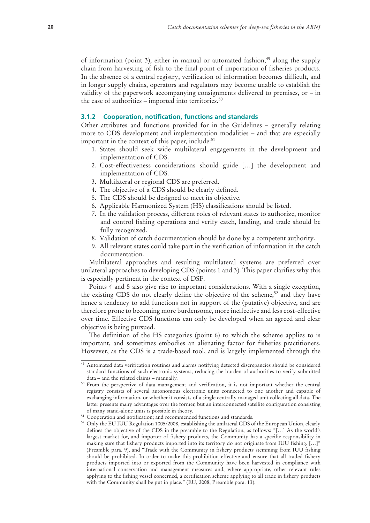of information (point 3), either in manual or automated fashion,<sup>49</sup> along the supply chain from harvesting of fish to the final point of importation of fisheries products. In the absence of a central registry, verification of information becomes difficult, and in longer supply chains, operators and regulators may become unable to establish the validity of the paperwork accompanying consignments delivered to premises, or – in the case of authorities – imported into territories.<sup>50</sup>

#### **3.1.2 Cooperation, notification, functions and standards**

Other attributes and functions provided for in the Guidelines – generally relating more to CDS development and implementation modalities – and that are especially important in the context of this paper, include:<sup>51</sup>

- 1. States should seek wide multilateral engagements in the development and implementation of CDS.
- 2. Cost-effectiveness considerations should guide […] the development and implementation of CDS.
- 3. Multilateral or regional CDS are preferred.
- 4. The objective of a CDS should be clearly defined.
- 5. The CDS should be designed to meet its objective.
- 6. Applicable Harmonized System (HS) classifications should be listed.
- 7. In the validation process, different roles of relevant states to authorize, monitor and control fishing operations and verify catch, landing, and trade should be fully recognized.
- 8. Validation of catch documentation should be done by a competent authority.
- 9. All relevant states could take part in the verification of information in the catch documentation.

Multilateral approaches and resulting multilateral systems are preferred over unilateral approaches to developing CDS (points 1 and 3). This paper clarifies why this is especially pertinent in the context of DSF.

Points 4 and 5 also give rise to important considerations. With a single exception, the existing CDS do not clearly define the objective of the scheme, $52$  and they have hence a tendency to add functions not in support of the (putative) objective, and are therefore prone to becoming more burdensome, more ineffective and less cost-effective over time. Effective CDS functions can only be developed when an agreed and clear objective is being pursued.

The definition of the HS categories (point 6) to which the scheme applies to is important, and sometimes embodies an alienating factor for fisheries practitioners. However, as the CDS is a trade-based tool, and is largely implemented through the

<sup>49</sup> Automated data verification routines and alarms notifying detected discrepancies should be considered standard functions of such electronic systems, reducing the burden of authorities to verify submitted data – and the related claims – manually.

<sup>&</sup>lt;sup>50</sup> From the perspective of data management and verification, it is not important whether the central registry consists of several autonomous electronic units connected to one another and capable of exchanging information, or whether it consists of a single centrally managed unit collecting all data. The latter presents many advantages over the former, but an interconnected satellite configuration consisting of many stand-alone units is possible in theory.

<sup>&</sup>lt;sup>51</sup> Cooperation and notification; and recommended functions and standards.

<sup>&</sup>lt;sup>52</sup> Only the EU IUU Regulation 1005/2008, establishing the unilateral CDS of the European Union, clearly defines the objective of the CDS in the preamble to the Regulation, as follows: "[…] As the world's largest market for, and importer of fishery products, the Community has a specific responsibility in making sure that fishery products imported into its territory do not originate from IUU fishing. […]" (Preamble para. 9), and "Trade with the Community in fishery products stemming from IUU fishing should be prohibited. In order to make this prohibition effective and ensure that all traded fishery products imported into or exported from the Community have been harvested in compliance with international conservation and management measures and, where appropriate, other relevant rules applying to the fishing vessel concerned, a certification scheme applying to all trade in fishery products with the Community shall be put in place." (EU, 2008, Preamble para. 13).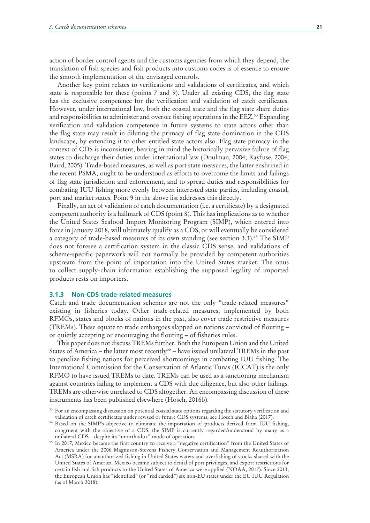action of border control agents and the customs agencies from which they depend, the translation of fish species and fish products into customs codes is of essence to ensure the smooth implementation of the envisaged controls.

Another key point relates to verifications and validations of certificates, and which state is responsible for these (points 7 and 9). Under all existing CDS, the flag state has the exclusive competence for the verification and validation of catch certificates. However, under international law, both the coastal state and the flag state share duties and responsibilities to administer and oversee fishing operations in the EEZ.<sup>53</sup> Expanding verification and validation competence in future systems to state actors other than the flag state may result in diluting the primacy of flag state domination in the CDS landscape, by extending it to other entitled state actors also. Flag state primacy in the context of CDS is inconsistent, bearing in mind the historically pervasive failure of flag states to discharge their duties under international law (Doulman, 2004; Rayfuse, 2004; Baird, 2005). Trade-based measures, as well as port state measures, the latter enshrined in the recent PSMA, ought to be understood as efforts to overcome the limits and failings of flag state jurisdiction and enforcement, and to spread duties and responsibilities for combating IUU fishing more evenly between interested state parties, including coastal, port and market states. Point 9 in the above list addresses this directly.

Finally, an act of validation of catch documentation (i.e. a certificate) by a designated competent authority is a hallmark of CDS (point 8). This has implications as to whether the United States Seafood Import Monitoring Program (SIMP), which entered into force in January 2018, will ultimately qualify as a CDS, or will eventually be considered a category of trade-based measures of its own standing (see section 3.3).<sup>54</sup> The SIMP does not foresee a certification system in the classic CDS sense, and validations of scheme-specific paperwork will not normally be provided by competent authorities upstream from the point of importation into the United States market. The onus to collect supply-chain information establishing the supposed legality of imported products rests on importers.

#### **3.1.3 Non-CDS trade-related measures**

Catch and trade documentation schemes are not the only "trade-related measures" existing in fisheries today. Other trade-related measures, implemented by both RFMOs, states and blocks of nations in the past, also cover trade restrictive measures (TREMs). These equate to trade embargoes slapped on nations convicted of flouting – or quietly accepting or encouraging the flouting – of fisheries rules.

This paper does not discuss TREMs further. Both the European Union and the United States of America – the latter most recently<sup>55</sup> – have issued unilateral TREMs in the past to penalize fishing nations for perceived shortcomings in combating IUU fishing. The International Commission for the Conservation of Atlantic Tunas (ICCAT) is the only RFMO to have issued TREMs to date. TREMs can be used as a sanctioning mechanism against countries failing to implement a CDS with due diligence, but also other failings. TREMs are otherwise unrelated to CDS altogether. An encompassing discussion of these instruments has been published elsewhere (Hosch, 2016b).

<sup>&</sup>lt;sup>53</sup> For an encompassing discussion on potential coastal state options regarding the statutory verification and validation of catch certificates under revised or future CDS systems, see Hosch and Blaha (2017).

<sup>&</sup>lt;sup>54</sup> Based on the SIMP's objective to eliminate the importation of products derived from IUU fishing, congruent with the objective of a CDS, the SIMP is currently regarded/understood by many as a unilateral CDS – despite its "unorthodox" mode of operation.

<sup>55</sup> In 2017, Mexico became the first country to receive a "negative certification" from the United States of America under the 2006 Magnuson-Stevens Fishery Conservation and Management Reauthorization Act (MSRA) for unauthorized fishing in United States waters and overfishing of stocks shared with the United States of America. Mexico became subject to denial of port privileges, and export restrictions for certain fish and fish products to the United States of America were applied (NOAA, 2017). Since 2013, the European Union has "identified" (or "red carded") six non-EU states under the EU IUU Regulation (as of March 2018).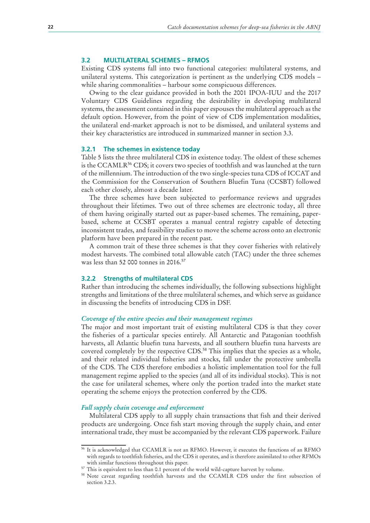#### **3.2 Multilateral schemes – RFMOs**

Existing CDS systems fall into two functional categories: multilateral systems, and unilateral systems. This categorization is pertinent as the underlying CDS models – while sharing commonalities – harbour some conspicuous differences.

Owing to the clear guidance provided in both the 2001 IPOA-IUU and the 2017 Voluntary CDS Guidelines regarding the desirability in developing multilateral systems, the assessment contained in this paper espouses the multilateral approach as the default option. However, from the point of view of CDS implementation modalities, the unilateral end-market approach is not to be dismissed, and unilateral systems and their key characteristics are introduced in summarized manner in section 3.3.

#### **3.2.1 The schemes in existence today**

Table 5 lists the three multilateral CDS in existence today. The oldest of these schemes is the CCAMLR<sup>56</sup> CDS; it covers two species of toothfish and was launched at the turn of the millennium. The introduction of the two single-species tuna CDS of ICCAT and the Commission for the Conservation of Southern Bluefin Tuna (CCSBT) followed each other closely, almost a decade later.

The three schemes have been subjected to performance reviews and upgrades throughout their lifetimes. Two out of three schemes are electronic today, all three of them having originally started out as paper-based schemes. The remaining, paperbased, scheme at CCSBT operates a manual central registry capable of detecting inconsistent trades, and feasibility studies to move the scheme across onto an electronic platform have been prepared in the recent past.

A common trait of these three schemes is that they cover fisheries with relatively modest harvests. The combined total allowable catch (TAC) under the three schemes was less than 52 000 tonnes in  $2016$ <sup>57</sup>

#### **3.2.2 Strengths of multilateral CDS**

Rather than introducing the schemes individually, the following subsections highlight strengths and limitations of the three multilateral schemes, and which serve as guidance in discussing the benefits of introducing CDS in DSF.

#### *Coverage of the entire species and their management regimes*

The major and most important trait of existing multilateral CDS is that they cover the fisheries of a particular species entirely. All Antarctic and Patagonian toothfish harvests, all Atlantic bluefin tuna harvests, and all southern bluefin tuna harvests are covered completely by the respective CDS.<sup>58</sup> This implies that the species as a whole, and their related individual fisheries and stocks, fall under the protective umbrella of the CDS. The CDS therefore embodies a holistic implementation tool for the full management regime applied to the species (and all of its individual stocks). This is not the case for unilateral schemes, where only the portion traded into the market state operating the scheme enjoys the protection conferred by the CDS.

#### *Full supply chain coverage and enforcement*

Multilateral CDS apply to all supply chain transactions that fish and their derived products are undergoing. Once fish start moving through the supply chain, and enter international trade, they must be accompanied by the relevant CDS paperwork. Failure

<sup>56</sup> It is acknowledged that CCAMLR is not an RFMO. However, it executes the functions of an RFMO with regards to toothfish fisheries, and the CDS it operates, and is therefore assimilated to other RFMOs with similar functions throughout this paper.

<sup>&</sup>lt;sup>57</sup> This is equivalent to less than 0.1 percent of the world wild-capture harvest by volume.

<sup>58</sup> Note caveat regarding toothfish harvests and the CCAMLR CDS under the first subsection of section 3.2.3.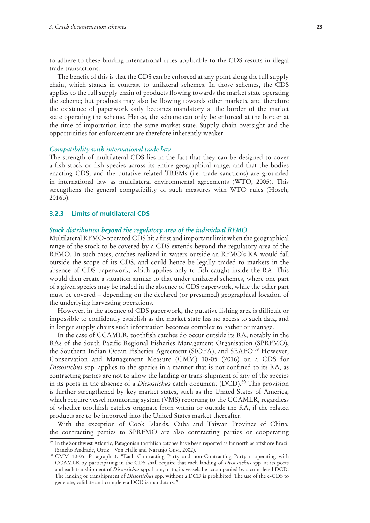to adhere to these binding international rules applicable to the CDS results in illegal trade transactions.

The benefit of this is that the CDS can be enforced at any point along the full supply chain, which stands in contrast to unilateral schemes. In those schemes, the CDS applies to the full supply chain of products flowing towards the market state operating the scheme; but products may also be flowing towards other markets, and therefore the existence of paperwork only becomes mandatory at the border of the market state operating the scheme. Hence, the scheme can only be enforced at the border at the time of importation into the same market state. Supply chain oversight and the opportunities for enforcement are therefore inherently weaker.

#### *Compatibility with international trade law*

The strength of multilateral CDS lies in the fact that they can be designed to cover a fish stock or fish species across its entire geographical range, and that the bodies enacting CDS, and the putative related TREMs (i.e. trade sanctions) are grounded in international law as multilateral environmental agreements (WTO, 2005). This strengthens the general compatibility of such measures with WTO rules (Hosch, 2016b).

## **3.2.3 Limits of multilateral CDS**

#### *Stock distribution beyond the regulatory area of the individual RFMO*

Multilateral RFMO-operated CDS hit a first and important limit when the geographical range of the stock to be covered by a CDS extends beyond the regulatory area of the RFMO. In such cases, catches realized in waters outside an RFMO's RA would fall outside the scope of its CDS, and could hence be legally traded to markets in the absence of CDS paperwork, which applies only to fish caught inside the RA. This would then create a situation similar to that under unilateral schemes, where one part of a given species may be traded in the absence of CDS paperwork, while the other part must be covered – depending on the declared (or presumed) geographical location of the underlying harvesting operations.

However, in the absence of CDS paperwork, the putative fishing area is difficult or impossible to confidently establish as the market state has no access to such data, and in longer supply chains such information becomes complex to gather or manage.

In the case of CCAMLR, toothfish catches do occur outside its RA, notably in the RAs of the South Pacific Regional Fisheries Management Organisation (SPRFMO), the Southern Indian Ocean Fisheries Agreement (SIOFA), and SEAFO.<sup>59</sup> However, Conservation and Management Measure (CMM) 10-05 (2016) on a CDS for *Dissostichus* spp. applies to the species in a manner that is not confined to its RA, as contracting parties are not to allow the landing or trans-shipment of any of the species in its ports in the absence of a *Dissostichus* catch document (DCD).60 This provision is further strengthened by key market states, such as the United States of America, which require vessel monitoring system (VMS) reporting to the CCAMLR, regardless of whether toothfish catches originate from within or outside the RA, if the related products are to be imported into the United States market thereafter.

With the exception of Cook Islands, Cuba and Taiwan Province of China, the contracting parties to SPRFMO are also contracting parties or cooperating

<sup>59</sup> In the Southwest Atlantic, Patagonian toothfish catches have been reported as far north as offshore Brazil (Sancho Andrade, Ortiz - Von Halle and Naranjo Cuvi, 2002).

<sup>60</sup> CMM 10-05. Paragraph 3. "Each Contracting Party and non-Contracting Party cooperating with CCAMLR by participating in the CDS shall require that each landing of *Dissostichus* spp. at its ports and each transhipment of *Dissostichus* spp. from, or to, its vessels be accompanied by a completed DCD. The landing or transhipment of *Dissostichus* spp. without a DCD is prohibited. The use of the e-CDS to generate, validate and complete a DCD is mandatory."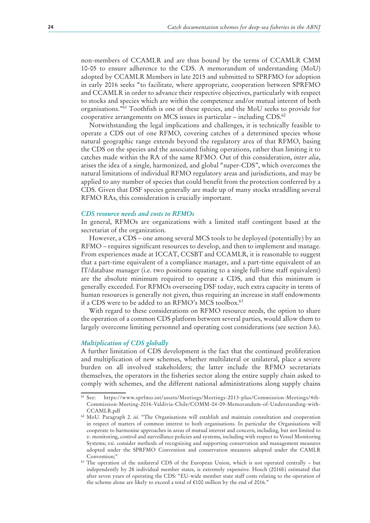non-members of CCAMLR and are thus bound by the terms of CCAMLR CMM 10-05 to ensure adherence to the CDS. A memorandum of understanding (MoU) adopted by CCAMLR Members in late 2015 and submitted to SPRFMO for adoption in early 2016 seeks "to facilitate, where appropriate, cooperation between SPRFMO and CCAMLR in order to advance their respective objectives, particularly with respect to stocks and species which are within the competence and/or mutual interest of both organisations."61 Toothfish is one of these species, and the MoU seeks to provide for cooperative arrangements on MCS issues in particular - including CDS.<sup>62</sup>

Notwithstanding the legal implications and challenges, it is technically feasible to operate a CDS out of one RFMO, covering catches of a determined species whose natural geographic range extends beyond the regulatory area of that RFMO, basing the CDS on the species and the associated fishing operations, rather than limiting it to catches made within the RA of the same RFMO. Out of this consideration, *inter alia*, arises the idea of a single, harmonized, and global "super-CDS", which overcomes the natural limitations of individual RFMO regulatory areas and jurisdictions, and may be applied to any number of species that could benefit from the protection conferred by a CDS. Given that DSF species generally are made up of many stocks straddling several RFMO RAs, this consideration is crucially important.

#### *CDS resource needs and costs to RFMOs*

In general, RFMOs are organizations with a limited staff contingent based at the secretariat of the organization.

However, a CDS – one among several MCS tools to be deployed (potentially) by an RFMO – requires significant resources to develop, and then to implement and manage. From experiences made at ICCAT, CCSBT and CCAMLR, it is reasonable to suggest that a part-time equivalent of a compliance manager, and a part-time equivalent of an IT/database manager (i.e. two positions equating to a single full-time staff equivalent) are the absolute minimum required to operate a CDS, and that this minimum is generally exceeded. For RFMOs overseeing DSF today, such extra capacity in terms of human resources is generally not given, thus requiring an increase in staff endowments if a CDS were to be added to an RFMO's MCS toolbox.<sup>63</sup>

With regard to these considerations on RFMO resource needs, the option to share the operation of a common CDS platform between several parties, would allow them to largely overcome limiting personnel and operating cost considerations (see section 3.6).

## *Multiplication of CDS globally*

A further limitation of CDS development is the fact that the continued proliferation and multiplication of new schemes, whether multilateral or unilateral, place a severe burden on all involved stakeholders; the latter include the RFMO secretariats themselves, the operators in the fisheries sector along the entire supply chain asked to comply with schemes, and the different national administrations along supply chains

<sup>61</sup> See: https://www.sprfmo.int/assets/Meetings/Meetings-2013-plus/Commission-Meetings/4th-Commission-Meeting-2016-Valdivia-Chile/COMM-04-09-Memorandum-of-Understanding-with-CCAMLR.pdf

<sup>62</sup> MoU. Paragraph 2. *iii*. "The Organisations will establish and maintain consultation and cooperation in respect of matters of common interest to both organisations. In particular the Organisations will cooperate to harmonise approaches in areas of mutual interest and concern, including, but not limited to *v*. monitoring, control and surveillance policies and systems, including with respect to Vessel Monitoring Systems; *vii*. consider methods of recognizing and supporting conservation and management measures adopted under the SPRFMO Convention and conservation measures adopted under the CAMLR Convention:'

<sup>&</sup>lt;sup>63</sup> The operation of the unilateral CDS of the European Union, which is not operated centrally – but independently by 28 individual member states, is extremely expensive. Hosch (2016b) estimated that after seven years of operating the CDS: "EU-wide member state staff costs relating to the operation of the scheme alone are likely to exceed a total of €100 million by the end of 2016."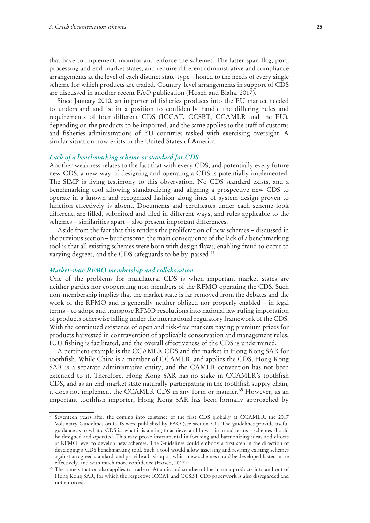that have to implement, monitor and enforce the schemes. The latter span flag, port, processing and end-market states, and require different administrative and compliance arrangements at the level of each distinct state-type – honed to the needs of every single scheme for which products are traded. Country-level arrangements in support of CDS are discussed in another recent FAO publication (Hosch and Blaha, 2017).

Since January 2010, an importer of fisheries products into the EU market needed to understand and be in a position to confidently handle the differing rules and requirements of four different CDS (ICCAT, CCSBT, CCAMLR and the EU), depending on the products to be imported, and the same applies to the staff of customs and fisheries administrations of EU countries tasked with exercising oversight. A similar situation now exists in the United States of America.

#### *Lack of a benchmarking scheme or standard for CDS*

Another weakness relates to the fact that with every CDS, and potentially every future new CDS, a new way of designing and operating a CDS is potentially implemented. The SIMP is living testimony to this observation. No CDS standard exists, and a benchmarking tool allowing standardizing and aligning a prospective new CDS to operate in a known and recognized fashion along lines of system design proven to function effectively is absent. Documents and certificates under each scheme look different, are filled, submitted and filed in different ways, and rules applicable to the schemes – similarities apart – also present important differences.

Aside from the fact that this renders the proliferation of new schemes – discussed in the previous section – burdensome, the main consequence of the lack of a benchmarking tool is that all existing schemes were born with design flaws, enabling fraud to occur to varying degrees, and the CDS safeguards to be by-passed.<sup>64</sup>

## *Market-state RFMO membership and collaboration*

One of the problems for multilateral CDS is when important market states are neither parties nor cooperating non-members of the RFMO operating the CDS. Such non-membership implies that the market state is far removed from the debates and the work of the RFMO and is generally neither obliged nor properly enabled – in legal terms – to adopt and transpose RFMO resolutions into national law ruling importation of products otherwise falling under the international regulatory framework of the CDS. With the continued existence of open and risk-free markets paying premium prices for products harvested in contravention of applicable conservation and management rules, IUU fishing is facilitated, and the overall effectiveness of the CDS is undermined.

A pertinent example is the CCAMLR CDS and the market in Hong Kong SAR for toothfish. While China is a member of CCAMLR, and applies the CDS, Hong Kong SAR is a separate administrative entity, and the CAMLR convention has not been extended to it. Therefore, Hong Kong SAR has no stake in CCAMLR's toothfish CDS, and as an end-market state naturally participating in the toothfish supply chain, it does not implement the CCAMLR CDS in any form or manner.<sup>65</sup> However, as an important toothfish importer, Hong Kong SAR has been formally approached by

<sup>64</sup> Seventeen years after the coming into existence of the first CDS globally at CCAMLR, the 2017 Voluntary Guidelines on CDS were published by FAO (see section 3.1). The guidelines provide useful guidance as to what a CDS is, what it is aiming to achieve, and how – in broad terms – schemes should be designed and operated. This may prove instrumental in focusing and harmonizing ideas and efforts at RFMO level to develop new schemes. The Guidelines could embody a first step in the direction of developing a CDS benchmarking tool. Such a tool would allow assessing and revising existing schemes against an agreed standard; and provide a basis upon which new schemes could be developed faster, more effectively, and with much more confidence (Hosch, 2017).

<sup>&</sup>lt;sup>65</sup> The same situation also applies to trade of Atlantic and southern bluefin tuna products into and out of Hong Kong SAR, for which the respective ICCAT and CCSBT CDS paperwork is also disregarded and not enforced.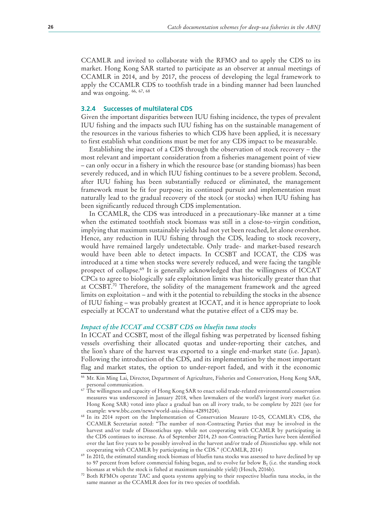CCAMLR and invited to collaborate with the RFMO and to apply the CDS to its market. Hong Kong SAR started to participate as an observer at annual meetings of CCAMLR in 2014, and by 2017, the process of developing the legal framework to apply the CCAMLR CDS to toothfish trade in a binding manner had been launched and was ongoing. 66, 67, <sup>68</sup>

## **3.2.4 Successes of multilateral CDS**

Given the important disparities between IUU fishing incidence, the types of prevalent IUU fishing and the impacts such IUU fishing has on the sustainable management of the resources in the various fisheries to which CDS have been applied, it is necessary to first establish what conditions must be met for any CDS impact to be measurable.

Establishing the impact of a CDS through the observation of stock recovery – the most relevant and important consideration from a fisheries management point of view – can only occur in a fishery in which the resource base (or standing biomass) has been severely reduced, and in which IUU fishing continues to be a severe problem. Second, after IUU fishing has been substantially reduced or eliminated, the management framework must be fit for purpose; its continued pursuit and implementation must naturally lead to the gradual recovery of the stock (or stocks) when IUU fishing has been significantly reduced through CDS implementation.

In CCAMLR, the CDS was introduced in a precautionary-like manner at a time when the estimated toothfish stock biomass was still in a close-to-virgin condition, implying that maximum sustainable yields had not yet been reached, let alone overshot. Hence, any reduction in IUU fishing through the CDS, leading to stock recovery, would have remained largely undetectable. Only trade- and market-based research would have been able to detect impacts. In CCSBT and ICCAT, the CDS was introduced at a time when stocks were severely reduced, and were facing the tangible prospect of collapse.69 It is generally acknowledged that the willingness of ICCAT CPCs to agree to biologically safe exploitation limits was historically greater than that at CCSBT.<sup>70</sup> Therefore, the solidity of the management framework and the agreed limits on exploitation – and with it the potential to rebuilding the stocks in the absence of IUU fishing – was probably greatest at ICCAT, and it is hence appropriate to look especially at ICCAT to understand what the putative effect of a CDS may be.

## *Impact of the ICCAT and CCSBT CDS on bluefin tuna stocks*

In ICCAT and CCSBT, most of the illegal fishing was perpetrated by licensed fishing vessels overfishing their allocated quotas and under-reporting their catches, and the lion's share of the harvest was exported to a single end-market state (i.e. Japan). Following the introduction of the CDS, and its implementation by the most important flag and market states, the option to under-report faded, and with it the economic

<sup>66</sup> Mr. Kin Ming Lai, Director, Department of Agriculture, Fisheries and Conservation, Hong Kong SAR, personal communication.

<sup>&</sup>lt;sup>67</sup> The willingness and capacity of Hong Kong SAR to enact solid trade-related environmental conservation measures was underscored in January 2018, when lawmakers of the world's largest ivory market (i.e. Hong Kong SAR) voted into place a gradual ban on all ivory trade, to be complete by 2021 (see for example: www.bbc.com/news/world-asia-china-42891204).

<sup>68</sup> In its 2014 report on the Implementation of Conservation Measure 10-05, CCAMLR's CDS, the CCAMLR Secretariat noted: "The number of non-Contracting Parties that may be involved in the harvest and/or trade of Dissostichus spp. while not cooperating with CCAMLR by participating in the CDS continues to increase. As of September 2014, 23 non-Contracting Parties have been identified over the last five years to be possibly involved in the harvest and/or trade of *Dissostichus* spp. while not cooperating with CCAMLR by participating in the CDS." (CCAMLR, 2014)

In 2010, the estimated standing stock biomass of bluefin tuna stocks was assessed to have declined by up to 97 percent from before commercial fishing began, and to evolve far below  $B_0$  (i.e. the standing stock biomass at which the stock is fished at maximum sustainable yield) (Hosch, 2016b).

<sup>&</sup>lt;sup>70</sup> Both RFMOs operate TAC and quota systems applying to their respective bluefin tuna stocks, in the same manner as the CCAMLR does for its two species of toothfish.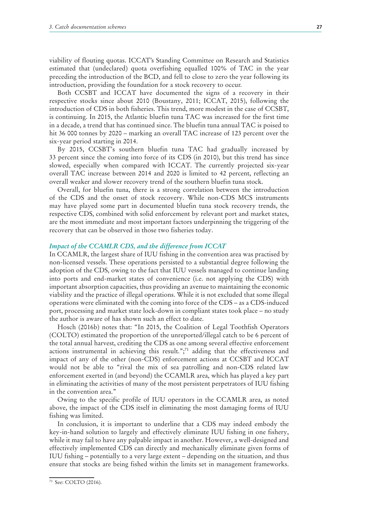viability of flouting quotas. ICCAT's Standing Committee on Research and Statistics estimated that (undeclared) quota overfishing equalled 100% of TAC in the year preceding the introduction of the BCD, and fell to close to zero the year following its introduction, providing the foundation for a stock recovery to occur.

Both CCSBT and ICCAT have documented the signs of a recovery in their respective stocks since about 2010 (Boustany, 2011; ICCAT, 2015), following the introduction of CDS in both fisheries. This trend, more modest in the case of CCSBT, is continuing. In 2015, the Atlantic bluefin tuna TAC was increased for the first time in a decade, a trend that has continued since. The bluefin tuna annual TAC is poised to hit 36 000 tonnes by 2020 – marking an overall TAC increase of 123 percent over the six-year period starting in 2014.

By 2015, CCSBT's southern bluefin tuna TAC had gradually increased by 33 percent since the coming into force of its CDS (in 2010), but this trend has since slowed, especially when compared with ICCAT. The currently projected six-year overall TAC increase between 2014 and 2020 is limited to 42 percent, reflecting an overall weaker and slower recovery trend of the southern bluefin tuna stock.

Overall, for bluefin tuna, there is a strong correlation between the introduction of the CDS and the onset of stock recovery. While non-CDS MCS instruments may have played some part in documented bluefin tuna stock recovery trends, the respective CDS, combined with solid enforcement by relevant port and market states, are the most immediate and most important factors underpinning the triggering of the recovery that can be observed in those two fisheries today.

#### *Impact of the CCAMLR CDS, and the difference from ICCAT*

In CCAMLR, the largest share of IUU fishing in the convention area was practised by non-licensed vessels. These operations persisted to a substantial degree following the adoption of the CDS, owing to the fact that IUU vessels managed to continue landing into ports and end-market states of convenience (i.e. not applying the CDS) with important absorption capacities, thus providing an avenue to maintaining the economic viability and the practice of illegal operations. While it is not excluded that some illegal operations were eliminated with the coming into force of the CDS – as a CDS-induced port, processing and market state lock-down in compliant states took place – no study the author is aware of has shown such an effect to date.

Hosch (2016b) notes that: "In 2015, the Coalition of Legal Toothfish Operators (COLTO) estimated the proportion of the unreported/illegal catch to be 6 percent of the total annual harvest, crediting the CDS as one among several effective enforcement actions instrumental in achieving this result."; $71$  adding that the effectiveness and impact of any of the other (non-CDS) enforcement actions at CCSBT and ICCAT would not be able to "rival the mix of sea patrolling and non-CDS related law enforcement exerted in (and beyond) the CCAMLR area, which has played a key part in eliminating the activities of many of the most persistent perpetrators of IUU fishing in the convention area."

Owing to the specific profile of IUU operators in the CCAMLR area, as noted above, the impact of the CDS itself in eliminating the most damaging forms of IUU fishing was limited.

In conclusion, it is important to underline that a CDS may indeed embody the key-in-hand solution to largely and effectively eliminate IUU fishing in one fishery, while it may fail to have any palpable impact in another. However, a well-designed and effectively implemented CDS can directly and mechanically eliminate given forms of IUU fishing – potentially to a very large extent – depending on the situation, and thus ensure that stocks are being fished within the limits set in management frameworks.

<sup>71</sup> See: COLTO (2016).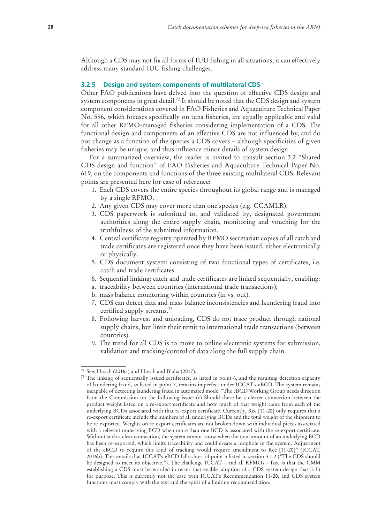Although a CDS may not fix all forms of IUU fishing in all situations, it can effectively address many standard IUU fishing challenges.

## **3.2.5 Design and system components of multilateral CDS**

Other FAO publications have delved into the question of effective CDS design and system components in great detail.<sup>72</sup> It should be noted that the CDS design and system component considerations covered in FAO Fisheries and Aquaculture Technical Paper No. 596, which focuses specifically on tuna fisheries, are equally applicable and valid for all other RFMO-managed fisheries considering implementation of a CDS. The functional design and components of an effective CDS are not influenced by, and do not change as a function of the species a CDS covers – although specificities of given fisheries may be unique, and thus influence minor details of system design.

For a summarized overview, the reader is invited to consult section 3.2 "Shared CDS design and function" of FAO Fisheries and Aquaculture Technical Paper No. 619, on the components and functions of the three existing multilateral CDS. Relevant points are presented here for ease of reference:

- 1. Each CDS covers the entire species throughout its global range and is managed by a single RFMO.
- 2. Any given CDS may cover more than one species (e.g. CCAMLR).
- 3. CDS paperwork is submitted to, and validated by, designated government authorities along the entire supply chain, monitoring and vouching for the truthfulness of the submitted information.
- 4. Central certificate registry operated by RFMO secretariat: copies of all catch and trade certificates are registered once they have been issued, either electronically or physically.
- 5. CDS document system: consisting of two functional types of certificates, i.e. catch and trade certificates.
- 6. Sequential linking: catch and trade certificates are linked sequentially, enabling:
- a. traceability between countries (international trade transactions);
- b. mass balance monitoring within countries (in vs. out).
- 7. CDS can detect data and mass balance inconsistencies and laundering fraud into certified supply streams.73
- 8. Following harvest and unloading, CDS do not trace product through national supply chains, but limit their remit to international trade transactions (between countries).
- 9. The trend for all CDS is to move to online electronic systems for submission, validation and tracking/control of data along the full supply chain.

<sup>72</sup> See: Hosch (2016a) and Hosch and Blaha (2017).

<sup>&</sup>lt;sup>73</sup> The linking of sequentially issued certificates, as listed in point 6, and the resulting detection capacity of laundering fraud, as listed in point 7, remains imperfect under ICCAT's eBCD. The system remains incapable of detecting laundering fraud in automated mode: "The eBCD Working Group needs direction from the Commission on the following issue: (c) Should there be a clearer connection between the product weight listed on a re-export certificate and how much of that weight came from each of the underlying BCDs associated with that re-export certificate. Currently, Rec [11-20] only requires that a re-export certificate include the numbers of all underlying BCDs and the total weight of the shipment to be re-exported. Weights on re-export certificates are not broken down with individual pieces associated with a relevant underlying BCD when more than one BCD is associated with the re-export certificate. Without such a clear connection, the system cannot know when the total amount of an underlying BCD has been re-exported, which limits traceability and could create a loophole in the system. Adjustment of the eBCD to require this kind of tracking would require amendment to Rec [11-20]" (ICCAT, 2016b). This entails that ICCAT's eBCD falls short of point 5 listed in section 3.1.2 ("The CDS should be designed to meet its objective."). The challenge ICCAT – and all RFMOs – face is that the CMM establishing a CDS must be worded in terms that enable adoption of a CDS system design that is fit for purpose. This is currently not the case with ICCAT's Recommendation 11-20, and CDS system functions must comply with the text and the spirit of a limiting recommendation.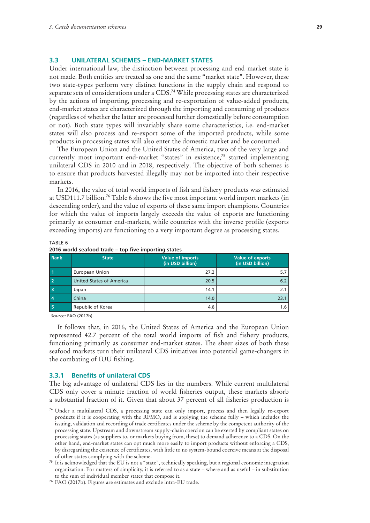## **3.3 Unilateral schemes – end-market states**

Under international law, the distinction between processing and end-market state is not made. Both entities are treated as one and the same "market state". However, these two state-types perform very distinct functions in the supply chain and respond to separate sets of considerations under a CDS.<sup>74</sup> While processing states are characterized by the actions of importing, processing and re-exportation of value-added products, end-market states are characterized through the importing and consuming of products (regardless of whether the latter are processed further domestically before consumption or not). Both state types will invariably share some characteristics, i.e. end-market states will also process and re-export some of the imported products, while some products in processing states will also enter the domestic market and be consumed.

The European Union and the United States of America, two of the very large and currently most important end-market "states" in existence,<sup>75</sup> started implementing unilateral CDS in 2010 and in 2018, respectively. The objective of both schemes is to ensure that products harvested illegally may not be imported into their respective markets.

In 2016, the value of total world imports of fish and fishery products was estimated at USD111.7 billion.<sup>76</sup> Table 6 shows the five most important world import markets (in descending order), and the value of exports of these same import champions. Countries for which the value of imports largely exceeds the value of exports are functioning primarily as consumer end-markets, while countries with the inverse profile (exports exceeding imports) are functioning to a very important degree as processing states.

| <b>Rank</b> | <b>State</b>                    | <b>Value of imports</b><br>(in USD billion) | Value of exports<br>(in USD billion) |
|-------------|---------------------------------|---------------------------------------------|--------------------------------------|
|             | European Union                  | 27.2                                        | 5.7                                  |
| 12          | <b>United States of America</b> | 20.5                                        | 6.2                                  |
|             | Japan                           | 14.1                                        | 2.1                                  |
|             | China                           | 14.0                                        | 23.1                                 |
| l 5         | Republic of Korea               | 4.6                                         | 1.6                                  |

TARI F 6 **2016 world seafood trade – top five importing states**

*Source:* FAO (2017b).

It follows that, in 2016, the United States of America and the European Union represented 42.7 percent of the total world imports of fish and fishery products, functioning primarily as consumer end-market states. The sheer sizes of both these seafood markets turn their unilateral CDS initiatives into potential game-changers in the combating of IUU fishing.

#### **3.3.1 Benefits of unilateral CDS**

The big advantage of unilateral CDS lies in the numbers. While current multilateral CDS only cover a minute fraction of world fisheries output, these markets absorb a substantial fraction of it. Given that about 37 percent of all fisheries production is

<sup>74</sup> Under a multilateral CDS, a processing state can only import, process and then legally re-export products if it is cooperating with the RFMO, and is applying the scheme fully – which includes the issuing, validation and recording of trade certificates under the scheme by the competent authority of the processing state. Upstream and downstream supply-chain coercion can be exerted by compliant states on processing states (as suppliers to, or markets buying from, these) to demand adherence to a CDS. On the other hand, end-market states can opt much more easily to import products without enforcing a CDS, by disregarding the existence of certificates, with little to no system-bound coercive means at the disposal of other states complying with the scheme.

<sup>75</sup> It is acknowledged that the EU is not a "state", technically speaking, but a regional economic integration organization. For matters of simplicity, it is referred to as a state – where and as useful – in substitution to the sum of individual member states that compose it.

<sup>76</sup> FAO (2017b). Figures are estimates and exclude intra-EU trade.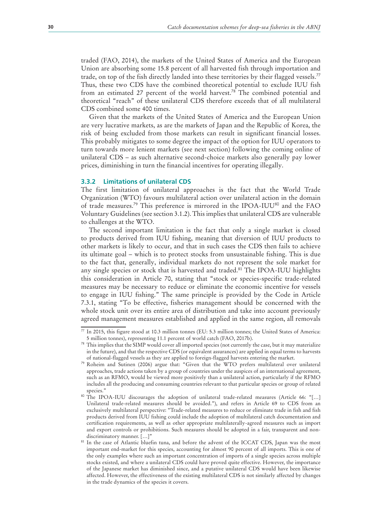traded (FAO, 2014), the markets of the United States of America and the European Union are absorbing some 15.8 percent of all harvested fish through importation and trade, on top of the fish directly landed into these territories by their flagged vessels.<sup>77</sup> Thus, these two CDS have the combined theoretical potential to exclude IUU fish from an estimated 27 percent of the world harvest.<sup>78</sup> The combined potential and theoretical "reach" of these unilateral CDS therefore exceeds that of all multilateral CDS combined some 400 times.

Given that the markets of the United States of America and the European Union are very lucrative markets, as are the markets of Japan and the Republic of Korea, the risk of being excluded from those markets can result in significant financial losses. This probably mitigates to some degree the impact of the option for IUU operators to turn towards more lenient markets (see next section) following the coming online of unilateral CDS – as such alternative second-choice markets also generally pay lower prices, diminishing in turn the financial incentives for operating illegally.

## **3.3.2 Limitations of unilateral CDS**

The first limitation of unilateral approaches is the fact that the World Trade Organization (WTO) favours multilateral action over unilateral action in the domain of trade measures.<sup>79</sup> This preference is mirrored in the IPOA-IUU<sup>80</sup> and the FAO Voluntary Guidelines (see section 3.1.2). This implies that unilateral CDS are vulnerable to challenges at the WTO.

The second important limitation is the fact that only a single market is closed to products derived from IUU fishing, meaning that diversion of IUU products to other markets is likely to occur, and that in such cases the CDS then fails to achieve its ultimate goal – which is to protect stocks from unsustainable fishing. This is due to the fact that, generally, individual markets do not represent the sole market for any single species or stock that is harvested and traded.81 The IPOA-IUU highlights this consideration in Article 70, stating that "stock or species-specific trade-related measures may be necessary to reduce or eliminate the economic incentive for vessels to engage in IUU fishing." The same principle is provided by the Code in Article 7.3.1, stating "To be effective, fisheries management should be concerned with the whole stock unit over its entire area of distribution and take into account previously agreed management measures established and applied in the same region, all removals

 $\frac{77}{10}$  In 2015, this figure stood at 10.3 million tonnes (EU: 5.3 million tonnes; the United States of America: 5 million tonnes), representing 11.1 percent of world catch (FAO, 2017b).

<sup>78</sup> This implies that the SIMP would cover all imported species (not currently the case, but it may materialize in the future), and that the respective CDS (or equivalent assurances) are applied in equal terms to harvests of national-flagged vessels as they are applied to foreign-flagged harvests entering the market.

<sup>79</sup> Roheim and Sutinen (2006) argue that: "Given that the WTO prefers multilateral over unilateral approaches, trade actions taken by a group of countries under the auspices of an international agreement, such as an RFMO, would be viewed more positively than a unilateral action, particularly if the RFMO includes all the producing and consuming countries relevant to that particular species or group of related species."

<sup>80</sup> The IPOA-IUU discourages the adoption of unilateral trade-related measures (Article 66: "[…] Unilateral trade-related measures should be avoided."), and refers in Article 69 to CDS from an exclusively multilateral perspective: "Trade-related measures to reduce or eliminate trade in fish and fish products derived from IUU fishing could include the adoption of multilateral catch documentation and certification requirements, as well as other appropriate multilaterally-agreed measures such as import and export controls or prohibitions. Such measures should be adopted in a fair, transparent and nondiscriminatory manner. [...]"

In the case of Atlantic bluefin tuna, and before the advent of the ICCAT CDS, Japan was the most important end-market for this species, accounting for almost 90 percent of all imports. This is one of the only examples where such an important concentration of imports of a single species across multiple stocks existed, and where a unilateral CDS could have proved quite effective. However, the importance of the Japanese market has diminished since, and a putative unilateral CDS would have been likewise affected. However, the effectiveness of the existing multilateral CDS is not similarly affected by changes in the trade dynamics of the species it covers.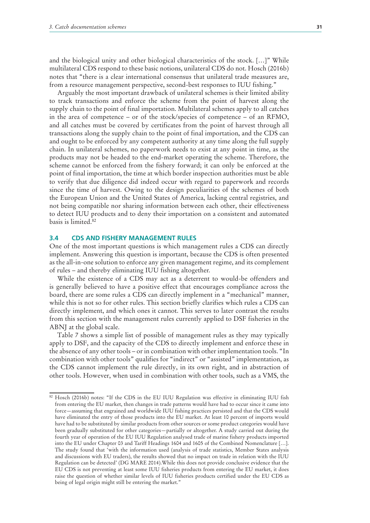and the biological unity and other biological characteristics of the stock. […]" While multilateral CDS respond to these basic notions, unilateral CDS do not. Hosch (2016b) notes that "there is a clear international consensus that unilateral trade measures are, from a resource management perspective, second-best responses to IUU fishing."

Arguably the most important drawback of unilateral schemes is their limited ability to track transactions and enforce the scheme from the point of harvest along the supply chain to the point of final importation. Multilateral schemes apply to all catches in the area of competence – or of the stock/species of competence – of an RFMO, and all catches must be covered by certificates from the point of harvest through all transactions along the supply chain to the point of final importation, and the CDS can and ought to be enforced by any competent authority at any time along the full supply chain. In unilateral schemes, no paperwork needs to exist at any point in time, as the products may not be headed to the end-market operating the scheme. Therefore, the scheme cannot be enforced from the fishery forward; it can only be enforced at the point of final importation, the time at which border inspection authorities must be able to verify that due diligence did indeed occur with regard to paperwork and records since the time of harvest. Owing to the design peculiarities of the schemes of both the European Union and the United States of America, lacking central registries, and not being compatible nor sharing information between each other, their effectiveness to detect IUU products and to deny their importation on a consistent and automated basis is limited.82

## **3.4 CDS and fishery management rules**

One of the most important questions is which management rules a CDS can directly implement. Answering this question is important, because the CDS is often presented as the all-in-one solution to enforce any given management regime, and its complement of rules – and thereby eliminating IUU fishing altogether.

While the existence of a CDS may act as a deterrent to would-be offenders and is generally believed to have a positive effect that encourages compliance across the board, there are some rules a CDS can directly implement in a "mechanical" manner, while this is not so for other rules. This section briefly clarifies which rules a CDS can directly implement, and which ones it cannot. This serves to later contrast the results from this section with the management rules currently applied to DSF fisheries in the ABNJ at the global scale.

Table 7 shows a simple list of possible of management rules as they may typically apply to DSF, and the capacity of the CDS to directly implement and enforce these in the absence of any other tools – or in combination with other implementation tools. "In combination with other tools" qualifies for "indirect" or "assisted" implementation, as the CDS cannot implement the rule directly, in its own right, and in abstraction of other tools. However, when used in combination with other tools, such as a VMS, the

<sup>82</sup> Hosch (2016b) notes: "If the CDS in the EU IUU Regulation was effective in eliminating IUU fish from entering the EU market, then changes in trade patterns would have had to occur since it came into force—assuming that engrained and worldwide IUU fishing practices persisted and that the CDS would have eliminated the entry of those products into the EU market. At least 10 percent of imports would have had to be substituted by similar products from other sources or some product categories would have been gradually substituted for other categories—partially or altogether. A study carried out during the fourth year of operation of the EU IUU Regulation analysed trade of marine fishery products imported into the EU under Chapter 03 and Tariff Headings 1604 and 1605 of the Combined Nomenclature […]. The study found that 'with the information used (analysis of trade statistics, Member States analysis and discussions with EU traders), the results showed that no impact on trade in relation with the IUU Regulation can be detected' (DG MARE 2014).While this does not provide conclusive evidence that the EU CDS is not preventing at least some IUU fisheries products from entering the EU market, it does raise the question of whether similar levels of IUU fisheries products certified under the EU CDS as being of legal origin might still be entering the market."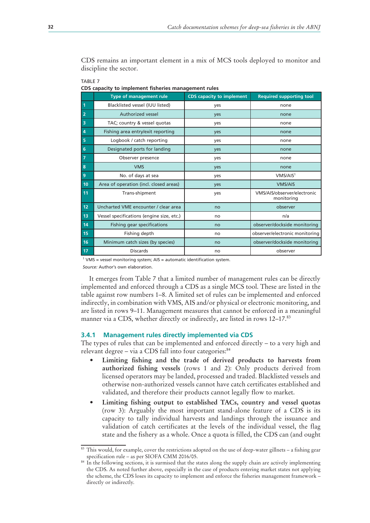CDS remains an important element in a mix of MCS tools deployed to monitor and discipline the sector.

|                 | Type of management rule                   | <b>CDS capacity to implement</b> | <b>Required supporting tool</b>           |
|-----------------|-------------------------------------------|----------------------------------|-------------------------------------------|
| 1               | Blacklisted vessel (IUU listed)           | yes                              | none                                      |
| $\overline{2}$  | <b>Authorized vessel</b>                  | yes                              | none                                      |
| 3               | TAC; country & vessel quotas              | yes                              | none                                      |
| 4               | Fishing area entry/exit reporting         | yes                              | none                                      |
| 5               | Logbook / catch reporting                 | yes                              | none                                      |
| $6\phantom{1}6$ | Designated ports for landing              | yes                              | none                                      |
| 7               | Observer presence                         | yes                              | none                                      |
| 8               | <b>VMS</b>                                | yes                              | none                                      |
| 9               | No. of days at sea                        | yes                              | VMS/AlS <sup>1</sup>                      |
| 10              | Area of operation (incl. closed areas)    | yes                              | <b>VMS/AIS</b>                            |
| 11              | Trans-shipment                            | yes                              | VMS/AIS/observer/electronic<br>monitoring |
| 12              | Uncharted VME encounter / clear area      | no                               | observer                                  |
| 13              | Vessel specifications (engine size, etc.) | no                               | n/a                                       |
| 14              | Fishing gear specifications               | no                               | observer/dockside monitoring              |
| 15              | Fishing depth                             | no                               | observer/electronic monitoring            |
| 16              | Minimum catch sizes (by species)          | no                               | observer/dockside monitoring              |
| 17              | <b>Discards</b>                           | no                               | observer                                  |

| --------- |  |                                                      |  |
|-----------|--|------------------------------------------------------|--|
|           |  | CDS capacity to implement fisheries management rules |  |

 $1$  VMS = vessel monitoring system; AIS = automatic identification system. *Source:* Author's own elaboration.

It emerges from Table 7 that a limited number of management rules can be directly implemented and enforced through a CDS as a single MCS tool. These are listed in the table against row numbers 1–8. A limited set of rules can be implemented and enforced indirectly, in combination with VMS, AIS and/or physical or electronic monitoring, and are listed in rows 9–11. Management measures that cannot be enforced in a meaningful manner via a CDS, whether directly or indirectly, are listed in rows 12–17.<sup>83</sup>

## **3.4.1 Management rules directly implemented via CDS**

The types of rules that can be implemented and enforced directly – to a very high and relevant degree – via a CDS fall into four categories: $84$ 

- Limiting fishing and the trade of derived products to harvests from **authorized fishing vessels** (rows 1 and 2): Only products derived from licensed operators may be landed, processed and traded. Blacklisted vessels and otherwise non-authorized vessels cannot have catch certificates established and validated, and therefore their products cannot legally flow to market.
- Limiting fishing output to established TACs, country and vessel quotas (row 3): Arguably the most important stand-alone feature of a CDS is its capacity to tally individual harvests and landings through the issuance and validation of catch certificates at the levels of the individual vessel, the flag state and the fishery as a whole. Once a quota is filled, the CDS can (and ought

TARI F 7

<sup>83</sup> This would, for example, cover the restrictions adopted on the use of deep-water gillnets – a fishing gear specification rule – as per SIOFA CMM 2016/05.

<sup>&</sup>lt;sup>84</sup> In the following sections, it is surmised that the states along the supply chain are actively implementing the CDS. As noted further above, especially in the case of products entering market states not applying the scheme, the CDS loses its capacity to implement and enforce the fisheries management framework – directly or indirectly.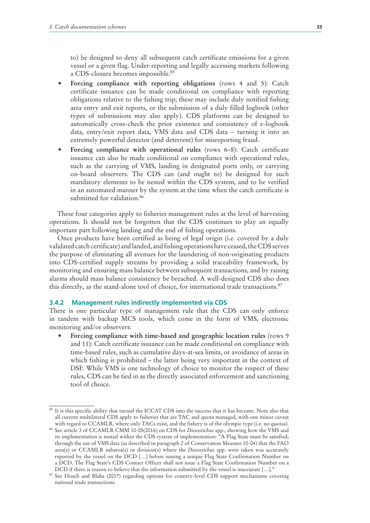to) be designed to deny all subsequent catch certificate emissions for a given vessel or a given flag. Under-reporting and legally accessing markets following a CDS-closure becomes impossible.85

- **Forcing compliance with reporting obligations** (rows 4 and 5): Catch certificate issuance can be made conditional on compliance with reporting obligations relative to the fishing trip; these may include duly notified fishing area entry and exit reports, or the submission of a duly filled logbook (other types of submissions may also apply). CDS platforms can be designed to automatically cross-check the prior existence and consistency of e-logbook data, entry/exit report data, VMS data and CDS data – turning it into an extremely powerful detector (and deterrent) for misreporting fraud.
- **Forcing compliance with operational rules** (rows 6–8): Catch certificate issuance can also be made conditional on compliance with operational rules, such as the carrying of VMS, landing in designated ports only, or carrying on-board observers. The CDS can (and ought to) be designed for such mandatory elements to be nested within the CDS system, and to be verified in an automated manner by the system at the time when the catch certificate is submitted for validation.<sup>86</sup>

These four categories apply to fisheries management rules at the level of harvesting operations. It should not be forgotten that the CDS continues to play an equally important part following landing and the end of fishing operations.

Once products have been certified as being of legal origin (i.e. covered by a duly validated catch certificate) and landed, and fishing operations have ceased, the CDS serves the purpose of eliminating all avenues for the laundering of non-originating products into CDS-certified supply streams by providing a solid traceability framework, by monitoring and ensuring mass balance between subsequent transactions, and by raising alarms should mass balance consistency be breached. A well-designed CDS also does this directly, as the stand-alone tool of choice, for international trade transactions.<sup>87</sup>

## **3.4.2 Management rules indirectly implemented via CDS**

There is one particular type of management rule that the CDS can only enforce in tandem with backup MCS tools, which come in the form of VMS, electronic monitoring and/or observers:

Forcing compliance with time-based and geographic location rules (rows 9) and 11): Catch certificate issuance can be made conditional on compliance with time-based rules, such as cumulative days-at-sea limits, or avoidance of areas in which fishing is prohibited – the latter being very important in the context of DSF. While VMS is one technology of choice to monitor the respect of these rules, CDS can be tied in as the directly associated enforcement and sanctioning tool of choice.

<sup>&</sup>lt;sup>85</sup> It is this specific ability that turned the ICCAT CDS into the success that it has become. Note also that all current multilateral CDS apply to fisheries that are TAC and quota managed, with one minor caveat with regard to CCAMLR, where only TACs exist, and the fishery is of the olympic type (i.e. no quotas).

<sup>86</sup> See article 3 of CCAMLR CMM 10-05(2016) on CDS for *Dissostichus* spp., showing how the VMS and its implementation is nested within the CDS system of implementation: "A Flag State must be satisfied, through the use of VMS data (as described in paragraph 2 of Conservation Measure 10-04) that the FAO area(s) or CCAMLR subarea(s) or division(s) where the *Dissostichus* spp. were taken was accurately reported by the vessel on the DCD […] before issuing a unique Flag State Confirmation Number on a DCD. The Flag State's CDS Contact Officer shall not issue a Flag State Confirmation Number on a DCD if there is reason to believe that the information submitted by the vessel is inaccurate [...]."

<sup>&</sup>lt;sup>87</sup> See Hosch and Blaha (2017) regarding options for country-level CDS support mechanisms covering national trade transactions.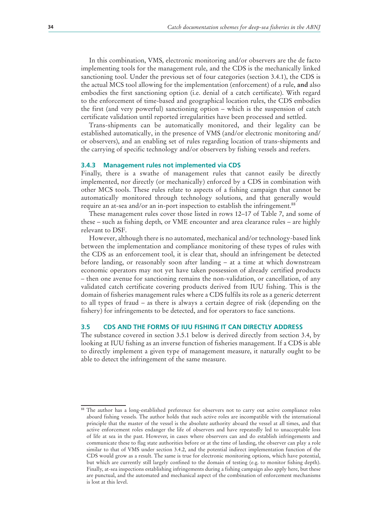In this combination, VMS, electronic monitoring and/or observers are the de facto implementing tools for the management rule, and the CDS is the mechanically linked sanctioning tool. Under the previous set of four categories (section 3.4.1), the CDS is the actual MCS tool allowing for the implementation (enforcement) of a rule, **and** also embodies the first sanctioning option (i.e. denial of a catch certificate). With regard to the enforcement of time-based and geographical location rules, the CDS embodies the first (and very powerful) sanctioning option – which is the suspension of catch certificate validation until reported irregularities have been processed and settled.

Trans-shipments can be automatically monitored, and their legality can be established automatically, in the presence of VMS (and/or electronic monitoring and/ or observers), and an enabling set of rules regarding location of trans-shipments and the carrying of specific technology and/or observers by fishing vessels and reefers.

#### **3.4.3 Management rules not implemented via CDS**

Finally, there is a swathe of management rules that cannot easily be directly implemented, nor directly (or mechanically) enforced by a CDS in combination with other MCS tools. These rules relate to aspects of a fishing campaign that cannot be automatically monitored through technology solutions, and that generally would require an at-sea and/or an in-port inspection to establish the infringement.<sup>88</sup>

These management rules cover those listed in rows 12–17 of Table 7, and some of these – such as fishing depth, or VME encounter and area clearance rules – are highly relevant to DSF.

However, although there is no automated, mechanical and/or technology-based link between the implementation and compliance monitoring of these types of rules with the CDS as an enforcement tool, it is clear that, should an infringement be detected before landing, or reasonably soon after landing – at a time at which downstream economic operators may not yet have taken possession of already certified products – then one avenue for sanctioning remains the non-validation, or cancellation, of any validated catch certificate covering products derived from IUU fishing. This is the domain of fisheries management rules where a CDS fulfils its role as a generic deterrent to all types of fraud – as there is always a certain degree of risk (depending on the fishery) for infringements to be detected, and for operators to face sanctions.

## **3.5 CDS and the forms of IUU fishing it can directly address**

The substance covered in section 3.5.1 below is derived directly from section 3.4, by looking at IUU fishing as an inverse function of fisheries management. If a CDS is able to directly implement a given type of management measure, it naturally ought to be able to detect the infringement of the same measure.

<sup>&</sup>lt;sup>88</sup> The author has a long-established preference for observers not to carry out active compliance roles aboard fishing vessels. The author holds that such active roles are incompatible with the international principle that the master of the vessel is the absolute authority aboard the vessel at all times, and that active enforcement roles endanger the life of observers and have repeatedly led to unacceptable loss of life at sea in the past. However, in cases where observers can and do establish infringements and communicate these to flag state authorities before or at the time of landing, the observer can play a role similar to that of VMS under section 3.4.2, and the potential indirect implementation function of the CDS would grow as a result. The same is true for electronic monitoring options, which have potential, but which are currently still largely confined to the domain of testing (e.g. to monitor fishing depth). Finally, at-sea inspections establishing infringements during a fishing campaign also apply here, but these are punctual, and the automated and mechanical aspect of the combination of enforcement mechanisms is lost at this level.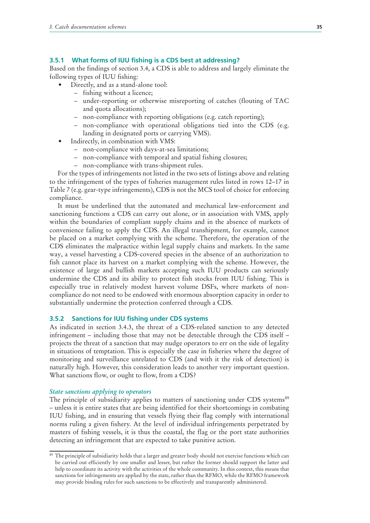## **3.5.1 What forms of IUU fishing is a CDS best at addressing?**

Based on the findings of section 3.4, a CDS is able to address and largely eliminate the following types of IUU fishing:

- Directly, and as a stand-alone tool:
	- fishing without a licence;
	- under-reporting or otherwise misreporting of catches (flouting of TAC and quota allocations);
	- non-compliance with reporting obligations (e.g. catch reporting);
	- non-compliance with operational obligations tied into the CDS (e.g. landing in designated ports or carrying VMS).
- Indirectly, in combination with VMS:
	- non-compliance with days-at-sea limitations;
	- non-compliance with temporal and spatial fishing closures;
	- non-compliance with trans-shipment rules.

For the types of infringements not listed in the two sets of listings above and relating to the infringement of the types of fisheries management rules listed in rows 12–17 in Table 7 (e.g. gear-type infringements), CDS is not the MCS tool of choice for enforcing compliance.

It must be underlined that the automated and mechanical law-enforcement and sanctioning functions a CDS can carry out alone, or in association with VMS, apply within the boundaries of compliant supply chains and in the absence of markets of convenience failing to apply the CDS. An illegal transhipment, for example, cannot be placed on a market complying with the scheme. Therefore, the operation of the CDS eliminates the malpractice within legal supply chains and markets. In the same way, a vessel harvesting a CDS-covered species in the absence of an authorization to fish cannot place its harvest on a market complying with the scheme. However, the existence of large and bullish markets accepting such IUU products can seriously undermine the CDS and its ability to protect fish stocks from IUU fishing. This is especially true in relatively modest harvest volume DSFs, where markets of noncompliance do not need to be endowed with enormous absorption capacity in order to substantially undermine the protection conferred through a CDS.

## **3.5.2 Sanctions for IUU fishing under CDS systems**

As indicated in section 3.4.3, the threat of a CDS-related sanction to any detected infringement – including those that may not be detectable through the CDS itself – projects the threat of a sanction that may nudge operators to err on the side of legality in situations of temptation. This is especially the case in fisheries where the degree of monitoring and surveillance unrelated to CDS (and with it the risk of detection) is naturally high. However, this consideration leads to another very important question. What sanctions flow, or ought to flow, from a CDS?

#### *State sanctions applying to operators*

The principle of subsidiarity applies to matters of sanctioning under CDS systems<sup>89</sup> – unless it is entire states that are being identified for their shortcomings in combating IUU fishing, and in ensuring that vessels flying their flag comply with international norms ruling a given fishery. At the level of individual infringements perpetrated by masters of fishing vessels, it is thus the coastal, the flag or the port state authorities detecting an infringement that are expected to take punitive action.

<sup>&</sup>lt;sup>89</sup> The principle of subsidiarity holds that a larger and greater body should not exercise functions which can be carried out efficiently by one smaller and lesser, but rather the former should support the latter and help to coordinate its activity with the activities of the whole community. In this context, this means that sanctions for infringements are applied by the state, rather than the RFMO, while the RFMO framework may provide binding rules for such sanctions to be effectively and transparently administered.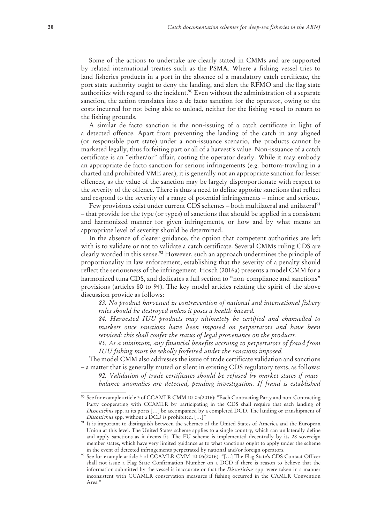Some of the actions to undertake are clearly stated in CMMs and are supported by related international treaties such as the PSMA. Where a fishing vessel tries to land fisheries products in a port in the absence of a mandatory catch certificate, the port state authority ought to deny the landing, and alert the RFMO and the flag state authorities with regard to the incident.<sup>90</sup> Even without the administration of a separate sanction, the action translates into a de facto sanction for the operator, owing to the costs incurred for not being able to unload, neither for the fishing vessel to return to the fishing grounds.

A similar de facto sanction is the non-issuing of a catch certificate in light of a detected offence. Apart from preventing the landing of the catch in any aligned (or responsible port state) under a non-issuance scenario, the products cannot be marketed legally, thus forfeiting part or all of a harvest's value. Non-issuance of a catch certificate is an "either/or" affair, costing the operator dearly. While it may embody an appropriate de facto sanction for serious infringements (e.g. bottom-trawling in a charted and prohibited VME area), it is generally not an appropriate sanction for lesser offences, as the value of the sanction may be largely disproportionate with respect to the severity of the offence. There is thus a need to define apposite sanctions that reflect and respond to the severity of a range of potential infringements – minor and serious.

Few provisions exist under current CDS schemes – both multilateral and unilateral<sup>91</sup> – that provide for the type (or types) of sanctions that should be applied in a consistent and harmonized manner for given infringements, or how and by what means an appropriate level of severity should be determined.

In the absence of clearer guidance, the option that competent authorities are left with is to validate or not to validate a catch certificate. Several CMMs ruling CDS are clearly worded in this sense.<sup>92</sup> However, such an approach undermines the principle of proportionality in law enforcement, establishing that the severity of a penalty should reflect the seriousness of the infringement. Hosch (2016a) presents a model CMM for a harmonized tuna CDS, and dedicates a full section to "non-compliance and sanctions" provisions (articles 80 to 94). The key model articles relating the spirit of the above discussion provide as follows:

*83. No product harvested in contravention of national and international fishery rules should be destroyed unless it poses a health hazard.*

*84. Harvested IUU products may ultimately be certified and channelled to markets once sanctions have been imposed on perpetrators and have been serviced: this shall confer the status of legal provenance on the products.*

*85. As a minimum, any financial benefits accruing to perpetrators of fraud from IUU fishing must be wholly forfeited under the sanctions imposed.*

The model CMM also addresses the issue of trade certificate validation and sanctions – a matter that is generally muted or silent in existing CDS regulatory texts, as follows:

*92. Validation of trade certificates should be refused by market states if mass*balance anomalies are detected, pending investigation. If fraud is established

<sup>90</sup> See for example article 3 of CCAMLR CMM 10-05(2016): "Each Contracting Party and non-Contracting Party cooperating with CCAMLR by participating in the CDS shall require that each landing of *Dissostichus* spp. at its ports […] be accompanied by a completed DCD. The landing or transhipment of *Dissostichus* spp. without a DCD is prohibited. […]"

<sup>&</sup>lt;sup>91</sup> It is important to distinguish between the schemes of the United States of America and the European Union at this level. The United States scheme applies to a single country, which can unilaterally define and apply sanctions as it deems fit. The EU scheme is implemented decentrally by its 28 sovereign member states, which have very limited guidance as to what sanctions ought to apply under the scheme in the event of detected infringements perpetrated by national and/or foreign operators.

<sup>92</sup> See for example article 3 of CCAMLR CMM 10-05(2016): "[…] The Flag State's CDS Contact Officer shall not issue a Flag State Confirmation Number on a DCD if there is reason to believe that the information submitted by the vessel is inaccurate or that the *Dissostichus* spp. were taken in a manner inconsistent with CCAMLR conservation measures if fishing occurred in the CAMLR Convention Area."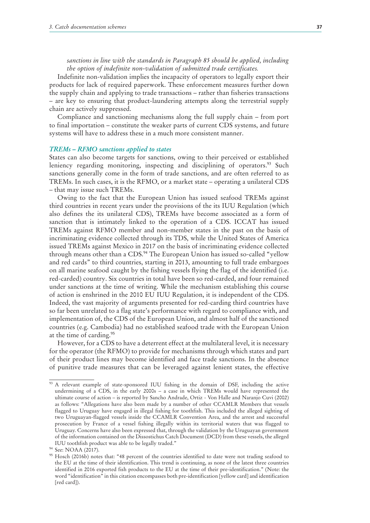*sanctions in line with the standards in Paragraph 85 should be applied, including the option of indefinite non-validation of submitted trade certificates.*

Indefinite non-validation implies the incapacity of operators to legally export their products for lack of required paperwork. These enforcement measures further down the supply chain and applying to trade transactions – rather than fisheries transactions – are key to ensuring that product-laundering attempts along the terrestrial supply chain are actively suppressed.

Compliance and sanctioning mechanisms along the full supply chain – from port to final importation – constitute the weaker parts of current CDS systems, and future systems will have to address these in a much more consistent manner.

#### *TREMs – RFMO sanctions applied to states*

States can also become targets for sanctions, owing to their perceived or established leniency regarding monitoring, inspecting and disciplining of operators.<sup>93</sup> Such sanctions generally come in the form of trade sanctions, and are often referred to as TREMs. In such cases, it is the RFMO, or a market state – operating a unilateral CDS – that may issue such TREMs.

Owing to the fact that the European Union has issued seafood TREMs against third countries in recent years under the provisions of the its IUU Regulation (which also defines the its unilateral CDS), TREMs have become associated as a form of sanction that is intimately linked to the operation of a CDS. ICCAT has issued TREMs against RFMO member and non-member states in the past on the basis of incriminating evidence collected through its TDS, while the United States of America issued TREMs against Mexico in 2017 on the basis of incriminating evidence collected through means other than a CDS.<sup>94</sup> The European Union has issued so-called "yellow and red cards" to third countries, starting in 2013, amounting to full trade embargoes on all marine seafood caught by the fishing vessels flying the flag of the identified (i.e. red-carded) country. Six countries in total have been so red-carded, and four remained under sanctions at the time of writing. While the mechanism establishing this course of action is enshrined in the 2010 EU IUU Regulation, it is independent of the CDS. Indeed, the vast majority of arguments presented for red-carding third countries have so far been unrelated to a flag state's performance with regard to compliance with, and implementation of, the CDS of the European Union, and almost half of the sanctioned countries (e.g. Cambodia) had no established seafood trade with the European Union at the time of carding.95

However, for a CDS to have a deterrent effect at the multilateral level, it is necessary for the operator (the RFMO) to provide for mechanisms through which states and part of their product lines may become identified and face trade sanctions. In the absence of punitive trade measures that can be leveraged against lenient states, the effective

<sup>93</sup> A relevant example of state-sponsored IUU fishing in the domain of DSF, including the active undermining of a CDS, in the early 2000s – a case in which TREMs would have represented the ultimate course of action – is reported by Sancho Andrade, Ortiz - Von Halle and Naranjo Cuvi (2002) as follows: "Allegations have also been made by a number of other CCAMLR Members that vessels flagged to Uruguay have engaged in illegal fishing for toothfish. This included the alleged sighting of two Uruguayan-flagged vessels inside the CCAMLR Convention Area, and the arrest and successful prosecution by France of a vessel fishing illegally within its territorial waters that was flagged to Uruguay. Concerns have also been expressed that, through the validation by the Uruguayan government of the information contained on the Dissostichus Catch Document (DCD) from these vessels, the alleged IUU toothfish product was able to be legally traded."

<sup>&</sup>lt;sup>94</sup> See: NOAA (2017).

<sup>95</sup> Hosch (2016b) notes that: "48 percent of the countries identified to date were not trading seafood to the EU at the time of their identification. This trend is continuing, as none of the latest three countries identified in 2016 exported fish products to the EU at the time of their pre-identification." (Note: the word "identification" in this citation encompasses both pre-identification [yellow card] and identification [red card]).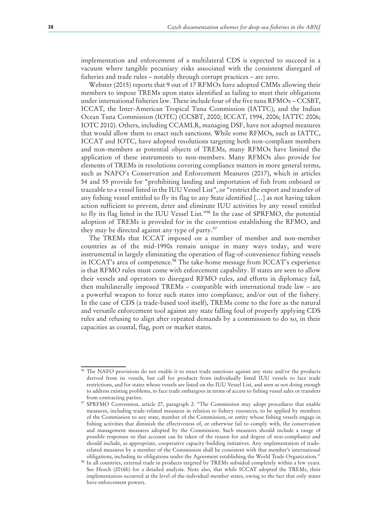implementation and enforcement of a multilateral CDS is expected to succeed in a vacuum where tangible pecuniary risks associated with the consistent disregard of fisheries and trade rules – notably through corrupt practices – are zero.

Webster (2015) reports that 9 out of 17 RFMOs have adopted CMMs allowing their members to impose TREMs upon states identified as failing to meet their obligations under international fisheries law. These include four of the five tuna RFMOs – CCSBT, ICCAT, the Inter-American Tropical Tuna Commission (IATTC), and the Indian Ocean Tuna Commission (IOTC) (CCSBT, 2000; ICCAT, 1994, 2006; IATTC 2006; IOTC 2010). Others, including CCAMLR, managing DSF, have not adopted measures that would allow them to enact such sanctions. While some RFMOs, such as IATTC, ICCAT and IOTC, have adopted resolutions targeting both non-compliant members and non-members as potential objects of TREMs, many RFMOs have limited the application of these instruments to non-members. Many RFMOs also provide for elements of TREMs in resolutions covering compliance matters in more general terms, such as NAFO's Conservation and Enforcement Measures (2017), which in articles 54 and 55 provide for "prohibiting landing and importation of fish from onboard or traceable to a vessel listed in the IUU Vessel List", or "restrict the export and transfer of any fishing vessel entitled to fly its flag to any State identified […] as not having taken action sufficient to prevent, deter and eliminate IUU activities by any vessel entitled to fly its flag listed in the IUU Vessel List."96 In the case of SPRFMO, the potential adoption of TREMs is provided for in the convention establishing the RFMO, and they may be directed against any type of party.<sup>97</sup>

The TREMs that ICCAT imposed on a number of member and non-member countries as of the mid-1990s remain unique in many ways today, and were instrumental in largely eliminating the operation of flag-of-convenience fishing vessels in ICCAT's area of competence.<sup>98</sup> The take-home message from ICCAT's experience is that RFMO rules must come with enforcement capability. If states are seen to allow their vessels and operators to disregard RFMO rules, and efforts in diplomacy fail, then multilaterally imposed TREMs – compatible with international trade law – are a powerful weapon to force such states into compliance, and/or out of the fishery. In the case of CDS (a trade-based tool itself), TREMs come to the fore as the natural and versatile enforcement tool against any state falling foul of properly applying CDS rules and refusing to align after repeated demands by a commission to do so, in their capacities as coastal, flag, port or market states.

<sup>96</sup> The NAFO provisions do not enable it to enact trade sanctions against any state and/or the products derived from its vessels, but call for products from individually listed IUU vessels to face trade restrictions, and for states whose vessels are listed on the IUU Vessel List, and seen as not doing enough to address existing problems, to face trade embargoes in terms of access to fishing vessel sales or transfers from contracting parties.

<sup>&</sup>lt;sup>97</sup> SPRFMO Convention, article 27, paragraph 2: "The Commission may adopt procedures that enable measures, including trade-related measures in relation to fishery resources, to be applied by members of the Commission to any state, member of the Commission, or entity whose fishing vessels engage in fishing activities that diminish the effectiveness of, or otherwise fail to comply with, the conservation and management measures adopted by the Commission. Such measures should include a range of possible responses so that account can be taken of the reason for and degree of non-compliance and should include, as appropriate, cooperative capacity-building initiatives. Any implementation of traderelated measures by a member of the Commission shall be consistent with that member's international obligations, including its obligations under the Agreement establishing the World Trade Organization."

In all countries, external trade in products targeted by TREMs subsided completely within a few years. See Hosch (2016b) for a detailed analysis. Note also, that while ICCAT adopted the TREMs, their implementation occurred at the level of the individual member states, owing to the fact that only states have enforcement powers.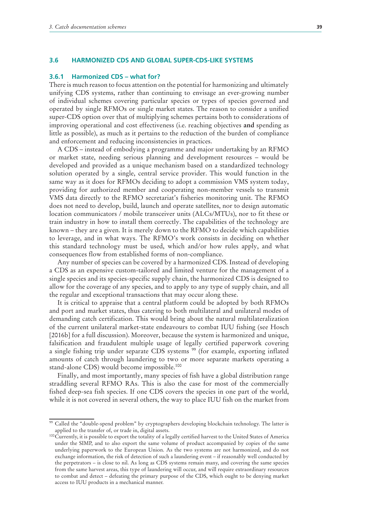## **3.6 Harmonized CDS and global super-CDS-like systems**

#### **3.6.1 Harmonized CDS – what for?**

There is much reason to focus attention on the potential for harmonizing and ultimately unifying CDS systems, rather than continuing to envisage an ever-growing number of individual schemes covering particular species or types of species governed and operated by single RFMOs or single market states. The reason to consider a unified super-CDS option over that of multiplying schemes pertains both to considerations of improving operational and cost effectiveness (i.e. reaching objectives **and** spending as little as possible), as much as it pertains to the reduction of the burden of compliance and enforcement and reducing inconsistencies in practices.

A CDS – instead of embodying a programme and major undertaking by an RFMO or market state, needing serious planning and development resources – would be developed and provided as a unique mechanism based on a standardized technology solution operated by a single, central service provider. This would function in the same way as it does for RFMOs deciding to adopt a commission VMS system today, providing for authorized member and cooperating non-member vessels to transmit VMS data directly to the RFMO secretariat's fisheries monitoring unit. The RFMO does not need to develop, build, launch and operate satellites, nor to design automatic location communicators / mobile transceiver units (ALCs/MTUs), nor to fit these or train industry in how to install them correctly. The capabilities of the technology are known – they are a given. It is merely down to the RFMO to decide which capabilities to leverage, and in what ways. The RFMO's work consists in deciding on whether this standard technology must be used, which and/or how rules apply, and what consequences flow from established forms of non-compliance.

Any number of species can be covered by a harmonized CDS. Instead of developing a CDS as an expensive custom-tailored and limited venture for the management of a single species and its species-specific supply chain, the harmonized CDS is designed to allow for the coverage of any species, and to apply to any type of supply chain, and all the regular and exceptional transactions that may occur along these.

It is critical to appraise that a central platform could be adopted by both RFMOs and port and market states, thus catering to both multilateral and unilateral modes of demanding catch certification. This would bring about the natural multilateralization of the current unilateral market-state endeavours to combat IUU fishing (see Hosch [2016b] for a full discussion). Moreover, because the system is harmonized and unique, falsification and fraudulent multiple usage of legally certified paperwork covering a single fishing trip under separate CDS systems<sup>99</sup> (for example, exporting inflated amounts of catch through laundering to two or more separate markets operating a stand-alone CDS) would become impossible.<sup>100</sup>

Finally, and most importantly, many species of fish have a global distribution range straddling several RFMO RAs. This is also the case for most of the commercially fished deep-sea fish species. If one CDS covers the species in one part of the world, while it is not covered in several others, the way to place IUU fish on the market from

<sup>99</sup> Called the "double-spend problem" by cryptographers developing blockchain technology. The latter is applied to the transfer of, or trade in, digital assets.

<sup>100</sup> Currently, it is possible to export the totality of a legally certified harvest to the United States of America under the SIMP, and to also export the same volume of product accompanied by copies of the same underlying paperwork to the European Union. As the two systems are not harmonized, and do not exchange information, the risk of detection of such a laundering event – if reasonably well conducted by the perpetrators – is close to nil. As long as CDS systems remain many, and covering the same species from the same harvest areas, this type of laundering will occur, and will require extraordinary resources to combat and detect – defeating the primary purpose of the CDS, which ought to be denying market access to IUU products in a mechanical manner.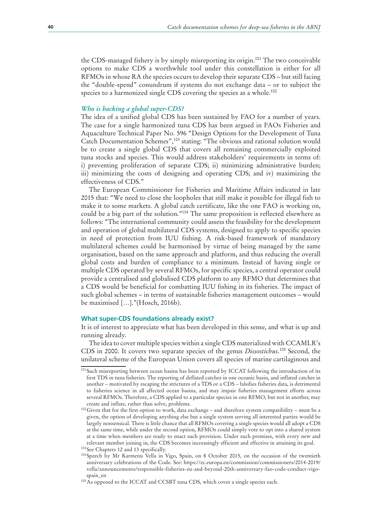the CDS-managed fishery is by simply misreporting its origin.101 The two conceivable options to make CDS a worthwhile tool under this constellation is either for all RFMOs in whose RA the species occurs to develop their separate CDS – but still facing the "double-spend" conundrum if systems do not exchange data – or to subject the species to a harmonized single CDS covering the species as a whole.<sup>102</sup>

#### *Who is backing a global super-CDS?*

The idea of a unified global CDS has been sustained by FAO for a number of years. The case for a single harmonized tuna CDS has been argued in FAOs Fisheries and Aquaculture Technical Paper No. 596 "Design Options for the Development of Tuna Catch Documentation Schemes",<sup>103</sup> stating: "The obvious and rational solution would be to create a single global CDS that covers all remaining commercially exploited tuna stocks and species. This would address stakeholders' requirements in terms of: i) preventing proliferation of separate CDS; ii) minimizing administrative burden; iii) minimizing the costs of designing and operating CDS; and iv) maximizing the effectiveness of CDS."

The European Commissioner for Fisheries and Maritime Affairs indicated in late 2015 that: "We need to close the loopholes that still make it possible for illegal fish to make it to some markets. A global catch certificate, like the one FAO is working on, could be a big part of the solution."104 The same proposition is reflected elsewhere as follows: "The international community could assess the feasibility for the development and operation of global multilateral CDS systems, designed to apply to specific species in need of protection from IUU fishing. A risk-based framework of mandatory multilateral schemes could be harmonised by virtue of being managed by the same organisation, based on the same approach and platform, and thus reducing the overall global costs and burden of compliance to a minimum. Instead of having single or multiple CDS operated by several RFMOs, for specific species, a central operator could provide a centralised and globalised CDS platform to any RFMO that determines that a CDS would be beneficial for combatting IUU fishing in its fisheries. The impact of such global schemes – in terms of sustainable fisheries management outcomes – would be maximised […]."(Hosch, 2016b).

#### **What super-CDS foundations already exist?**

It is of interest to appreciate what has been developed in this sense, and what is up and running already.

The idea to cover multiple species within a single CDS materialized with CCAMLR's CDS in 2000. It covers two separate species of the genus *Dissostichus*. 105 Second, the unilateral scheme of the European Union covers all species of marine cartilaginous and

<sup>&</sup>lt;sup>101</sup> Such misreporting between ocean basins has been reported by ICCAT following the introduction of its first TDS in tuna fisheries. The reporting of deflated catches in one oceanic basin, and inflated catches in another – motivated by escaping the strictures of a TDS or a CDS – falsifies fisheries data, is detrimental to fisheries science in all affected ocean basins, and may impair fisheries management efforts across several RFMOs. Therefore, a CDS applied to a particular species in one RFMO, but not in another, may create and inflate, rather than solve, problems.

<sup>&</sup>lt;sup>102</sup>Given that for the first option to work, data exchange – and therefore system compatibility – must be a given, the option of developing anything else but a single system serving all interested parties would be largely nonsensical. There is little chance that all RFMOs covering a single species would all adopt a CDS at the same time, while under the second option, RFMOs could simply vote to opt into a shared system at a time when members are ready to enact such provision. Under such premises, with every new and relevant member joining in, the CDS becomes increasingly efficient and effective in attaining its goal. <sup>103</sup> See Chapters 12 and 13 specifically.

<sup>104</sup> Speech by Mr Karmenu Vella in Vigo, Spain, on 8 October 2015, on the occasion of the twentieth anniversary celebrations of the Code. See: https://ec.europa.eu/commission/commissioners/2014-2019/ vella/announcements/responsible-fisheries-eu-and-beyond-20th-anniversary-fao-code-conduct-vigospain\_en

<sup>&</sup>lt;sup>105</sup>As opposed to the ICCAT and CCSBT tuna CDS, which cover a single species each.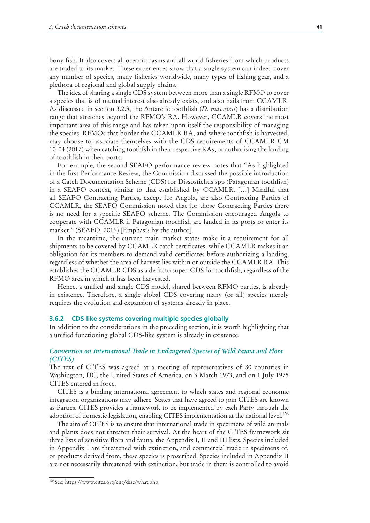bony fish. It also covers all oceanic basins and all world fisheries from which products are traded to its market. These experiences show that a single system can indeed cover any number of species, many fisheries worldwide, many types of fishing gear, and a plethora of regional and global supply chains.

The idea of sharing a single CDS system between more than a single RFMO to cover a species that is of mutual interest also already exists, and also hails from CCAMLR. As discussed in section 3.2.3, the Antarctic toothfish (*D. mawsoni*) has a distribution range that stretches beyond the RFMO's RA. However, CCAMLR covers the most important area of this range and has taken upon itself the responsibility of managing the species. RFMOs that border the CCAMLR RA, and where toothfish is harvested, may choose to associate themselves with the CDS requirements of CCAMLR CM 10-04 (2017) when catching toothfsh in their respective RAs, or authorising the landing of toothfish in their ports.

For example, the second SEAFO performance review notes that "As highlighted in the first Performance Review, the Commission discussed the possible introduction of a Catch Documentation Scheme (CDS) for Dissostichus spp (Patagonian toothfish) in a SEAFO context, similar to that established by CCAMLR. […] Mindful that all SEAFO Contracting Parties, except for Angola, are also Contracting Parties of CCAMLR, the SEAFO Commission noted that for those Contracting Parties there is no need for a specific SEAFO scheme. The Commission encouraged Angola to cooperate with CCAMLR if Patagonian toothfish are landed in its ports or enter its market." (SEAFO, 2016) [Emphasis by the author].

In the meantime, the current main market states make it a requirement for all shipments to be covered by CCAMLR catch certificates, while CCAMLR makes it an obligation for its members to demand valid certificates before authorizing a landing, regardless of whether the area of harvest lies within or outside the CCAMLR RA. This establishes the CCAMLR CDS as a de facto super-CDS for toothfish, regardless of the RFMO area in which it has been harvested.

Hence, a unified and single CDS model, shared between RFMO parties, is already in existence. Therefore, a single global CDS covering many (or all) species merely requires the evolution and expansion of systems already in place.

#### **3.6.2 CDS-like systems covering multiple species globally**

In addition to the considerations in the preceding section, it is worth highlighting that a unified functioning global CDS-like system is already in existence.

## *Convention on International Trade in Endangered Species of Wild Fauna and Flora (CITES)*

The text of CITES was agreed at a meeting of representatives of 80 countries in Washington, DC, the United States of America, on 3 March 1973, and on 1 July 1975 CITES entered in force.

CITES is a binding international agreement to which states and regional economic integration organizations may adhere. States that have agreed to join CITES are known as Parties. CITES provides a framework to be implemented by each Party through the adoption of domestic legislation, enabling CITES implementation at the national level.106

The aim of CITES is to ensure that international trade in specimens of wild animals and plants does not threaten their survival. At the heart of the CITES framework sit three lists of sensitive flora and fauna; the Appendix I, II and III lists. Species included in Appendix I are threatened with extinction, and commercial trade in specimens of, or products derived from, these species is proscribed. Species included in Appendix II are not necessarily threatened with extinction, but trade in them is controlled to avoid

<sup>106</sup> See: https://www.cites.org/eng/disc/what.php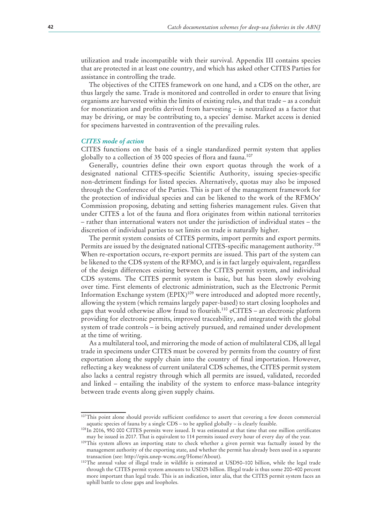utilization and trade incompatible with their survival. Appendix III contains species that are protected in at least one country, and which has asked other CITES Parties for assistance in controlling the trade.

The objectives of the CITES framework on one hand, and a CDS on the other, are thus largely the same. Trade is monitored and controlled in order to ensure that living organisms are harvested within the limits of existing rules, and that trade – as a conduit for monetization and profits derived from harvesting – is neutralized as a factor that may be driving, or may be contributing to, a species' demise. Market access is denied for specimens harvested in contravention of the prevailing rules.

#### *CITES mode of action*

CITES functions on the basis of a single standardized permit system that applies globally to a collection of 35 000 species of flora and fauna.107

Generally, countries define their own export quotas through the work of a designated national CITES-specific Scientific Authority, issuing species-specific non-detriment findings for listed species. Alternatively, quotas may also be imposed through the Conference of the Parties. This is part of the management framework for the protection of individual species and can be likened to the work of the RFMOs' Commission proposing, debating and setting fisheries management rules. Given that under CITES a lot of the fauna and flora originates from within national territories – rather than international waters not under the jurisdiction of individual states – the discretion of individual parties to set limits on trade is naturally higher.

The permit system consists of CITES permits, import permits and export permits. Permits are issued by the designated national CITES-specific management authority.108 When re-exportation occurs, re-export permits are issued. This part of the system can be likened to the CDS system of the RFMO, and is in fact largely equivalent, regardless of the design differences existing between the CITES permit system, and individual CDS systems. The CITES permit system is basic, but has been slowly evolving over time. First elements of electronic administration, such as the Electronic Permit Information Exchange system (EPIX)<sup>109</sup> were introduced and adopted more recently, allowing the system (which remains largely paper-based) to start closing loopholes and gaps that would otherwise allow fraud to flourish.110 eCITES – an electronic platform providing for electronic permits, improved traceability, and integrated with the global system of trade controls – is being actively pursued, and remained under development at the time of writing.

As a multilateral tool, and mirroring the mode of action of multilateral CDS, all legal trade in specimens under CITES must be covered by permits from the country of first exportation along the supply chain into the country of final importation. However, reflecting a key weakness of current unilateral CDS schemes, the CITES permit system also lacks a central registry through which all permits are issued, validated, recorded and linked – entailing the inability of the system to enforce mass-balance integrity between trade events along given supply chains.

<sup>&</sup>lt;sup>107</sup>This point alone should provide sufficient confidence to assert that covering a few dozen commercial aquatic species of fauna by a single CDS – to be applied globally – is clearly feasible.

<sup>&</sup>lt;sup>108</sup> In 2016, 950 000 CITES permits were issued. It was estimated at that time that one million certificates may be issued in 2017. That is equivalent to 114 permits issued every hour of every day of the year.

<sup>&</sup>lt;sup>109</sup>This system allows an importing state to check whether a given permit was factually issued by the management authority of the exporting state, and whether the permit has already been used in a separate transaction (see: http://epix.unep-wcmc.org/Home/About).

<sup>110</sup>The annual value of illegal trade in wildlife is estimated at USD50–100 billion, while the legal trade through the CITES permit system amounts to USD25 billion. Illegal trade is thus some 200–400 percent more important than legal trade. This is an indication, inter alia, that the CITES permit system faces an uphill battle to close gaps and loopholes.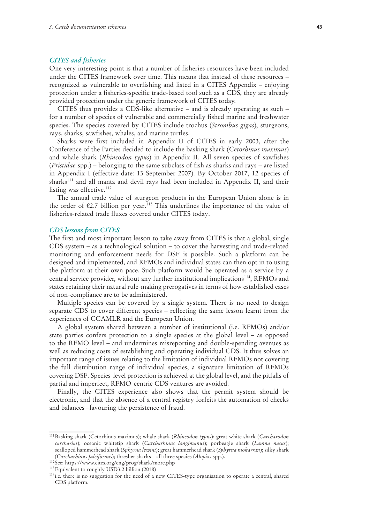#### *CITES and fisheries*

One very interesting point is that a number of fisheries resources have been included under the CITES framework over time. This means that instead of these resources – recognized as vulnerable to overfishing and listed in a CITES Appendix – enjoying protection under a fisheries-specific trade-based tool such as a CDS, they are already provided protection under the generic framework of CITES today.

CITES thus provides a CDS-like alternative – and is already operating as such – for a number of species of vulnerable and commercially fished marine and freshwater species. The species covered by CITES include trochus (*Strombus gigas*), sturgeons, rays, sharks, sawfishes, whales, and marine turtles.

Sharks were first included in Appendix II of CITES in early 2003, after the Conference of the Parties decided to include the basking shark (*Cetorhinus maximus*) and whale shark (*Rhincodon typus*) in Appendix II. All seven species of sawfishes (*Pristidae* spp.) – belonging to the same subclass of fish as sharks and rays – are listed in Appendix I (effective date: 13 September 2007). By October 2017, 12 species of sharks<sup>111</sup> and all manta and devil rays had been included in Appendix II, and their listing was effective.<sup>112</sup>

The annual trade value of sturgeon products in the European Union alone is in the order of  $\epsilon$ 2.7 billion per year.<sup>113</sup> This underlines the importance of the value of fisheries-related trade fluxes covered under CITES today.

## *CDS lessons from CITES*

The first and most important lesson to take away from CITES is that a global, single CDS system – as a technological solution – to cover the harvesting and trade-related monitoring and enforcement needs for DSF is possible. Such a platform can be designed and implemented, and RFMOs and individual states can then opt in to using the platform at their own pace. Such platform would be operated as a service by a central service provider, without any further institutional implications<sup>114</sup>, RFMOs and states retaining their natural rule-making prerogatives in terms of how established cases of non-compliance are to be administered.

Multiple species can be covered by a single system. There is no need to design separate CDS to cover different species – reflecting the same lesson learnt from the experiences of CCAMLR and the European Union.

A global system shared between a number of institutional (i.e. RFMOs) and/or state parties confers protection to a single species at the global level – as opposed to the RFMO level – and undermines misreporting and double-spending avenues as well as reducing costs of establishing and operating individual CDS. It thus solves an important range of issues relating to the limitation of individual RFMOs not covering the full distribution range of individual species, a signature limitation of RFMOs covering DSF. Species-level protection is achieved at the global level, and the pitfalls of partial and imperfect, RFMO-centric CDS ventures are avoided.

Finally, the CITES experience also shows that the permit system should be electronic, and that the absence of a central registry forfeits the automation of checks and balances –favouring the persistence of fraud.

<sup>111</sup>Basking shark (Cetorhinus maximus); whale shark (*Rhincodon typus*); great white shark (*Carcharodon carcharias*); oceanic whitetip shark (*Carcharhinus longimanus*); porbeagle shark (*Lamna nasus*); scalloped hammerhead shark (*Sphyrna lewini*); great hammerhead shark (*Sphyrna mokarran*); silky shark (*Carcharhinus falciformis*); thresher sharks – all three species (*Alopias* spp.).

<sup>112</sup> See: https://www.cites.org/eng/prog/shark/more.php

<sup>113</sup>Equivalent to roughly USD3.2 billion (2018)

<sup>&</sup>lt;sup>114</sup> i.e. there is no suggestion for the need of a new CITES-type organisation to operate a central, shared CDS platform.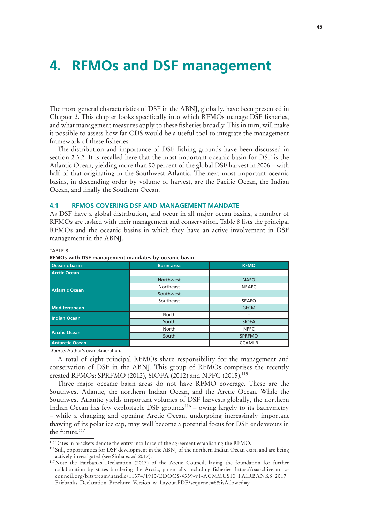## **4. RFMOs and DSF management**

The more general characteristics of DSF in the ABNJ, globally, have been presented in Chapter 2. This chapter looks specifically into which RFMOs manage DSF fisheries, and what management measures apply to these fisheries broadly. This in turn, will make it possible to assess how far CDS would be a useful tool to integrate the management framework of these fisheries.

The distribution and importance of DSF fishing grounds have been discussed in section 2.3.2. It is recalled here that the most important oceanic basin for DSF is the Atlantic Ocean, yielding more than 90 percent of the global DSF harvest in 2006 – with half of that originating in the Southwest Atlantic. The next-most important oceanic basins, in descending order by volume of harvest, are the Pacific Ocean, the Indian Ocean, and finally the Southern Ocean.

#### **4.1 RFMOs covering DSF and management mandate**

As DSF have a global distribution, and occur in all major ocean basins, a number of RFMOs are tasked with their management and conservation. Table 8 lists the principal RFMOs and the oceanic basins in which they have an active involvement in DSF management in the ABNJ.

| Oceanic basin          | <b>Basin area</b> | <b>RFMO</b>   |
|------------------------|-------------------|---------------|
| <b>Arctic Ocean</b>    |                   |               |
|                        | Northwest         | <b>NAFO</b>   |
| <b>Atlantic Ocean</b>  | Northeast         | <b>NEAFC</b>  |
|                        | Southwest         |               |
|                        | Southeast         | <b>SEAFO</b>  |
| Mediterranean          |                   | <b>GFCM</b>   |
| Indian Ocean           | North             |               |
|                        | South             | <b>SIOFA</b>  |
| <b>Pacific Ocean</b>   | North             | <b>NPFC</b>   |
|                        | South             | <b>SPRFMO</b> |
| <b>Antarctic Ocean</b> |                   | <b>CCAMLR</b> |

TABLE 8

**RFMOs with DSF management mandates by oceanic basin**

*Source:* Author's own elaboration.

A total of eight principal RFMOs share responsibility for the management and conservation of DSF in the ABNJ. This group of RFMOs comprises the recently created RFMOs: SPRFMO (2012), SIOFA (2012) and NPFC (2015).115

Three major oceanic basin areas do not have RFMO coverage. These are the Southwest Atlantic, the northern Indian Ocean, and the Arctic Ocean. While the Southwest Atlantic yields important volumes of DSF harvests globally, the northern Indian Ocean has few exploitable DSF grounds<sup>116</sup> – owing largely to its bathymetry – while a changing and opening Arctic Ocean, undergoing increasingly important thawing of its polar ice cap, may well become a potential focus for DSF endeavours in the future.<sup>117</sup>

<sup>115</sup>Dates in brackets denote the entry into force of the agreement establishing the RFMO.

<sup>116</sup> Still, opportunities for DSF development in the ABNJ of the northern Indian Ocean exist, and are being actively investigated (see Sinha *et al*. 2017).

<sup>117</sup> Note the Fairbanks Declaration (2017) of the Arctic Council, laying the foundation for further collaboration by states bordering the Arctic, potentially including fisheries: https://oaarchive.arcticcouncil.org/bitstream/handle/11374/1910/EDOCS-4339-v1-ACMMUS10\_FAIRBANKS\_2017\_ Fairbanks\_Declaration\_Brochure\_Version\_w\_Layout.PDF?sequence=8&isAllowed=y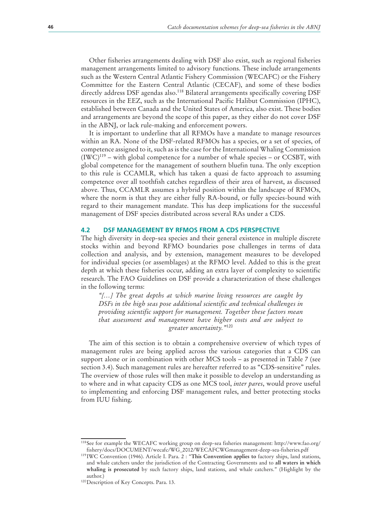Other fisheries arrangements dealing with DSF also exist, such as regional fisheries management arrangements limited to advisory functions. These include arrangements such as the Western Central Atlantic Fishery Commission (WECAFC) or the Fishery Committee for the Eastern Central Atlantic (CECAF), and some of these bodies directly address DSF agendas also.<sup>118</sup> Bilateral arrangements specifically covering DSF resources in the EEZ, such as the International Pacific Halibut Commission (IPHC), established between Canada and the United States of America, also exist. These bodies and arrangements are beyond the scope of this paper, as they either do not cover DSF in the ABNJ, or lack rule-making and enforcement powers.

It is important to underline that all RFMOs have a mandate to manage resources within an RA. None of the DSF-related RFMOs has a species, or a set of species, of competence assigned to it, such as is the case for the International Whaling Commission  $(IWC)^{119}$  – with global competence for a number of whale species – or CCSBT, with global competence for the management of southern bluefin tuna. The only exception to this rule is CCAMLR, which has taken a quasi de facto approach to assuming competence over all toothfish catches regardless of their area of harvest, as discussed above. Thus, CCAMLR assumes a hybrid position within the landscape of RFMOs, where the norm is that they are either fully RA-bound, or fully species-bound with regard to their management mandate. This has deep implications for the successful management of DSF species distributed across several RAs under a CDS.

## **4.2 DSF management by RFMOs from a CDS perspective**

The high diversity in deep-sea species and their general existence in multiple discrete stocks within and beyond RFMO boundaries pose challenges in terms of data collection and analysis, and by extension, management measures to be developed for individual species (or assemblages) at the RFMO level. Added to this is the great depth at which these fisheries occur, adding an extra layer of complexity to scientific research. The FAO Guidelines on DSF provide a characterization of these challenges in the following terms:

*"[…] The great depths at which marine living resources are caught by DSFs in the high seas pose additional scientific and technical challenges in providing scientific support for management. Together these factors mean that assessment and management have higher costs and are subject to greater uncertainty."*<sup>120</sup>

The aim of this section is to obtain a comprehensive overview of which types of management rules are being applied across the various categories that a CDS can support alone or in combination with other MCS tools – as presented in Table 7 (see section 3.4). Such management rules are hereafter referred to as "CDS-sensitive" rules. The overview of those rules will then make it possible to develop an understanding as to where and in what capacity CDS as one MCS tool, *inter pares*, would prove useful to implementing and enforcing DSF management rules, and better protecting stocks from IUU fishing.

<sup>118</sup> See for example the WECAFC working group on deep-sea fisheries management: http://www.fao.org/ fishery/docs/DOCUMENT/wecafc/WG\_2012/WECAFCWGmanagement-deep-sea-fisheries.pdf

<sup>119</sup> IWC Convention (1946). Article I. Para. 2 : "**This Convention applies to** factory ships, land stations, and whale catchers under the jurisdiction of the Contracting Governments and to **all waters in which whaling is prosecuted** by such factory ships, land stations, and whale catchers." (Highlight by the author.)

<sup>&</sup>lt;sup>120</sup>Description of Key Concepts. Para. 13.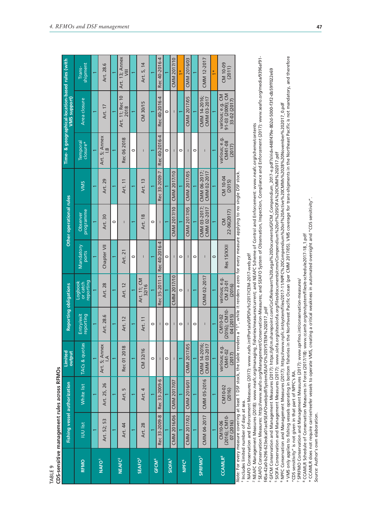|                           | CDS-sensitive management rules across RFMOs                                                                                                                                                             |                                                                           |                                    |                                          |                                     |                    |                              |                             |                                   |                                                                                                                                                                                                                |                            |
|---------------------------|---------------------------------------------------------------------------------------------------------------------------------------------------------------------------------------------------------|---------------------------------------------------------------------------|------------------------------------|------------------------------------------|-------------------------------------|--------------------|------------------------------|-----------------------------|-----------------------------------|----------------------------------------------------------------------------------------------------------------------------------------------------------------------------------------------------------------|----------------------------|
|                           |                                                                                                                                                                                                         | <b>Fishing vessel authorization</b>                                       | Limited<br>output                  |                                          | <b>Reporting obligations</b>        |                    | Other operational rules      |                             |                                   | Time- & geographical-location-based rules (with<br><b>VMS</b> support)                                                                                                                                         |                            |
| <b>RFMO</b>               | <b>IUU list</b>                                                                                                                                                                                         | White list                                                                | TACs & quotas                      | reporting<br>Entrylexit                  | eporting<br>Logbook<br>or catch     | Mandatory<br>ports | programme<br><b>Observer</b> | VMS                         | Temporal<br>$c$ losure $*$        | Area closure                                                                                                                                                                                                   | shipment<br>Trans-         |
|                           |                                                                                                                                                                                                         |                                                                           |                                    |                                          |                                     |                    |                              |                             |                                   |                                                                                                                                                                                                                |                            |
| <b>NAFO</b>               | Art. 52; 53                                                                                                                                                                                             | Art. 25, 26                                                               | Art. 5; Annex<br>$\leq$            | Art. 28.6                                | Art. 28                             | Chapter VII        | Art. 30                      | Art. 29                     | Art. 5; Annex<br>$\overline{B}$   | Art. 17                                                                                                                                                                                                        | Art. 28.6                  |
|                           |                                                                                                                                                                                                         |                                                                           |                                    |                                          |                                     |                    | $\circ$                      |                             |                                   |                                                                                                                                                                                                                |                            |
| <b>NEAFC<sup>2</sup></b>  | Art. 44                                                                                                                                                                                                 | Art. 5                                                                    | Rec 01 2018                        | Art. 12                                  | Art. 12                             | Art. 21            |                              | Art. 11                     | Rec 06 2018                       | Art. 11; Rec 10<br>2018                                                                                                                                                                                        | Art. 13; Annex<br>$\equiv$ |
|                           |                                                                                                                                                                                                         |                                                                           |                                    |                                          |                                     | $\circ$            |                              |                             | $\circ$                           |                                                                                                                                                                                                                |                            |
| <b>SEAFO<sup>3</sup></b>  | Art. 28                                                                                                                                                                                                 | Art. 4                                                                    | CM 32/16                           | Art. 11                                  | Art. 11; CM<br>32/16                |                    | Art. 18                      | Art. 13                     |                                   | CM 30/15                                                                                                                                                                                                       | Art. 5, 14                 |
|                           |                                                                                                                                                                                                         |                                                                           | $\circ$                            | $\circ$                                  |                                     |                    | $\circ$                      |                             |                                   |                                                                                                                                                                                                                |                            |
| GFCM <sup>4</sup>         | Rec 33-2009-8                                                                                                                                                                                           | Rec 33-2009-6                                                             |                                    |                                          | Rec 35-2011-1                       | Rec 40-2016-4      | $\mathbf{I}$                 | Rec 33-2009-7               | Rec 40-2016-4                     | Rec 40-2016-4                                                                                                                                                                                                  | Rec 40-2016-4              |
|                           |                                                                                                                                                                                                         |                                                                           | $\circ$                            | $\circ$                                  |                                     | $\circ$            |                              |                             | $\circ$                           | $\circ$                                                                                                                                                                                                        |                            |
| <b>SIOFA<sup>5</sup></b>  | CMM 2016/06                                                                                                                                                                                             | CMM 2017/07                                                               | Т                                  | T                                        | CMM 2017/10                         |                    | <b>CMM 2017/10</b>           | CMM 2017/10                 |                                   | T                                                                                                                                                                                                              | CMM 2017/10                |
|                           |                                                                                                                                                                                                         |                                                                           |                                    | 0                                        | 0                                   | 0                  |                              |                             | 0                                 |                                                                                                                                                                                                                | $\frac{*}{+}$              |
| <b>NPFC<sup>6</sup></b>   | CMM 2017/02                                                                                                                                                                                             | CMM 2016/01                                                               | CMM 2017/05                        | T                                        | T                                   | $\overline{1}$     | CMM 2017/05                  | CMM 2017/05                 | I                                 | <b>CMM 2017/05</b>                                                                                                                                                                                             | CMM 2016/03                |
|                           |                                                                                                                                                                                                         |                                                                           |                                    | $\circ$                                  |                                     | $\circ$            |                              |                             | $\circ$                           |                                                                                                                                                                                                                |                            |
| <b>SPRFMO<sup>7</sup></b> | CMM 04-2017                                                                                                                                                                                             | CMM 05-2016                                                               | CMM 14-2016;<br>CMM 03-2017        | Ī                                        | CMM 02-2017                         | $\mathbf{I}$       | CMM 03-2017;<br>CMM 02-2017  | CMM 06-2017;<br>CMM 02-2017 | Ī                                 | CMM 14-2016;<br>CMM 03-2017                                                                                                                                                                                    | CMM 12-2017                |
|                           |                                                                                                                                                                                                         |                                                                           |                                    |                                          |                                     | $\circ$            |                              |                             |                                   |                                                                                                                                                                                                                | $\ddot{\phantom{1}}$       |
| <b>CCAMLR<sup>8</sup></b> | $(2016)$ ; CM10-<br>CM10-06<br>07 (2016)                                                                                                                                                                | CM10-02<br>(2016)                                                         | various; e.g.<br>CM41-02<br>(2017) | $(2016)$ ; CM10-<br>04 (2015)<br>CM10-02 | various; e.g.<br>CM 23-01<br>(2016) | Res 15/XXII        | 22-06(2017)<br>ξ             | CM 10-04<br>(2015)          | various; e.g<br>CM41-08<br>(2017) | 91-03 (2009); CM<br>various; e.g. CM<br>33-02 (2017)                                                                                                                                                           | CM 10-09<br>(2011)         |
|                           | Mote: For every measure covering at least 1 DSF stock, the table renders a "1", while it renders a zero for every measure applying to no single DSF stock.<br># Includes limited number of days at sea. |                                                                           |                                    |                                          |                                     |                    |                              |                             |                                   |                                                                                                                                                                                                                |                            |
|                           | <sup>1</sup> NAFO Conservation and Enforcement Measures (2017): www.nafo.int/Portals/0/PDFs/fc/2017/CEM-2017-web.pdf                                                                                    |                                                                           |                                    |                                          |                                     |                    |                              |                             |                                   |                                                                                                                                                                                                                |                            |
|                           | <sup>2</sup> NEAFC Management Measures (2018): www.neafc.org/managing_fisheries/measures/current; and NEAFC Scheme of Control and Enforcement: www.neafc.org/scheme/contents                            |                                                                           |                                    |                                          |                                     |                    |                              |                             |                                   |                                                                                                                                                                                                                |                            |
|                           |                                                                                                                                                                                                         | f45a-42a0-b296-623edca01ac4/SEAFOweb/pdf/System/SEAFO%20SYSTEM%202017 pdf |                                    |                                          |                                     |                    |                              |                             |                                   | <sup>3</sup> SEAFO Conservation Measures: http://www.seafo.org/Management/Conservation-Measures; and SEAFO System of Observation, Inspection, Compliance and Enforcement (2017): www.seafo.org/media/9396af91- |                            |

f45a-42a0-b296-623edca01ac4/SEAFOweb/pdf/System/SEAFO%20SYSTEM%202017\_pdf

" GFCM Conservation and Management Measures (2017): https://gfcm.sharepoint.com/CoC/Relevant%20Legal%20Documents/GFCM\_Compendium\_2017-e.pdf?slrid=448f479e-802d-5000-f3f2-db59ff022e69<br><sup>5</sup> SIOFA Conservation and Management

° SIOFA Conservation and Management Measures (2017): www.siofa.org/sites/siofa.org/files/documents/cmm/Compendium%20of%20SIOFA%20SIM%202017.pdf

\* VMS only applies to fishing vessels operating in bottom fisheries in the Northwest Pacific Ocean (per CMM 2017/05). VMS coverage for trans-shipments in the Northeast Pacific is not mandatory, and therefore

SPRFMO Conservation and Management Measures (2017): www.sprfmo.int/conservation-measures/ "CDS sensitivity" is not given in that part of NPFC's RA. "CDS sensitivity" is not given in that part of NPFC's RA.

7 SPRFMO Conservation and Management Measures (2017): www.sprfmo.int/conservation-measures/

8 CCAMLR Schedule of Conservation Measures in Force (2017/18): www.ccamlr.org/en/system/files/e-schedule2017-18\_1.pdf \* CCAMLR Schedule of Conservation Measures in Force (2017/18): www.ccamlr.org/en/system:rilles/e-schedule2017-18\_1.pdf<br>\* CCAMLR does not require carrier/reefer vessels to operate VMS, creating a critical weakness in automa

CCAMLR does not require carrier/reefer vessels to operate VMS, creating a critical weakness in automated oversight and "CDS sensitivity".

*Source:* Author's own elaboration.

TABLE<sub>9</sub>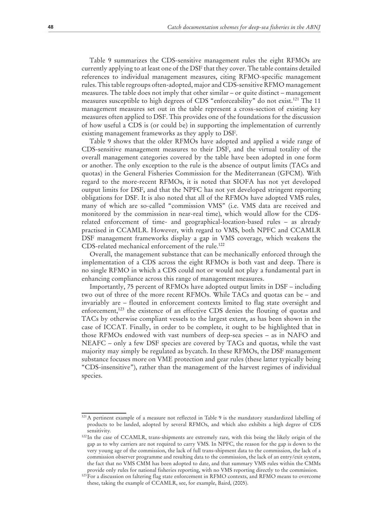Table 9 summarizes the CDS-sensitive management rules the eight RFMOs are currently applying to at least one of the DSF that they cover. The table contains detailed references to individual management measures, citing RFMO-specific management rules. This table regroups often-adopted, major and CDS-sensitive RFMO management measures. The table does not imply that other similar – or quite distinct – management measures susceptible to high degrees of CDS "enforceability" do not exist.121 The 11 management measures set out in the table represent a cross-section of existing key measures often applied to DSF. This provides one of the foundations for the discussion of how useful a CDS is (or could be) in supporting the implementation of currently existing management frameworks as they apply to DSF.

Table 9 shows that the older RFMOs have adopted and applied a wide range of CDS-sensitive management measures to their DSF, and the virtual totality of the overall management categories covered by the table have been adopted in one form or another. The only exception to the rule is the absence of output limits (TACs and quotas) in the General Fisheries Commission for the Mediterranean (GFCM). With regard to the more-recent RFMOs, it is noted that SIOFA has not yet developed output limits for DSF, and that the NPFC has not yet developed stringent reporting obligations for DSF. It is also noted that all of the RFMOs have adopted VMS rules, many of which are so-called "commission VMS" (i.e. VMS data are received and monitored by the commission in near-real time), which would allow for the CDSrelated enforcement of time- and geographical-location-based rules – as already practised in CCAMLR. However, with regard to VMS, both NPFC and CCAMLR DSF management frameworks display a gap in VMS coverage, which weakens the CDS-related mechanical enforcement of the rule.<sup>122</sup>

Overall, the management substance that can be mechanically enforced through the implementation of a CDS across the eight RFMOs is both vast and deep. There is no single RFMO in which a CDS could not or would not play a fundamental part in enhancing compliance across this range of management measures.

Importantly, 75 percent of RFMOs have adopted output limits in DSF – including two out of three of the more recent RFMOs. While TACs and quotas can be – and invariably are – flouted in enforcement contexts limited to flag state oversight and enforcement,<sup>123</sup> the existence of an effective CDS denies the flouting of quotas and TACs by otherwise compliant vessels to the largest extent, as has been shown in the case of ICCAT. Finally, in order to be complete, it ought to be highlighted that in those RFMOs endowed with vast numbers of deep-sea species – as in NAFO and NEAFC – only a few DSF species are covered by TACs and quotas, while the vast majority may simply be regulated as bycatch. In these RFMOs, the DSF management substance focuses more on VME protection and gear rules (these latter typically being "CDS-insensitive"), rather than the management of the harvest regimes of individual species.

<sup>&</sup>lt;sup>121</sup>A pertinent example of a measure not reflected in Table 9 is the mandatory standardized labelling of products to be landed, adopted by several RFMOs, and which also exhibits a high degree of CDS sensitivity.

<sup>&</sup>lt;sup>122</sup> In the case of CCAMLR, trans-shipments are extremely rare, with this being the likely origin of the gap as to why carriers are not required to carry VMS. In NPFC, the reason for the gap is down to the very young age of the commission, the lack of full trans-shipment data to the commission, the lack of a commission observer programme and resulting data to the commission, the lack of an entry/exit system, the fact that no VMS CMM has been adopted to date, and that summary VMS rules within the CMMs provide only rules for national fisheries reporting, with no VMS reporting directly to the commission.

<sup>&</sup>lt;sup>123</sup>For a discussion on faltering flag state enforcement in RFMO contexts, and RFMO means to overcome these, taking the example of CCAMLR, see, for example, Baird, (2005).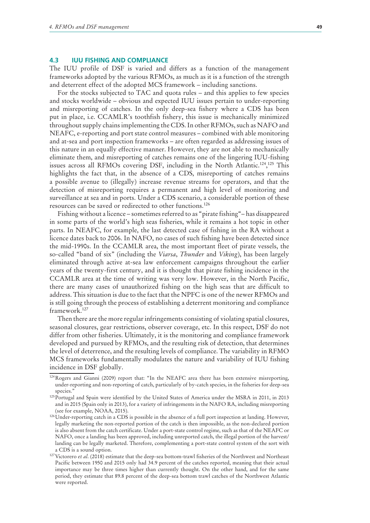#### **4.3 IUU fishing and compliance**

The IUU profile of DSF is varied and differs as a function of the management frameworks adopted by the various RFMOs, as much as it is a function of the strength and deterrent effect of the adopted MCS framework – including sanctions.

For the stocks subjected to TAC and quota rules – and this applies to few species and stocks worldwide – obvious and expected IUU issues pertain to under-reporting and misreporting of catches. In the only deep-sea fishery where a CDS has been put in place, i.e. CCAMLR's toothfish fishery, this issue is mechanically minimized throughout supply chains implementing the CDS. In other RFMOs, such as NAFO and NEAFC, e-reporting and port state control measures – combined with able monitoring and at-sea and port inspection frameworks – are often regarded as addressing issues of this nature in an equally effective manner. However, they are not able to mechanically eliminate them, and misreporting of catches remains one of the lingering IUU-fishing issues across all RFMOs covering DSF, including in the North Atlantic.<sup>124</sup>,<sup>125</sup> This highlights the fact that, in the absence of a CDS, misreporting of catches remains a possible avenue to (illegally) increase revenue streams for operators, and that the detection of misreporting requires a permanent and high level of monitoring and surveillance at sea and in ports. Under a CDS scenario, a considerable portion of these resources can be saved or redirected to other functions.126

Fishing without a licence – sometimes referred to as "pirate fishing"– has disappeared in some parts of the world's high seas fisheries, while it remains a hot topic in other parts. In NEAFC, for example, the last detected case of fishing in the RA without a licence dates back to 2006. In NAFO, no cases of such fishing have been detected since the mid-1990s. In the CCAMLR area, the most important fleet of pirate vessels, the so-called "band of six" (including the *Viarsa*, *Thunder* and *Viking*), has been largely eliminated through active at-sea law enforcement campaigns throughout the earlier years of the twenty-first century, and it is thought that pirate fishing incidence in the CCAMLR area at the time of writing was very low. However, in the North Pacific, there are many cases of unauthorized fishing on the high seas that are difficult to address. This situation is due to the fact that the NPFC is one of the newer RFMOs and is still going through the process of establishing a deterrent monitoring and compliance framework.127

Then there are the more regular infringements consisting of violating spatial closures, seasonal closures, gear restrictions, observer coverage, etc. In this respect, DSF do not differ from other fisheries. Ultimately, it is the monitoring and compliance framework developed and pursued by RFMOs, and the resulting risk of detection, that determines the level of deterrence, and the resulting levels of compliance. The variability in RFMO MCS frameworks fundamentally modulates the nature and variability of IUU fishing incidence in DSF globally.

<sup>124</sup> Rogers and Gianni (2009) report that: "In the NEAFC area there has been extensive misreporting, under-reporting and non-reporting of catch, particularly of by-catch species, in the fisheries for deep-sea species.'

<sup>&</sup>lt;sup>125</sup> Portugal and Spain were identified by the United States of America under the MSRA in 2011, in 2013 and in 2015 (Spain only in 2013), for a variety of infringements in the NAFO RA, including misreporting (see for example, NOAA, 2015).

<sup>&</sup>lt;sup>126</sup>Under-reporting catch in a CDS is possible in the absence of a full port inspection at landing. However, legally marketing the non-reported portion of the catch is then impossible, as the non-declared portion is also absent from the catch certificate. Under a port-state control regime, such as that of the NEAFC or NAFO, once a landing has been approved, including unreported catch, the illegal portion of the harvest/ landing can be legally marketed. Therefore, complementing a port-state control system of the sort with a CDS is a sound option.

<sup>&</sup>lt;sup>127</sup>Victorero *et al.* (2018) estimate that the deep-sea bottom-trawl fisheries of the Northwest and Northeast Pacific between 1950 and 2015 only had 34.9 percent of the catches reported, meaning that their actual importance may be three times higher than currently thought. On the other hand, and for the same period, they estimate that 89.8 percent of the deep-sea bottom trawl catches of the Northwest Atlantic were reported.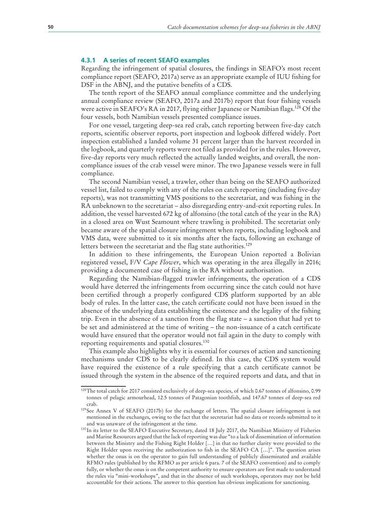## **4.3.1 A series of recent SEAFO examples**

Regarding the infringement of spatial closures, the findings in SEAFO's most recent compliance report (SEAFO, 2017a) serve as an appropriate example of IUU fishing for DSF in the ABNJ, and the putative benefits of a CDS.

The tenth report of the SEAFO annual compliance committee and the underlying annual compliance review (SEAFO, 2017a and 2017b) report that four fishing vessels were active in SEAFO's RA in 2017, flying either Japanese or Namibian flags.<sup>128</sup> Of the four vessels, both Namibian vessels presented compliance issues.

For one vessel, targeting deep-sea red crab, catch reporting between five-day catch reports, scientific observer reports, port inspection and logbook differed widely. Port inspection established a landed volume 31 percent larger than the harvest recorded in the logbook, and quarterly reports were not filed as provided for in the rules. However, five-day reports very much reflected the actually landed weights, and overall, the noncompliance issues of the crab vessel were minor. The two Japanese vessels were in full compliance.

The second Namibian vessel, a trawler, other than being on the SEAFO authorized vessel list, failed to comply with any of the rules on catch reporting (including five-day reports), was not transmitting VMS positions to the secretariat, and was fishing in the RA unbeknown to the secretariat – also disregarding entry-and-exit reporting rules. In addition, the vessel harvested 672 kg of alfonsino (the total catch of the year in the RA) in a closed area on Wust Seamount where trawling is prohibited. The secretariat only became aware of the spatial closure infringement when reports, including logbook and VMS data, were submitted to it six months after the facts, following an exchange of letters between the secretariat and the flag state authorities.<sup>129</sup>

In addition to these infringements, the European Union reported a Bolivian registered vessel, F/V *Cape Flower*, which was operating in the area illegally in 2016; providing a documented case of fishing in the RA without authorisation.

Regarding the Namibian-flagged trawler infringements, the operation of a CDS would have deterred the infringements from occurring since the catch could not have been certified through a properly configured CDS platform supported by an able body of rules. In the latter case, the catch certificate could not have been issued in the absence of the underlying data establishing the existence and the legality of the fishing trip. Even in the absence of a sanction from the flag state – a sanction that had yet to be set and administered at the time of writing – the non-issuance of a catch certificate would have ensured that the operator would not fail again in the duty to comply with reporting requirements and spatial closures.130

This example also highlights why it is essential for courses of action and sanctioning mechanisms under CDS to be clearly defined. In this case, the CDS system would have required the existence of a rule specifying that a catch certificate cannot be issued through the system in the absence of the required reports and data, and that in

<sup>128</sup>The total catch for 2017 consisted exclusively of deep-sea species, of which 0.67 tonnes of alfonsino, 0.99 tonnes of pelagic armourhead, 12.5 tonnes of Patagonian toothfish, and 147.67 tonnes of deep-sea red crab.

<sup>129</sup> See Annex V of SEAFO (2017b) for the exchange of letters. The spatial closure infringement is not mentioned in the exchanges, owing to the fact that the secretariat had no data or records submitted to it and was unaware of the infringement at the time.

<sup>130</sup> In its letter to the SEAFO Executive Secretary, dated 18 July 2017, the Namibian Ministry of Fisheries and Marine Resources argued that the lack of reporting was due "to a lack of dissemination of information between the Ministry and the Fishing Right Holder […] in that no further clarity were provided to the Right Holder upon receiving the authorization to fish in the SEAFO CA […]". The question arises whether the onus is on the operator to gain full understanding of publicly disseminated and available RFMO rules (published by the RFMO as per article 6 para. 7 of the SEAFO convention) and to comply fully, or whether the onus is on the competent authority to ensure operators are first made to understand the rules via "mini-workshops", and that in the absence of such workshops, operators may not be held accountable for their actions. The answer to this question has obvious implications for sanctioning.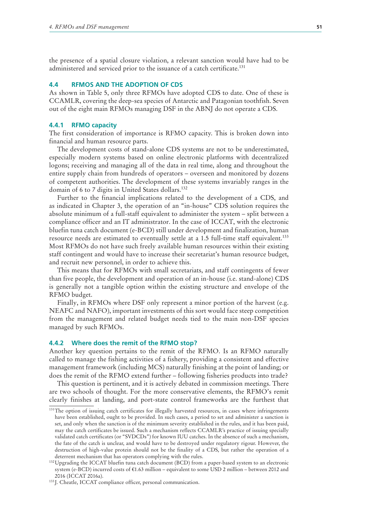the presence of a spatial closure violation, a relevant sanction would have had to be administered and serviced prior to the issuance of a catch certificate.<sup>131</sup>

## **4.4 RFMOs and the adoption of CDS**

As shown in Table 5, only three RFMOs have adopted CDS to date. One of these is CCAMLR, covering the deep-sea species of Antarctic and Patagonian toothfish. Seven out of the eight main RFMOs managing DSF in the ABNJ do not operate a CDS.

## **4.4.1 RFMO capacity**

The first consideration of importance is RFMO capacity. This is broken down into financial and human resource parts.

The development costs of stand-alone CDS systems are not to be underestimated, especially modern systems based on online electronic platforms with decentralized logons; receiving and managing all of the data in real time, along and throughout the entire supply chain from hundreds of operators – overseen and monitored by dozens of competent authorities. The development of these systems invariably ranges in the domain of 6 to 7 digits in United States dollars.<sup>132</sup>

Further to the financial implications related to the development of a CDS, and as indicated in Chapter 3, the operation of an "in-house" CDS solution requires the absolute minimum of a full-staff equivalent to administer the system – split between a compliance officer and an IT administrator. In the case of ICCAT, with the electronic bluefin tuna catch document (e-BCD) still under development and finalization, human resource needs are estimated to eventually settle at a 1.5 full-time staff equivalent.133 Most RFMOs do not have such freely available human resources within their existing staff contingent and would have to increase their secretariat's human resource budget, and recruit new personnel, in order to achieve this.

This means that for RFMOs with small secretariats, and staff contingents of fewer than five people, the development and operation of an in-house (i.e. stand-alone) CDS is generally not a tangible option within the existing structure and envelope of the RFMO budget.

Finally, in RFMOs where DSF only represent a minor portion of the harvest (e.g. NEAFC and NAFO), important investments of this sort would face steep competition from the management and related budget needs tied to the main non-DSF species managed by such RFMOs.

## **4.4.2 Where does the remit of the RFMO stop?**

Another key question pertains to the remit of the RFMO. Is an RFMO naturally called to manage the fishing activities of a fishery, providing a consistent and effective management framework (including MCS) naturally finishing at the point of landing; or does the remit of the RFMO extend further – following fisheries products into trade?

This question is pertinent, and it is actively debated in commission meetings. There are two schools of thought. For the more conservative elements, the RFMO's remit clearly finishes at landing, and port-state control frameworks are the furthest that

<sup>&</sup>lt;sup>131</sup>The option of issuing catch certificates for illegally harvested resources, in cases where infringements have been established, ought to be provided. In such cases, a period to set and administer a sanction is set, and only when the sanction is of the minimum severity established in the rules, and it has been paid, may the catch certificates be issued. Such a mechanism reflects CCAMLR's practice of issuing specially validated catch certificates (or "SVDCDs") for known IUU catches. In the absence of such a mechanism, the fate of the catch is unclear, and would have to be destroyed under regulatory rigour. However, the destruction of high-value protein should not be the finality of a CDS, but rather the operation of a deterrent mechanism that has operators complying with the rules.

<sup>&</sup>lt;sup>132</sup>Upgrading the ICCAT bluefin tuna catch document (BCD) from a paper-based system to an electronic system (e-BCD) incurred costs of €1.63 million – equivalent to some USD 2 million – between 2012 and 2016 (ICCAT 2016a).

<sup>133</sup> J. Cheatle, ICCAT compliance officer, personal communication.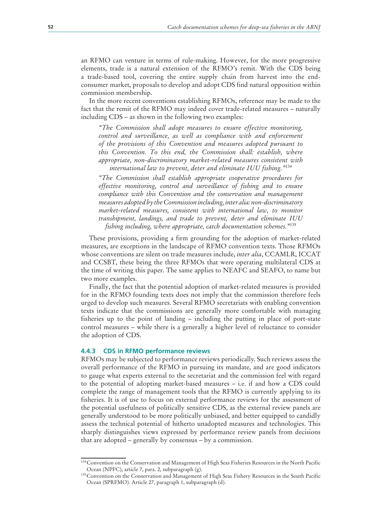an RFMO can venture in terms of rule-making. However, for the more progressive elements, trade is a natural extension of the RFMO's remit. With the CDS being a trade-based tool, covering the entire supply chain from harvest into the endconsumer market, proposals to develop and adopt CDS find natural opposition within commission membership.

In the more recent conventions establishing RFMOs, reference may be made to the fact that the remit of the RFMO may indeed cover trade-related measures – naturally including CDS – as shown in the following two examples:

*"The Commission shall adopt measures to ensure effective monitoring, control and surveillance, as well as compliance with and enforcement of the provisions of this Convention and measures adopted pursuant to this Convention. To this end, the Commission shall: establish, where appropriate, non-discriminatory market-related measures consistent with international law to prevent, deter and eliminate IUU fishing."*<sup>134</sup>

*"The Commission shall establish appropriate cooperative procedures for effective monitoring, control and surveillance of fishing and to ensure compliance with this Convention and the conservation and management measures adopted by the Commission including, inter alia: non-discriminatory market-related measures, consistent with international law, to monitor transhipment, landings, and trade to prevent, deter and eliminate IUU fishing including, where appropriate, catch documentation schemes."*<sup>135</sup>

These provisions, providing a firm grounding for the adoption of market-related measures, are exceptions in the landscape of RFMO convention texts. Those RFMOs whose conventions are silent on trade measures include, *inter alia*, CCAMLR, ICCAT and CCSBT, these being the three RFMOs that were operating multilateral CDS at the time of writing this paper. The same applies to NEAFC and SEAFO, to name but two more examples.

Finally, the fact that the potential adoption of market-related measures is provided for in the RFMO founding texts does not imply that the commission therefore feels urged to develop such measures. Several RFMO secretariats with enabling convention texts indicate that the commissions are generally more comfortable with managing fisheries up to the point of landing – including the putting in place of port-state control measures – while there is a generally a higher level of reluctance to consider the adoption of CDS.

## **4.4.3 CDS in RFMO performance reviews**

RFMOs may be subjected to performance reviews periodically. Such reviews assess the overall performance of the RFMO in pursuing its mandate, and are good indicators to gauge what experts external to the secretariat and the commission feel with regard to the potential of adopting market-based measures – i.e. if and how a CDS could complete the range of management tools that the RFMO is currently applying to its fisheries. It is of use to focus on external performance reviews for the assessment of the potential usefulness of politically sensitive CDS, as the external review panels are generally understood to be more politically unbiased, and better equipped to candidly assess the technical potential of hitherto unadopted measures and technologies. This sharply distinguishes views expressed by performance review panels from decisions that are adopted – generally by consensus – by a commission.

<sup>&</sup>lt;sup>134</sup> Convention on the Conservation and Management of High Seas Fisheries Resources in the North Pacific Ocean (NPFC), article 7, para. 2, subparagraph (g).

<sup>&</sup>lt;sup>135</sup> Convention on the Conservation and Management of High Seas Fishery Resources in the South Pacific Ocean (SPRFMO). Article 27, paragraph 1, subparagraph (d).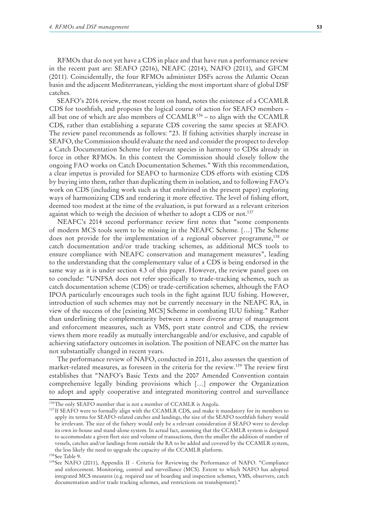RFMOs that do not yet have a CDS in place and that have run a performance review in the recent past are: SEAFO (2016), NEAFC (2014), NAFO (2011), and GFCM (2011). Coincidentally, the four RFMOs administer DSFs across the Atlantic Ocean basin and the adjacent Mediterranean, yielding the most important share of global DSF catches.

SEAFO's 2016 review, the most recent on hand, notes the existence of a CCAMLR CDS for toothfish, and proposes the logical course of action for SEAFO members – all but one of which are also members of  $CCAMLR^{136}$  – to align with the CCAMLR CDS, rather than establishing a separate CDS covering the same species at SEAFO. The review panel recommends as follows: "23. If fishing activities sharply increase in SEAFO, the Commission should evaluate the need and consider the prospect to develop a Catch Documentation Scheme for relevant species in harmony to CDSs already in force in other RFMOs. In this context the Commission should closely follow the ongoing FAO works on Catch Documentation Schemes." With this recommendation, a clear impetus is provided for SEAFO to harmonize CDS efforts with existing CDS by buying into them, rather than duplicating them in isolation, and to following FAO's work on CDS (including work such as that enshrined in the present paper) exploring ways of harmonizing CDS and rendering it more effective. The level of fishing effort, deemed too modest at the time of the evaluation, is put forward as a relevant criterion against which to weigh the decision of whether to adopt a CDS or not.<sup>137</sup>

NEAFC's 2014 second performance review first notes that "some components of modern MCS tools seem to be missing in the NEAFC Scheme. […] The Scheme does not provide for the implementation of a regional observer programme,<sup>138</sup> or catch documentation and/or trade tracking schemes, as additional MCS tools to ensure compliance with NEAFC conservation and management measures", leading to the understanding that the complementary value of a CDS is being endorsed in the same way as it is under section 4.3 of this paper. However, the review panel goes on to conclude: "UNFSA does not refer specifically to trade-tracking schemes, such as catch documentation scheme (CDS) or trade-certification schemes, although the FAO IPOA particularly encourages such tools in the fight against IUU fishing. However, introduction of such schemes may not be currently necessary in the NEAFC RA, in view of the success of the [existing MCS] Scheme in combating IUU fishing." Rather than underlining the complementarity between a more diverse array of management and enforcement measures, such as VMS, port state control and CDS, the review views them more readily as mutually interchangeable and/or exclusive, and capable of achieving satisfactory outcomes in isolation. The position of NEAFC on the matter has not substantially changed in recent years.

The performance review of NAFO, conducted in 2011, also assesses the question of market-related measures, as foreseen in the criteria for the review.139 The review first establishes that "NAFO's Basic Texts and the 2007 Amended Convention contain comprehensive legally binding provisions which […] empower the Organization to adopt and apply cooperative and integrated monitoring control and surveillance

<sup>136</sup>The only SEAFO member that is not a member of CCAMLR is Angola.

<sup>137</sup> If SEAFO were to formally align with the CCAMLR CDS, and make it mandatory for its members to apply its terms for SEAFO-related catches and landings, the size of the SEAFO toothfish fishery would be irrelevant. The size of the fishery would only be a relevant consideration if SEAFO were to develop its own in-house and stand-alone system. In actual fact, assuming that the CCAMLR system is designed to accommodate a given fleet size and volume of transactions, then the smaller the addition of number of vessels, catches and/or landings from outside the RA to be added and covered by the CCAMLR system, the less likely the need to upgrade the capacity of the CCAMLR platform.

<sup>138</sup> See Table 9.

<sup>139</sup> See NAFO (2011), Appendix II - Criteria for Reviewing the Performance of NAFO. "Compliance and enforcement. Monitoring, control and surveillance (MCS). Extent to which NAFO has adopted integrated MCS measures (e.g. required use of boarding and inspection schemes, VMS, observers, catch documentation and/or trade tracking schemes, and restrictions on transhipment)."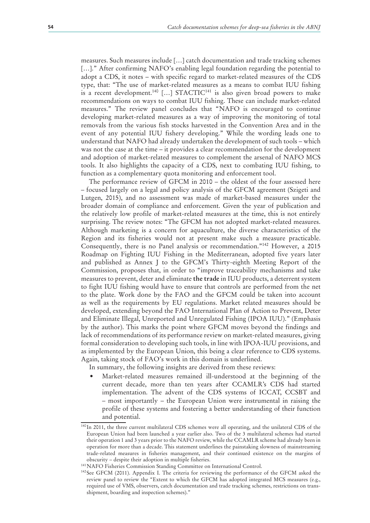measures. Such measures include […] catch documentation and trade tracking schemes [...]." After confirming NAFO's enabling legal foundation regarding the potential to adopt a CDS, it notes – with specific regard to market-related measures of the CDS type, that: "The use of market-related measures as a means to combat IUU fishing is a recent development.<sup>140</sup> [...] STACTIC<sup>141</sup> is also given broad powers to make recommendations on ways to combat IUU fishing. These can include market-related measures." The review panel concludes that "NAFO is encouraged to continue developing market-related measures as a way of improving the monitoring of total removals from the various fish stocks harvested in the Convention Area and in the event of any potential IUU fishery developing." While the wording leads one to understand that NAFO had already undertaken the development of such tools – which was not the case at the time – it provides a clear recommendation for the development and adoption of market-related measures to complement the arsenal of NAFO MCS tools. It also highlights the capacity of a CDS, next to combating IUU fishing, to function as a complementary quota monitoring and enforcement tool.

The performance review of GFCM in 2010 – the oldest of the four assessed here – focused largely on a legal and policy analysis of the GFCM agreement (Szigeti and Lutgen, 2015), and no assessment was made of market-based measures under the broader domain of compliance and enforcement. Given the year of publication and the relatively low profile of market-related measures at the time, this is not entirely surprising. The review notes: "The GFCM has not adopted market-related measures. Although marketing is a concern for aquaculture, the diverse characteristics of the Region and its fisheries would not at present make such a measure practicable. Consequently, there is no Panel analysis or recommendation."142 However, a 2015 Roadmap on Fighting IUU Fishing in the Mediterranean, adopted five years later and published as Annex J to the GFCM's Thirty-eighth Meeting Report of the Commission, proposes that, in order to "improve traceability mechanisms and take measures to prevent, deter and eliminate **the trade** in IUU products, a deterrent system to fight IUU fishing would have to ensure that controls are performed from the net to the plate. Work done by the FAO and the GFCM could be taken into account as well as the requirements by EU regulations. Market related measures should be developed, extending beyond the FAO International Plan of Action to Prevent, Deter and Eliminate Illegal, Unreported and Unregulated Fishing (IPOA IUU)." (Emphasis by the author). This marks the point where GFCM moves beyond the findings and lack of recommendations of its performance review on market-related measures, giving formal consideration to developing such tools, in line with IPOA-IUU provisions, and as implemented by the European Union, this being a clear reference to CDS systems. Again, taking stock of FAO's work in this domain is underlined.

In summary, the following insights are derived from these reviews:

Market-related measures remained ill-understood at the beginning of the current decade, more than ten years after CCAMLR's CDS had started implementation. The advent of the CDS systems of ICCAT, CCSBT and – most importantly – the European Union were instrumental in raising the profile of these systems and fostering a better understanding of their function and potential.

<sup>140</sup> In 2011, the three current multilateral CDS schemes were all operating, and the unilateral CDS of the European Union had been launched a year earlier also. Two of the 3 multilateral schemes had started their operation 1 and 3 years prior to the NAFO review, while the CCAMLR scheme had already been in operation for more than a decade. This statement underlines the painstaking slowness of mainstreaming trade-related measures in fisheries management, and their continued existence on the margins of obscurity – despite their adoption in multiple fisheries.

<sup>141</sup>NAFO Fisheries Commission Standing Committee on International Control.

<sup>142</sup> See GFCM (2011). Appendix I. The criteria for reviewing the performance of the GFCM asked the review panel to review the "Extent to which the GFCM has adopted integrated MCS measures (e.g., required use of VMS, observers, catch documentation and trade tracking schemes, restrictions on transshipment, boarding and inspection schemes)."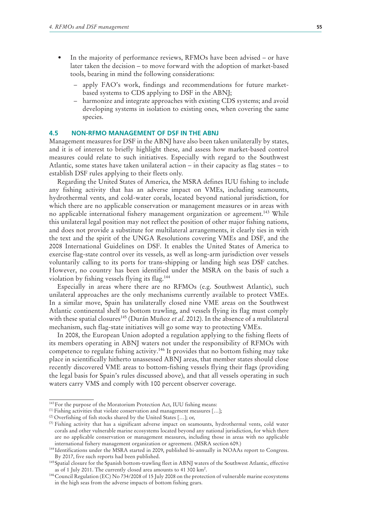- In the majority of performance reviews, RFMOs have been advised or have later taken the decision – to move forward with the adoption of market-based tools, bearing in mind the following considerations:
	- apply FAO's work, findings and recommendations for future marketbased systems to CDS applying to DSF in the ABNJ;
	- harmonize and integrate approaches with existing CDS systems; and avoid developing systems in isolation to existing ones, when covering the same species.

## **4.5 Non-RFMO management of DSF in the ABNJ**

Management measures for DSF in the ABNJ have also been taken unilaterally by states, and it is of interest to briefly highlight these, and assess how market-based control measures could relate to such initiatives. Especially with regard to the Southwest Atlantic, some states have taken unilateral action – in their capacity as flag states – to establish DSF rules applying to their fleets only.

Regarding the United States of America, the MSRA defines IUU fishing to include any fishing activity that has an adverse impact on VMEs, including seamounts, hydrothermal vents, and cold-water corals, located beyond national jurisdiction, for which there are no applicable conservation or management measures or in areas with no applicable international fishery management organization or agreement.143 While this unilateral legal position may not reflect the position of other major fishing nations, and does not provide a substitute for multilateral arrangements, it clearly ties in with the text and the spirit of the UNGA Resolutions covering VMEs and DSF, and the 2008 International Guidelines on DSF. It enables the United States of America to exercise flag-state control over its vessels, as well as long-arm jurisdiction over vessels voluntarily calling to its ports for trans-shipping or landing high seas DSF catches. However, no country has been identified under the MSRA on the basis of such a violation by fishing vessels flying its flag.144

Especially in areas where there are no RFMOs (e.g. Southwest Atlantic), such unilateral approaches are the only mechanisms currently available to protect VMEs. In a similar move, Spain has unilaterally closed nine VME areas on the Southwest Atlantic continental shelf to bottom trawling, and vessels flying its flag must comply with these spatial closures<sup>145</sup> (Durán Muñoz et al. 2012). In the absence of a multilateral mechanism, such flag-state initiatives will go some way to protecting VMEs.

In 2008, the European Union adopted a regulation applying to the fishing fleets of its members operating in ABNJ waters not under the responsibility of RFMOs with competence to regulate fishing activity.<sup>146</sup> It provides that no bottom fishing may take place in scientifically hitherto unassessed ABNJ areas, that member states should close recently discovered VME areas to bottom-fishing vessels flying their flags (providing the legal basis for Spain's rules discussed above), and that all vessels operating in such waters carry VMS and comply with 100 percent observer coverage.

<sup>143</sup>For the purpose of the Moratorium Protection Act, IUU fishing means:

<sup>(1)</sup> Fishing activities that violate conservation and management measures […];

<sup>(2)</sup> Overfishing of fish stocks shared by the United States […]; or,

<sup>&</sup>lt;sup>(3)</sup> Fishing activity that has a significant adverse impact on seamounts, hydrothermal vents, cold water corals and other vulnerable marine ecosystems located beyond any national jurisdiction, for which there are no applicable conservation or management measures, including those in areas with no applicable international fishery management organization or agreement. (MSRA section 609.)

<sup>144</sup> Identifications under the MSRA started in 2009, published bi-annually in NOAAs report to Congress. By 2017, five such reports had been published.

<sup>&</sup>lt;sup>145</sup> Spatial closure for the Spanish bottom-trawling fleet in ABNJ waters of the Southwest Atlantic, effective as of 1 July 2011. The currently closed area amounts to 41 300  $\rm km^2$ .

<sup>&</sup>lt;sup>146</sup> Council Regulation (EC) No 734/2008 of 15 July 2008 on the protection of vulnerable marine ecosystems in the high seas from the adverse impacts of bottom fishing gears.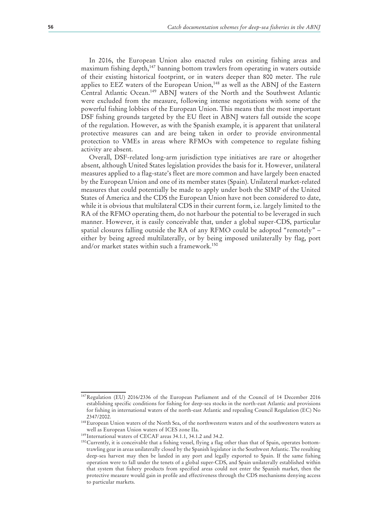In 2016, the European Union also enacted rules on existing fishing areas and maximum fishing depth,<sup>147</sup> banning bottom trawlers from operating in waters outside of their existing historical footprint, or in waters deeper than 800 meter. The rule applies to EEZ waters of the European Union,<sup>148</sup> as well as the ABNJ of the Eastern Central Atlantic Ocean.<sup>149</sup> ABNJ waters of the North and the Southwest Atlantic were excluded from the measure, following intense negotiations with some of the powerful fishing lobbies of the European Union. This means that the most important DSF fishing grounds targeted by the EU fleet in ABNJ waters fall outside the scope of the regulation. However, as with the Spanish example, it is apparent that unilateral protective measures can and are being taken in order to provide environmental protection to VMEs in areas where RFMOs with competence to regulate fishing activity are absent.

Overall, DSF-related long-arm jurisdiction type initiatives are rare or altogether absent, although United States legislation provides the basis for it. However, unilateral measures applied to a flag-state's fleet are more common and have largely been enacted by the European Union and one of its member states (Spain). Unilateral market-related measures that could potentially be made to apply under both the SIMP of the United States of America and the CDS the European Union have not been considered to date, while it is obvious that multilateral CDS in their current form, i.e. largely limited to the RA of the RFMO operating them, do not harbour the potential to be leveraged in such manner. However, it is easily conceivable that, under a global super-CDS, particular spatial closures falling outside the RA of any RFMO could be adopted "remotely" – either by being agreed multilaterally, or by being imposed unilaterally by flag, port and/or market states within such a framework.<sup>150</sup>

<sup>147</sup>Regulation (EU) 2016/2336 of the European Parliament and of the Council of 14 December 2016 establishing specific conditions for fishing for deep-sea stocks in the north-east Atlantic and provisions for fishing in international waters of the north-east Atlantic and repealing Council Regulation (EC) No 2347/2002.

<sup>148</sup>European Union waters of the North Sea, of the northwestern waters and of the southwestern waters as well as European Union waters of ICES zone IIa.

<sup>149</sup> International waters of CECAF areas 34.1.1, 34.1.2 and 34.2.

<sup>150</sup> Currently, it is conceivable that a fishing vessel, flying a flag other than that of Spain, operates bottomtrawling gear in areas unilaterally closed by the Spanish legislator in the Southwest Atlantic. The resulting deep-sea harvest may then be landed in any port and legally exported to Spain. If the same fishing operation were to fall under the tenets of a global super-CDS, and Spain unilaterally established within that system that fishery products from specified areas could not enter the Spanish market, then the protective measure would gain in profile and effectiveness through the CDS mechanisms denying access to particular markets.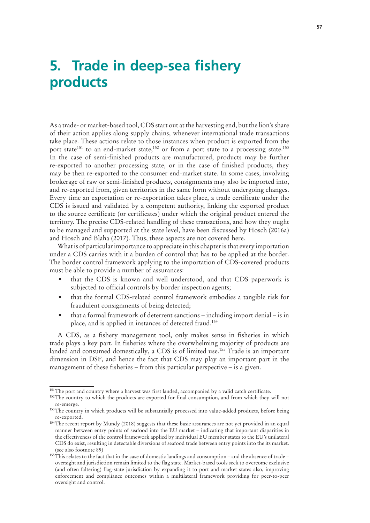# **5. Trade in deep-sea fishery products**

As a trade- or market-based tool, CDS start out at the harvesting end, but the lion's share of their action applies along supply chains, whenever international trade transactions take place. These actions relate to those instances when product is exported from the port state<sup>151</sup> to an end-market state,<sup>152</sup> or from a port state to a processing state.<sup>153</sup> In the case of semi-finished products are manufactured, products may be further re-exported to another processing state, or in the case of finished products, they may be then re-exported to the consumer end-market state. In some cases, involving brokerage of raw or semi-finished products, consignments may also be imported into, and re-exported from, given territories in the same form without undergoing changes. Every time an exportation or re-exportation takes place, a trade certificate under the CDS is issued and validated by a competent authority, linking the exported product to the source certificate (or certificates) under which the original product entered the territory. The precise CDS-related handling of these transactions, and how they ought to be managed and supported at the state level, have been discussed by Hosch (2016a) and Hosch and Blaha (2017). Thus, these aspects are not covered here.

What is of particular importance to appreciate in this chapter is that every importation under a CDS carries with it a burden of control that has to be applied at the border. The border control framework applying to the importation of CDS-covered products must be able to provide a number of assurances:

- that the CDS is known and well understood, and that CDS paperwork is subjected to official controls by border inspection agents;
- that the formal CDS-related control framework embodies a tangible risk for fraudulent consignments of being detected;
- that a formal framework of deterrent sanctions  $-$  including import denial  $-$  is in place, and is applied in instances of detected fraud.154

A CDS, as a fishery management tool, only makes sense in fisheries in which trade plays a key part. In fisheries where the overwhelming majority of products are landed and consumed domestically, a CDS is of limited use.<sup>155</sup> Trade is an important dimension in DSF, and hence the fact that CDS may play an important part in the management of these fisheries – from this particular perspective – is a given.

<sup>&</sup>lt;sup>151</sup>The port and country where a harvest was first landed, accompanied by a valid catch certificate.

<sup>&</sup>lt;sup>152</sup>The country to which the products are exported for final consumption, and from which they will not re-emerge.

<sup>&</sup>lt;sup>153</sup>The country in which products will be substantially processed into value-added products, before being re-exported.

<sup>&</sup>lt;sup>154</sup>The recent report by Mundy (2018) suggests that these basic assurances are not yet provided in an equal manner between entry points of seafood into the EU market – indicating that important disparities in the effectiveness of the control framework applied by individual EU member states to the EU's unilateral CDS do exist, resulting in detectable diversions of seafood trade between entry points into the its market. (see also footnote 89)

<sup>155</sup>This relates to the fact that in the case of domestic landings and consumption – and the absence of trade – oversight and jurisdiction remain limited to the flag state. Market-based tools seek to overcome exclusive (and often faltering) flag-state jurisdiction by expanding it to port and market states also, improving enforcement and compliance outcomes within a multilateral framework providing for peer-to-peer oversight and control.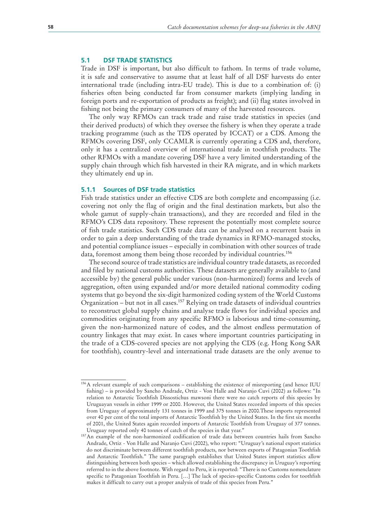#### **5.1 DSF trade statistics**

Trade in DSF is important, but also difficult to fathom. In terms of trade volume, it is safe and conservative to assume that at least half of all DSF harvests do enter international trade (including intra-EU trade). This is due to a combination of: (i) fisheries often being conducted far from consumer markets (implying landing in foreign ports and re-exportation of products as freight); and (ii) flag states involved in fishing not being the primary consumers of many of the harvested resources.

The only way RFMOs can track trade and raise trade statistics in species (and their derived products) of which they oversee the fishery is when they operate a trade tracking programme (such as the TDS operated by ICCAT) or a CDS. Among the RFMOs covering DSF, only CCAMLR is currently operating a CDS and, therefore, only it has a centralized overview of international trade in toothfish products. The other RFMOs with a mandate covering DSF have a very limited understanding of the supply chain through which fish harvested in their RA migrate, and in which markets they ultimately end up in.

#### **5.1.1 Sources of DSF trade statistics**

Fish trade statistics under an effective CDS are both complete and encompassing (i.e. covering not only the flag of origin and the final destination markets, but also the whole gamut of supply-chain transactions), and they are recorded and filed in the RFMO's CDS data repository. These represent the potentially most complete source of fish trade statistics. Such CDS trade data can be analysed on a recurrent basis in order to gain a deep understanding of the trade dynamics in RFMO-managed stocks, and potential compliance issues – especially in combination with other sources of trade data, foremost among them being those recorded by individual countries.<sup>156</sup>

The second source of trade statistics are individual country trade datasets, as recorded and filed by national customs authorities. These datasets are generally available to (and accessible by) the general public under various (non-harmonized) forms and levels of aggregation, often using expanded and/or more detailed national commodity coding systems that go beyond the six-digit harmonized coding system of the World Customs Organization – but not in all cases.157 Relying on trade datasets of individual countries to reconstruct global supply chains and analyse trade flows for individual species and commodities originating from any specific RFMO is laborious and time-consuming, given the non-harmonized nature of codes, and the almost endless permutation of country linkages that may exist. In cases where important countries participating in the trade of a CDS-covered species are not applying the CDS (e.g. Hong Kong SAR for toothfish), country-level and international trade datasets are the only avenue to

<sup>156</sup>A relevant example of such comparisons – establishing the existence of misreporting (and hence IUU fishing) – is provided by Sancho Andrade, Ortiz - Von Halle and Naranjo Cuvi (2002) as follows: "In relation to Antarctic Toothfish Dissostichus mawsoni there were no catch reports of this species by Uruguayan vessels in either 1999 or 2000. However, the United States recorded imports of this species from Uruguay of approximately 131 tonnes in 1999 and 375 tonnes in 2000.These imports represented over 40 per cent of the total imports of Antarctic Toothfish by the United States. In the first six months of 2001, the United States again recorded imports of Antarctic Toothfish from Uruguay of 377 tonnes. Uruguay reported only 40 tonnes of catch of the species in that year."

<sup>&</sup>lt;sup>157</sup>An example of the non-harmonized codification of trade data between countries hails from Sancho Andrade, Ortiz - Von Halle and Naranjo Cuvi (2002), who report: "Uruguay's national export statistics do not discriminate between different toothfish products, nor between exports of Patagonian Toothfish and Antarctic Toothfish." The same paragraph establishes that United States import statistics allow distinguishing between both species – which allowed establishing the discrepancy in Uruguay's reporting referred to in the above footnote. With regard to Peru, it is reported: "There is no Customs nomenclature specific to Patagonian Toothfish in Peru. […] The lack of species-specific Customs codes for toothfish makes it difficult to carry out a proper analysis of trade of this species from Peru."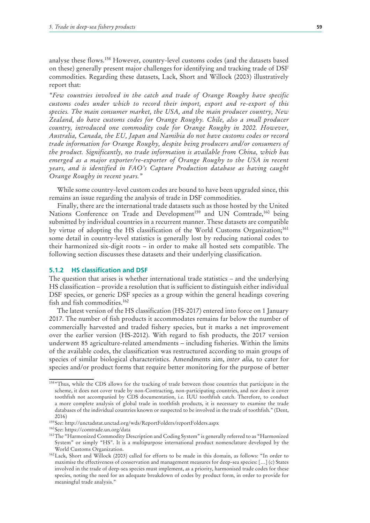analyse these flows.158 However, country-level customs codes (and the datasets based on these) generally present major challenges for identifying and tracking trade of DSF commodities. Regarding these datasets, Lack, Short and Willock (2003) illustratively report that:

*"Few countries involved in the catch and trade of Orange Roughy have specific customs codes under which to record their import, export and re-export of this species. The main consumer market, the USA, and the main producer country, New Zealand, do have customs codes for Orange Roughy. Chile, also a small producer country, introduced one commodity code for Orange Roughy in 2002. However, Australia, Canada, the EU, Japan and Namibia do not have customs codes or record trade information for Orange Roughy, despite being producers and/or consumers of the product. Significantly, no trade information is available from China, which has emerged as a major exporter/re-exporter of Orange Roughy to the USA in recent years, and is identified in FAO's Capture Production database as having caught Orange Roughy in recent years."* 

While some country-level custom codes are bound to have been upgraded since, this remains an issue regarding the analysis of trade in DSF commodities.

Finally, there are the international trade datasets such as those hosted by the United Nations Conference on Trade and Development<sup>159</sup> and UN Comtrade,<sup>160</sup> being submitted by individual countries in a recurrent manner. These datasets are compatible by virtue of adopting the HS classification of the World Customs Organization;161 some detail in country-level statistics is generally lost by reducing national codes to their harmonized six-digit roots – in order to make all hosted sets compatible. The following section discusses these datasets and their underlying classification.

## **5.1.2 HS classification and DSF**

The question that arises is whether international trade statistics – and the underlying HS classification – provide a resolution that is sufficient to distinguish either individual DSF species, or generic DSF species as a group within the general headings covering fish and fish commodities.<sup>162</sup>

The latest version of the HS classification (HS-2017) entered into force on 1 January 2017. The number of fish products it accommodates remains far below the number of commercially harvested and traded fishery species, but it marks a net improvement over the earlier version (HS-2012). With regard to fish products, the 2017 version underwent 85 agriculture-related amendments – including fisheries. Within the limits of the available codes, the classification was restructured according to main groups of species of similar biological characteristics. Amendments aim, *inter alia*, to cater for species and/or product forms that require better monitoring for the purpose of better

<sup>&</sup>lt;sup>158</sup> "Thus, while the CDS allows for the tracking of trade between those countries that participate in the scheme, it does not cover trade by non-Contracting, non-participating countries, and nor does it cover toothfish not accompanied by CDS documentation, i.e. IUU toothfish catch. Therefore, to conduct a more complete analysis of global trade in toothfish products, it is necessary to examine the trade databases of the individual countries known or suspected to be involved in the trade of toothfish." (Dent, 2016)

<sup>159</sup> See: http://unctadstat.unctad.org/wds/ReportFolders/reportFolders.aspx

<sup>160</sup> See: https://comtrade.un.org/data

<sup>161</sup>The "Harmonized Commodity Description and Coding System" is generally referred to as "Harmonized System" or simply "HS". It is a multipurpose international product nomenclature developed by the World Customs Organization.

<sup>162</sup>Lack, Short and Willock (2003) called for efforts to be made in this domain, as follows: "In order to maximise the effectiveness of conservation and management measures for deep-sea species: […] (c) States involved in the trade of deep-sea species must implement, as a priority, harmonised trade codes for these species, noting the need for an adequate breakdown of codes by product form, in order to provide for meaningful trade analysis."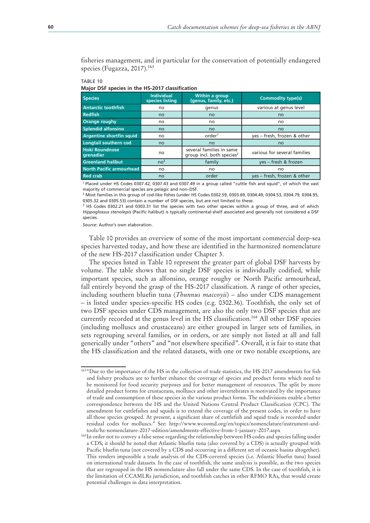fisheries management, and in particular for the conservation of potentially endangered species (Fugazza, 2017). $163$ 

TABLE 10 **Major DSF species in the HS-2017 classification**

| <b>Species</b>                     | <b>Individual</b><br>species listing | <b>Within a group</b><br>(genus, family, etc.)                    | <b>Commodity type(s)</b>     |
|------------------------------------|--------------------------------------|-------------------------------------------------------------------|------------------------------|
| <b>Antarctic toothfish</b>         | no                                   | genus                                                             | various at genus level       |
| <b>Redfish</b>                     | no                                   | no                                                                | no                           |
| Orange roughy                      | no                                   | no                                                                | no                           |
| <b>Splendid alfonsino</b>          | no                                   | no                                                                | no                           |
| <b>Argentine shortfin squid</b>    | no                                   | order <sup>1</sup>                                                | yes - fresh, frozen & other  |
| Longtail southern cod              | no                                   | no                                                                | no                           |
| <b>Hoki Roundnose</b><br>grenadier | no                                   | several families in same<br>group incl. both species <sup>2</sup> | various for several families |
| <b>Greenland halibut</b>           | no <sup>3</sup>                      | family                                                            | yes - fresh & frozen         |
| North Pacific armourhead           | no                                   | no                                                                | no                           |
| <b>Red crab</b>                    | no                                   | order                                                             | yes - fresh, frozen & other  |

1 Placed under HS Codes 0307.42, 0307.43 and 0307.49 in a group called "cuttle fish and squid", of which the vast majority of commercial species are pelagic and non–DSF.

<sup>2</sup> Most families in this group of cod-like fishes (under HS Codes 0302.59, 0303.69, 0304.49, 0304.53, 0304.79, 0304.95, 0305.32 and 0305.53) contain a number of DSF species, but are not limited to these.

 $3$  HS Codes 0302.21 and 0303.31 list the species with two other species within a group of three, and of which *Hippoglossus stenolepis* (Pacific halibut) is typically continental-shelf associated and generally not considered a DSF species.

*Source:* Author's own elaboration.

Table 10 provides an overview of some of the most important commercial deep-sea species harvested today, and how these are identified in the harmonized nomenclature of the new HS-2017 classification under Chapter 3.

The species listed in Table 10 represent the greater part of global DSF harvests by volume. The table shows that no single DSF species is individually codified, while important species, such as alfonsino, orange roughy or North Pacific armourhead, fall entirely beyond the grasp of the HS-2017 classification. A range of other species, including southern bluefin tuna (*Thunnus maccoyii*) – also under CDS management – is listed under species-specific HS codes (e.g. 0302.36). Toothfish, the only set of two DSF species under CDS management, are also the only two DSF species that are currently recorded at the genus level in the HS classification.164 All other DSF species (including molluscs and crustaceans) are either grouped in larger sets of families, in sets regrouping several families, or in orders, or are simply not listed at all and fall generically under "others" and "not elsewhere specified". Overall, it is fair to state that the HS classification and the related datasets, with one or two notable exceptions, are

<sup>163</sup> "Due to the importance of the HS in the collection of trade statistics, the HS-2017 amendments for fish and fishery products are to further enhance the coverage of species and product forms which need to be monitored for food security purposes and for better management of resources. The split by more detailed product forms for crustaceans, molluscs and other invertebrates is motivated by the importance of trade and consumption of these species in the various product forms. The subdivisions enable a better correspondence between the HS and the United Nations Central Product Classification (CPC). The amendment for cuttlefishes and squids is to extend the coverage of the present codes, in order to have all those species grouped. At present, a significant share of cuttlefish and squid trade is recorded under residual codes for molluscs." See: http://www.wcoomd.org/en/topics/nomenclature/instrument-andtools/hs-nomenclature-2017-edition/amendments-effective-from-1-january-2017.aspx

<sup>164</sup> In order not to convey a false sense regarding the relationship between HS codes and species falling under a CDS, it should be noted that Atlantic bluefin tuna (also covered by a CDS) is actually grouped with Pacific bluefin tuna (not covered by a CDS and occurring in a different set of oceanic basins altogether). This renders impossible a trade analysis of the CDS-covered species (i.e. Atlantic bluefin tuna) based on international trade datasets. In the case of toothfish, the same analysis is possible, as the two species that are regrouped in the HS nomenclature also fall under the same CDS. In the case of toothfish, it is the limitation of CCAMLRs jurisdiction, and toothfish catches in other RFMO RAs, that would create potential challenges in data interpretation.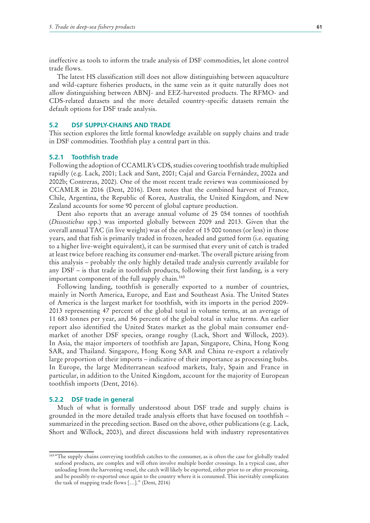ineffective as tools to inform the trade analysis of DSF commodities, let alone control trade flows.

The latest HS classification still does not allow distinguishing between aquaculture and wild-capture fisheries products, in the same vein as it quite naturally does not allow distinguishing between ABNJ- and EEZ-harvested products. The RFMO- and CDS-related datasets and the more detailed country-specific datasets remain the default options for DSF trade analysis.

# **5.2 DSF supply-chains and trade**

This section explores the little formal knowledge available on supply chains and trade in DSF commodities. Toothfish play a central part in this.

## **5.2.1 Toothfish trade**

Following the adoption of CCAMLR's CDS, studies covering toothfish trade multiplied rapidly (e.g. Lack, 2001; Lack and Sant, 2001; Cajal and Garcia Fernández, 2002a and 2002b; Contreras, 2002). One of the most recent trade reviews was commissioned by CCAMLR in 2016 (Dent, 2016). Dent notes that the combined harvest of France, Chile, Argentina, the Republic of Korea, Australia, the United Kingdom, and New Zealand accounts for some 90 percent of global capture production.

Dent also reports that an average annual volume of 25 054 tonnes of toothfish (*Dissostichus* spp.) was imported globally between 2009 and 2013. Given that the overall annual TAC (in live weight) was of the order of 15 000 tonnes (or less) in those years, and that fish is primarily traded in frozen, headed and gutted form (i.e. equating to a higher live-weight equivalent), it can be surmised that every unit of catch is traded at least twice before reaching its consumer end-market. The overall picture arising from this analysis – probably the only highly detailed trade analysis currently available for any DSF – is that trade in toothfish products, following their first landing, is a very important component of the full supply chain.<sup>165</sup>

Following landing, toothfish is generally exported to a number of countries, mainly in North America, Europe, and East and Southeast Asia. The United States of America is the largest market for toothfish, with its imports in the period 2009- 2013 representing 47 percent of the global total in volume terms, at an average of 11 683 tonnes per year, and 56 percent of the global total in value terms. An earlier report also identified the United States market as the global main consumer endmarket of another DSF species, orange roughy (Lack, Short and Willock, 2003). In Asia, the major importers of toothfish are Japan, Singapore, China, Hong Kong SAR, and Thailand. Singapore, Hong Kong SAR and China re-export a relatively large proportion of their imports – indicative of their importance as processing hubs. In Europe, the large Mediterranean seafood markets, Italy, Spain and France in particular, in addition to the United Kingdom, account for the majority of European toothfish imports (Dent, 2016).

#### **5.2.2 DSF trade in general**

Much of what is formally understood about DSF trade and supply chains is grounded in the more detailed trade analysis efforts that have focused on toothfish – summarized in the preceding section. Based on the above, other publications (e.g. Lack, Short and Willock, 2003), and direct discussions held with industry representatives

<sup>165</sup> "The supply chains conveying toothfish catches to the consumer, as is often the case for globally traded seafood products, are complex and will often involve multiple border crossings. In a typical case, after unloading from the harvesting vessel, the catch will likely be exported, either prior to or after processing, and be possibly re-exported once again to the country where it is consumed. This inevitably complicates the task of mapping trade flows […]." (Dent, 2016)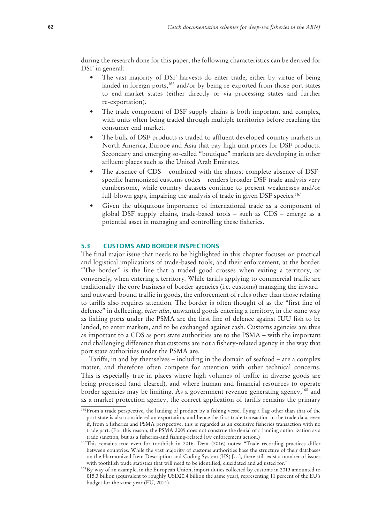during the research done for this paper, the following characteristics can be derived for DSF in general:

- The vast majority of DSF harvests do enter trade, either by virtue of being landed in foreign ports,<sup>166</sup> and/or by being re-exported from those port states to end-market states (either directly or via processing states and further re-exportation).
- The trade component of DSF supply chains is both important and complex, with units often being traded through multiple territories before reaching the consumer end-market.
- The bulk of DSF products is traded to affluent developed-country markets in North America, Europe and Asia that pay high unit prices for DSF products. Secondary and emerging so-called "boutique" markets are developing in other affluent places such as the United Arab Emirates.
- The absence of CDS combined with the almost complete absence of DSFspecific harmonized customs codes – renders broader DSF trade analysis very cumbersome, while country datasets continue to present weaknesses and/or full-blown gaps, impairing the analysis of trade in given DSF species.<sup>167</sup>
- Given the ubiquitous importance of international trade as a component of global DSF supply chains, trade-based tools – such as CDS – emerge as a potential asset in managing and controlling these fisheries.

## **5.3 Customs and border inspections**

The final major issue that needs to be highlighted in this chapter focuses on practical and logistical implications of trade-based tools, and their enforcement, at the border. "The border" is the line that a traded good crosses when exiting a territory, or conversely, when entering a territory. While tariffs applying to commercial traffic are traditionally the core business of border agencies (i.e. customs) managing the inwardand outward-bound traffic in goods, the enforcement of rules other than those relating to tariffs also requires attention. The border is often thought of as the "first line of defence" in deflecting, *inter alia*, unwanted goods entering a territory, in the same way as fishing ports under the PSMA are the first line of defence against IUU fish to be landed, to enter markets, and to be exchanged against cash. Customs agencies are thus as important to a CDS as port state authorities are to the PSMA – with the important and challenging difference that customs are not a fishery-related agency in the way that port state authorities under the PSMA are.

Tariffs, in and by themselves – including in the domain of seafood – are a complex matter, and therefore often compete for attention with other technical concerns. This is especially true in places where high volumes of traffic in diverse goods are being processed (and cleared), and where human and financial resources to operate border agencies may be limiting. As a government revenue-generating agency,<sup>168</sup> and as a market protection agency, the correct application of tariffs remains the primary

<sup>166</sup>From a trade perspective, the landing of product by a fishing vessel flying a flag other than that of the port state is also considered an exportation, and hence the first trade transaction in the trade data, even if, from a fisheries and PSMA perspective, this is regarded as an exclusive fisheries transaction with no trade part. (For this reason, the PSMA 2009 does not construe the denial of a landing authorization as a trade sanction, but as a fisheries-and fishing-related law enforcement action.)

<sup>167</sup>This remains true even for toothfish in 2016. Dent (2016) notes: "Trade recording practices differ between countries. While the vast majority of customs authorities base the structure of their databases on the Harmonized Item Description and Coding System (HS) […], there still exist a number of issues with toothfish trade statistics that will need to be identified, elucidated and adjusted for."

<sup>168</sup>By way of an example, in the European Union, import duties collected by customs in 2013 amounted to €15.3 billion (equivalent to roughly USD20.4 billion the same year), representing 11 percent of the EU's budget for the same year (EU, 2014).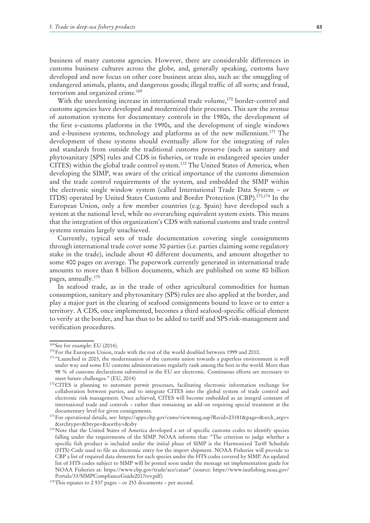business of many customs agencies. However, there are considerable differences in customs business cultures across the globe, and, generally speaking, customs have developed and now focus on other core business areas also, such as: the smuggling of endangered animals, plants, and dangerous goods; illegal traffic of all sorts; and fraud, terrorism and organized crime.<sup>169</sup>

With the unrelenting increase in international trade volume,<sup>170</sup> border-control and customs agencies have developed and modernized their processes. This saw the avenue of automation systems for documentary controls in the 1980s, the development of the first e-customs platforms in the 1990s, and the development of single windows and e-business systems, technology and platforms as of the new millennium.<sup>171</sup> The development of these systems should eventually allow for the integrating of rules and standards from outside the traditional customs preserve (such as sanitary and phytosanitary [SPS] rules and CDS in fisheries, or trade in endangered species under CITES) within the global trade control system.172 The United States of America, when developing the SIMP, was aware of the critical importance of the customs dimension and the trade control requirements of the system, and embedded the SIMP within the electronic single window system (called International Trade Data System – or ITDS) operated by United States Customs and Border Protection (CBP).<sup>173,174</sup> In the European Union, only a few member countries (e.g. Spain) have developed such a system at the national level, while no overarching equivalent system exists. This means that the integration of this organization's CDS with national customs and trade control systems remains largely unachieved.

Currently, typical sets of trade documentation covering single consignments through international trade cover some 30 parties (i.e. parties claiming some regulatory stake in the trade), include about 40 different documents, and amount altogether to some 400 pages on average. The paperwork currently generated in international trade amounts to more than 8 billion documents, which are published on some 80 billion pages, annually.175

In seafood trade, as in the trade of other agricultural commodities for human consumption, sanitary and phytosanitary (SPS) rules are also applied at the border, and play a major part in the clearing of seafood consignments bound to leave or to enter a territory. A CDS, once implemented, becomes a third seafood-specific official element to verify at the border, and has thus to be added to tariff and SPS risk-management and verification procedures.

 $169$ See for example: EU (2014).

<sup>170</sup>For the European Union, trade with the rest of the world doubled between 1999 and 2010.

<sup>&</sup>lt;sup>171</sup> "Launched in 2003, the modernisation of the customs union towards a paperless environment is well under way and some EU customs administrations regularly rank among the best in the world. More than 98 % of customs declarations submitted in the EU are electronic. Continuous efforts are necessary to meet future challenges." (EU, 2014)

<sup>&</sup>lt;sup>172</sup>CITES is planning to automate permit processes, facilitating electronic information exchange for collaboration between parties, and to integrate CITES into the global system of trade control and electronic risk management. Once achieved, CITES will become embedded as an integral constant of international trade and controls – rather than remaining an add-on requiring special treatment at the documentary level for given consignments.

<sup>173</sup>For operational details, see: https://apps.cbp.gov/csms/viewmssg.asp?Recid=23181&page=&srch\_argv= &srchtype=&btype=&sortby=&sby

<sup>&</sup>lt;sup>174</sup>Note that the United States of America developed a set of specific customs codes to identify species falling under the requirements of the SIMP. NOAA informs that: "The criterion to judge whether a specific fish product is included under the initial phase of SIMP is the Harmonized Tariff Schedule (HTS) Code used to file an electronic entry for the import shipment. NOAA Fisheries will provide to CBP a list of required data elements for each species under the HTS codes covered by SIMP. An updated list of HTS codes subject to SIMP will be posted soon under the message set implementation guide for NOAA Fisheries at: https://www.cbp.gov/trade/ace/catair" (source: https://www.iuufishing.noaa.gov/ Portals/33/SIMPComplianceGuide2017rev.pdf)

<sup>&</sup>lt;sup>175</sup>This equates to 2 537 pages – or 253 documents – per second.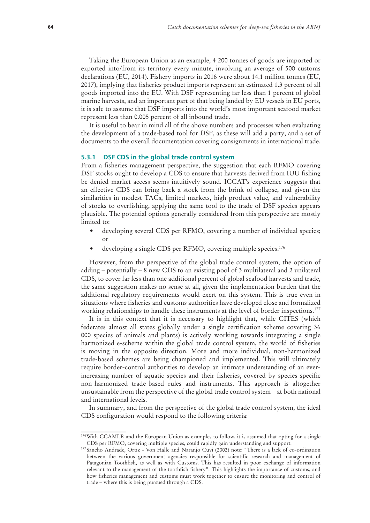Taking the European Union as an example, 4 200 tonnes of goods are imported or exported into/from its territory every minute, involving an average of 500 customs declarations (EU, 2014). Fishery imports in 2016 were about 14.1 million tonnes (EU, 2017), implying that fisheries product imports represent an estimated 1.3 percent of all goods imported into the EU. With DSF representing far less than 1 percent of global marine harvests, and an important part of that being landed by EU vessels in EU ports, it is safe to assume that DSF imports into the world's most important seafood market represent less than 0.005 percent of all inbound trade.

It is useful to bear in mind all of the above numbers and processes when evaluating the development of a trade-based tool for DSF, as these will add a party, and a set of documents to the overall documentation covering consignments in international trade.

## **5.3.1 DSF CDS in the global trade control system**

From a fisheries management perspective, the suggestion that each RFMO covering DSF stocks ought to develop a CDS to ensure that harvests derived from IUU fishing be denied market access seems intuitively sound. ICCAT's experience suggests that an effective CDS can bring back a stock from the brink of collapse, and given the similarities in modest TACs, limited markets, high product value, and vulnerability of stocks to overfishing, applying the same tool to the trade of DSF species appears plausible. The potential options generally considered from this perspective are mostly limited to:

- developing several CDS per RFMO, covering a number of individual species; or
- developing a single CDS per RFMO, covering multiple species.<sup>176</sup>

However, from the perspective of the global trade control system, the option of adding – potentially – 8 new CDS to an existing pool of 3 multilateral and 2 unilateral CDS, to cover far less than one additional percent of global seafood harvests and trade, the same suggestion makes no sense at all, given the implementation burden that the additional regulatory requirements would exert on this system. This is true even in situations where fisheries and customs authorities have developed close and formalized working relationships to handle these instruments at the level of border inspections.<sup>177</sup>

It is in this context that it is necessary to highlight that, while CITES (which federates almost all states globally under a single certification scheme covering 36 000 species of animals and plants) is actively working towards integrating a single harmonized e-scheme within the global trade control system, the world of fisheries is moving in the opposite direction. More and more individual, non-harmonized trade-based schemes are being championed and implemented. This will ultimately require border-control authorities to develop an intimate understanding of an everincreasing number of aquatic species and their fisheries, covered by species-specific non-harmonized trade-based rules and instruments. This approach is altogether unsustainable from the perspective of the global trade control system – at both national and international levels.

In summary, and from the perspective of the global trade control system, the ideal CDS configuration would respond to the following criteria:

<sup>&</sup>lt;sup>176</sup> With CCAMLR and the European Union as examples to follow, it is assumed that opting for a single CDS per RFMO, covering multiple species, could rapidly gain understanding and support.

<sup>177</sup> Sancho Andrade, Ortiz - Von Halle and Naranjo Cuvi (2002) note: "There is a lack of co-ordination between the various government agencies responsible for scientific research and management of Patagonian Toothfish, as well as with Customs. This has resulted in poor exchange of information relevant to the management of the toothfish fishery". This highlights the importance of customs, and how fisheries management and customs must work together to ensure the monitoring and control of trade – where this is being pursued through a CDS.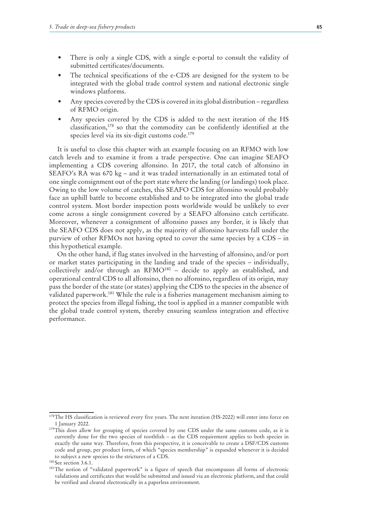- There is only a single CDS, with a single e-portal to consult the validity of submitted certificates/documents.
- The technical specifications of the e-CDS are designed for the system to be integrated with the global trade control system and national electronic single windows platforms.
- Any species covered by the CDS is covered in its global distribution regardless of RFMO origin.
- Any species covered by the CDS is added to the next iteration of the HS classification,178 so that the commodity can be confidently identified at the species level via its six-digit customs code.<sup>179</sup>

It is useful to close this chapter with an example focusing on an RFMO with low catch levels and to examine it from a trade perspective. One can imagine SEAFO implementing a CDS covering alfonsino. In 2017, the total catch of alfonsino in SEAFO's RA was 670 kg – and it was traded internationally in an estimated total of one single consignment out of the port state where the landing (or landings) took place. Owing to the low volume of catches, this SEAFO CDS for alfonsino would probably face an uphill battle to become established and to be integrated into the global trade control system. Most border inspection posts worldwide would be unlikely to ever come across a single consignment covered by a SEAFO alfonsino catch certificate. Moreover, whenever a consignment of alfonsino passes any border, it is likely that the SEAFO CDS does not apply, as the majority of alfonsino harvests fall under the purview of other RFMOs not having opted to cover the same species by a CDS – in this hypothetical example.

On the other hand, if flag states involved in the harvesting of alfonsino, and/or port or market states participating in the landing and trade of the species – individually, collectively and/or through an  $RFMO<sup>180</sup>$  – decide to apply an established, and operational central CDS to all alfonsino, then no alfonsino, regardless of its origin, may pass the border of the state (or states) applying the CDS to the species in the absence of validated paperwork.181 While the rule is a fisheries management mechanism aiming to protect the species from illegal fishing, the tool is applied in a manner compatible with the global trade control system, thereby ensuring seamless integration and effective performance.

<sup>&</sup>lt;sup>178</sup>The HS classification is reviewed every five years. The next iteration (HS-2022) will enter into force on 1 January 2022.

<sup>&</sup>lt;sup>179</sup>This does allow for grouping of species covered by one CDS under the same customs code, as it is currently done for the two species of toothfish – as the CDS requirement applies to both species in exactly the same way. Therefore, from this perspective, it is conceivable to create a DSF/CDS customs code and group, per product form, of which "species membership" is expanded whenever it is decided to subject a new species to the strictures of a CDS.

<sup>&</sup>lt;sup>180</sup> See section 3.6.1.

<sup>&</sup>lt;sup>181</sup>The notion of "validated paperwork" is a figure of speech that encompasses all forms of electronic validations and certificates that would be submitted and issued via an electronic platform, and that could be verified and cleared electronically in a paperless environment.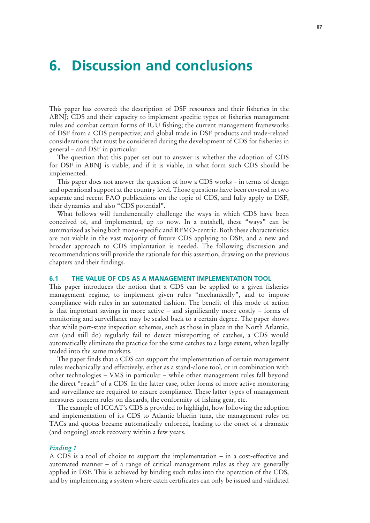# **6. Discussion and conclusions**

This paper has covered: the description of DSF resources and their fisheries in the ABNJ; CDS and their capacity to implement specific types of fisheries management rules and combat certain forms of IUU fishing; the current management frameworks of DSF from a CDS perspective; and global trade in DSF products and trade-related considerations that must be considered during the development of CDS for fisheries in general – and DSF in particular.

The question that this paper set out to answer is whether the adoption of CDS for DSF in ABNJ is viable; and if it is viable, in what form such CDS should be implemented.

This paper does not answer the question of how a CDS works – in terms of design and operational support at the country level. Those questions have been covered in two separate and recent FAO publications on the topic of CDS, and fully apply to DSF, their dynamics and also "CDS potential".

What follows will fundamentally challenge the ways in which CDS have been conceived of, and implemented, up to now. In a nutshell, these "ways" can be summarized as being both mono-specific and RFMO-centric. Both these characteristics are not viable in the vast majority of future CDS applying to DSF, and a new and broader approach to CDS implantation is needed. The following discussion and recommendations will provide the rationale for this assertion, drawing on the previous chapters and their findings.

# **6.1 The value of CDS as a management implementation tool**

This paper introduces the notion that a CDS can be applied to a given fisheries management regime, to implement given rules "mechanically", and to impose compliance with rules in an automated fashion. The benefit of this mode of action is that important savings in more active – and significantly more costly – forms of monitoring and surveillance may be scaled back to a certain degree. The paper shows that while port-state inspection schemes, such as those in place in the North Atlantic, can (and still do) regularly fail to detect misreporting of catches, a CDS would automatically eliminate the practice for the same catches to a large extent, when legally traded into the same markets.

The paper finds that a CDS can support the implementation of certain management rules mechanically and effectively, either as a stand-alone tool, or in combination with other technologies – VMS in particular – while other management rules fall beyond the direct "reach" of a CDS. In the latter case, other forms of more active monitoring and surveillance are required to ensure compliance. These latter types of management measures concern rules on discards, the conformity of fishing gear, etc.

The example of ICCAT's CDS is provided to highlight, how following the adoption and implementation of its CDS to Atlantic bluefin tuna, the management rules on TACs and quotas became automatically enforced, leading to the onset of a dramatic (and ongoing) stock recovery within a few years.

#### *Finding 1*

A CDS is a tool of choice to support the implementation – in a cost-effective and automated manner – of a range of critical management rules as they are generally applied in DSF. This is achieved by binding such rules into the operation of the CDS, and by implementing a system where catch certificates can only be issued and validated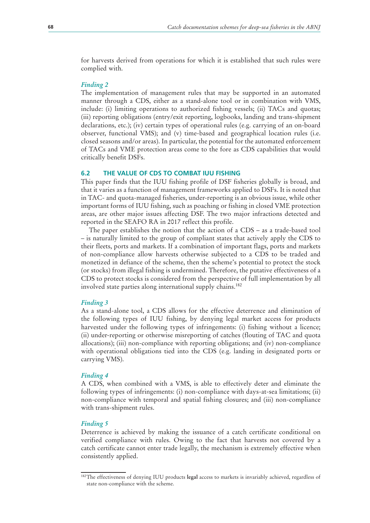for harvests derived from operations for which it is established that such rules were complied with.

## *Finding 2*

The implementation of management rules that may be supported in an automated manner through a CDS, either as a stand-alone tool or in combination with VMS, include: (i) limiting operations to authorized fishing vessels; (ii) TACs and quotas; (iii) reporting obligations (entry/exit reporting, logbooks, landing and trans-shipment declarations, etc.); (iv) certain types of operational rules (e.g. carrying of an on-board observer, functional VMS); and (v) time-based and geographical location rules (i.e. closed seasons and/or areas). In particular, the potential for the automated enforcement of TACs and VME protection areas come to the fore as CDS capabilities that would critically benefit DSFs.

# **6.2 The value of CDS to combat IUU fishing**

This paper finds that the IUU fishing profile of DSF fisheries globally is broad, and that it varies as a function of management frameworks applied to DSFs. It is noted that in TAC- and quota-managed fisheries, under-reporting is an obvious issue, while other important forms of IUU fishing, such as poaching or fishing in closed VME protection areas, are other major issues affecting DSF. The two major infractions detected and reported in the SEAFO RA in 2017 reflect this profile.

The paper establishes the notion that the action of a CDS – as a trade-based tool – is naturally limited to the group of compliant states that actively apply the CDS to their fleets, ports and markets. If a combination of important flags, ports and markets of non-compliance allow harvests otherwise subjected to a CDS to be traded and monetized in defiance of the scheme, then the scheme's potential to protect the stock (or stocks) from illegal fishing is undermined. Therefore, the putative effectiveness of a CDS to protect stocks is considered from the perspective of full implementation by all involved state parties along international supply chains.182

#### *Finding 3*

As a stand-alone tool, a CDS allows for the effective deterrence and elimination of the following types of IUU fishing, by denying legal market access for products harvested under the following types of infringements: (i) fishing without a licence; (ii) under-reporting or otherwise misreporting of catches (flouting of TAC and quota allocations); (iii) non-compliance with reporting obligations; and (iv) non-compliance with operational obligations tied into the CDS (e.g. landing in designated ports or carrying VMS).

#### *Finding 4*

A CDS, when combined with a VMS, is able to effectively deter and eliminate the following types of infringements: (i) non-compliance with days-at-sea limitations; (ii) non-compliance with temporal and spatial fishing closures; and (iii) non-compliance with trans-shipment rules.

## *Finding 5*

Deterrence is achieved by making the issuance of a catch certificate conditional on verified compliance with rules. Owing to the fact that harvests not covered by a catch certificate cannot enter trade legally, the mechanism is extremely effective when consistently applied.

<sup>182</sup>The effectiveness of denying IUU products **legal** access to markets is invariably achieved, regardless of state non-compliance with the scheme.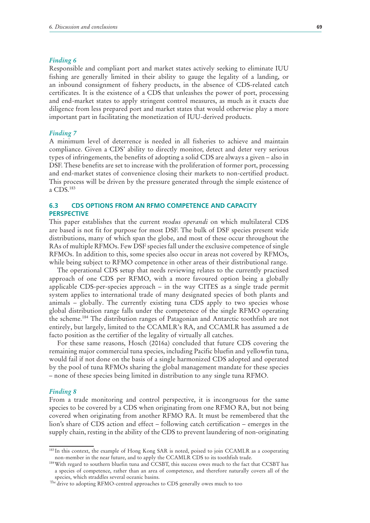### *Finding 6*

Responsible and compliant port and market states actively seeking to eliminate IUU fishing are generally limited in their ability to gauge the legality of a landing, or an inbound consignment of fishery products, in the absence of CDS-related catch certificates. It is the existence of a CDS that unleashes the power of port, processing and end-market states to apply stringent control measures, as much as it exacts due diligence from less prepared port and market states that would otherwise play a more important part in facilitating the monetization of IUU-derived products.

# *Finding 7*

A minimum level of deterrence is needed in all fisheries to achieve and maintain compliance. Given a CDS' ability to directly monitor, detect and deter very serious types of infringements, the benefits of adopting a solid CDS are always a given – also in DSF. These benefits are set to increase with the proliferation of former port, processing and end-market states of convenience closing their markets to non-certified product. This process will be driven by the pressure generated through the simple existence of a CDS.183

# **6.3 CDS options from an RFMO competence and capacity perspective**

This paper establishes that the current *modus operandi* on which multilateral CDS are based is not fit for purpose for most DSF. The bulk of DSF species present wide distributions, many of which span the globe, and most of these occur throughout the RAs of multiple RFMOs. Few DSF species fall under the exclusive competence of single RFMOs. In addition to this, some species also occur in areas not covered by RFMOs, while being subject to RFMO competence in other areas of their distributional range.

The operational CDS setup that needs reviewing relates to the currently practised approach of one CDS per RFMO, with a more favoured option being a globally applicable CDS-per-species approach – in the way CITES as a single trade permit system applies to international trade of many designated species of both plants and animals – globally. The currently existing tuna CDS apply to two species whose global distribution range falls under the competence of the single RFMO operating the scheme.184 The distribution ranges of Patagonian and Antarctic toothfish are not entirely, but largely, limited to the CCAMLR's RA, and CCAMLR has assumed a de facto position as the certifier of the legality of virtually all catches.

For these same reasons, Hosch (2016a) concluded that future CDS covering the remaining major commercial tuna species, including Pacific bluefin and yellowfin tuna, would fail if not done on the basis of a single harmonized CDS adopted and operated by the pool of tuna RFMOs sharing the global management mandate for these species – none of these species being limited in distribution to any single tuna RFMO.

#### *Finding 8*

From a trade monitoring and control perspective, it is incongruous for the same species to be covered by a CDS when originating from one RFMO RA, but not being covered when originating from another RFMO RA. It must be remembered that the lion's share of CDS action and effect – following catch certification – emerges in the supply chain, resting in the ability of the CDS to prevent laundering of non-originating

<sup>183</sup> In this context, the example of Hong Kong SAR is noted, poised to join CCAMLR as a cooperating non-member in the near future, and to apply the CCAMLR CDS to its toothfish trade.

<sup>184</sup>With regard to southern bluefin tuna and CCSBT, this success owes much to the fact that CCSBT has a species of competence, rather than an area of competence, and therefore naturally covers all of the

species, which straddles several oceanic basins. The drive to adopting RFMO-centred approaches to CDS generally owes much to too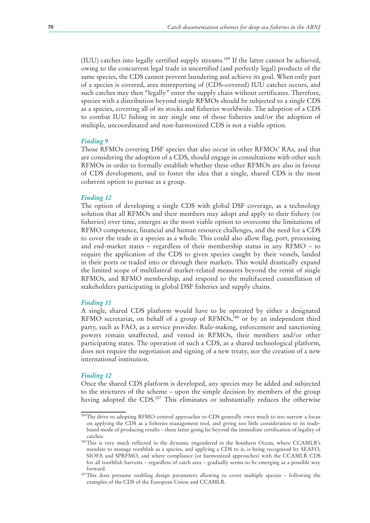(IUU) catches into legally certified supply streams.185 If the latter cannot be achieved, owing to the concurrent legal trade in uncertified (and perfectly legal) products of the same species, the CDS cannot prevent laundering and achieve its goal. When only part of a species is covered, area misreporting of (CDS–covered) IUU catches occurs, and such catches may then "legally" enter the supply chain without certificates. Therefore, species with a distribution beyond single RFMOs should be subjected to a single CDS as a species, covering all of its stocks and fisheries worldwide. The adoption of a CDS to combat IUU fishing in any single one of those fisheries and/or the adoption of multiple, uncoordinated and non-harmonized CDS is not a viable option.

#### *Finding 9*

Those RFMOs covering DSF species that also occur in other RFMOs' RAs, and that are considering the adoption of a CDS, should engage in consultations with other such RFMOs in order to formally establish whether these other RFMOs are also in favour of CDS development, and to foster the idea that a single, shared CDS is the most coherent option to pursue as a group.

#### *Finding 10*

The option of developing a single CDS with global DSF coverage, as a technology solution that all RFMOs and their members may adopt and apply to their fishery (or fisheries) over time, emerges as the most viable option to overcome the limitations of RFMO competence, financial and human resource challenges, and the need for a CDS to cover the trade in a species as a whole. This could also allow flag, port, processing and end-market states – regardless of their membership status in any RFMO – to require the application of the CDS to given species caught by their vessels, landed in their ports or traded into or through their markets. This would drastically expand the limited scope of multilateral market-related measures beyond the remit of single RFMOs, and RFMO membership, and respond to the multifaceted constellation of stakeholders participating in global DSF fisheries and supply chains.

#### *Finding 11*

A single, shared CDS platform would have to be operated by either a designated RFMO secretariat, on behalf of a group of RFMOs,<sup>186</sup> or by an independent third party, such as FAO, as a service provider. Rule-making, enforcement and sanctioning powers remain unaffected, and vested in RFMOs, their members and/or other participating states. The operation of such a CDS, as a shared technological platform, does not require the negotiation and signing of a new treaty, nor the creation of a new international institution.

#### *Finding 12*

Once the shared CDS platform is developed, any species may be added and subjected to the strictures of the scheme – upon the simple decision by members of the group having adopted the CDS.<sup>187</sup> This eliminates or substantially reduces the otherwise

<sup>&</sup>lt;sup>185</sup>The drive to adopting RFMO-centred approaches to CDS generally owes much to too narrow a focus on applying the CDS as a fisheries management tool, and giving too little consideration to its tradebased mode of producing results – these latter going far beyond the immediate certification of legality of catches.

<sup>186</sup>This is very much reflected in the dynamic engendered in the Southern Ocean, where CCAMLR's mandate to manage toothfish as a species, and applying a CDS to it, is being recognized by SEAFO, SIOFA and SPRFMO, and where compliance (or harmonized approaches) with the CCAMLR CDS for all toothfish harvests – regardless of catch area – gradually seems to be emerging as a possible way forward.

<sup>187</sup>This does presume enabling design parameters allowing to cover multiple species - following the examples of the CDS of the European Union and CCAMLR.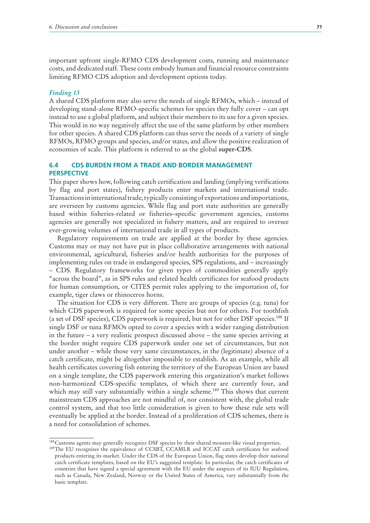important upfront single-RFMO CDS development costs, running and maintenance costs, and dedicated staff. These costs embody human and financial resource constraints limiting RFMO CDS adoption and development options today.

# *Finding 13*

A shared CDS platform may also serve the needs of single RFMOs, which – instead of developing stand-alone RFMO-specific schemes for species they fully cover – can opt instead to use a global platform, and subject their members to its use for a given species. This would in no way negatively affect the use of the same platform by other members for other species. A shared CDS platform can thus serve the needs of a variety of single RFMOs, RFMO groups and species, and/or states, and allow the positive realization of economies of scale. This platform is referred to as the global **super-CDS**.

# **6.4 CDS burden from a trade and border management perspective**

This paper shows how, following catch certification and landing (implying verifications by flag and port states), fishery products enter markets and international trade. Transactions in international trade, typically consisting of exportations and importations, are overseen by customs agencies. While flag and port state authorities are generally based within fisheries-related or fisheries–specific government agencies, customs agencies are generally not specialized in fishery matters, and are required to oversee ever-growing volumes of international trade in all types of products.

Regulatory requirements on trade are applied at the border by these agencies. Customs may or may not have put in place collaborative arrangements with national environmental, agricultural, fisheries and/or health authorities for the purposes of implementing rules on trade in endangered species, SPS regulations, and – increasingly – CDS. Regulatory frameworks for given types of commodities generally apply "across the board", as in SPS rules and related health certificates for seafood products for human consumption, or CITES permit rules applying to the importation of, for example, tiger claws or rhinoceros horns.

The situation for CDS is very different. There are groups of species (e.g. tuna) for which CDS paperwork is required for some species but not for others. For toothfish (a set of DSF species), CDS paperwork is required, but not for other DSF species.188 If single DSF or tuna RFMOs opted to cover a species with a wider ranging distribution in the future – a very realistic prospect discussed above – the same species arriving at the border might require CDS paperwork under one set of circumstances, but not under another – while those very same circumstances, in the (legitimate) absence of a catch certificate, might be altogether impossible to establish. As an example, while all health certificates covering fish entering the territory of the European Union are based on a single template, the CDS paperwork entering this organization's market follows non-harmonized CDS-specific templates, of which there are currently four, and which may still vary substantially within a single scheme.<sup>189</sup> This shows that current mainstream CDS approaches are not mindful of, nor consistent with, the global trade control system, and that too little consideration is given to how these rule sets will eventually be applied at the border. Instead of a proliferation of CDS schemes, there is a need for consolidation of schemes.

<sup>188</sup>Customs agents may generally recognize DSF species by their shared monster-like visual properties.

<sup>189</sup>The EU recognises the equivalence of CCSBT, CCAMLR and ICCAT catch certificates for seafood products entering its market. Under the CDS of the European Union, flag states develop their national catch certificate templates, based on the EU's suggested template. In particular, the catch certificates of countries that have signed a special agreement with the EU under the auspices of its IUU Regulation, such as Canada, New Zealand, Norway or the United States of America, vary substantially from the basic template.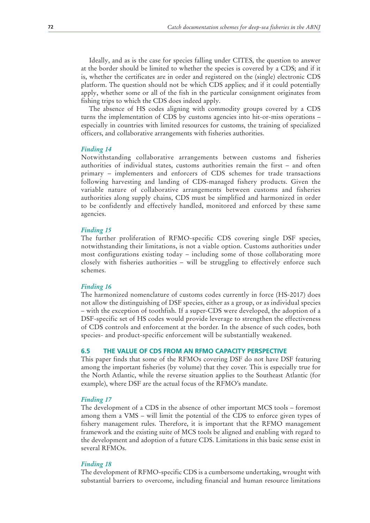Ideally, and as is the case for species falling under CITES, the question to answer at the border should be limited to whether the species is covered by a CDS; and if it is, whether the certificates are in order and registered on the (single) electronic CDS platform. The question should not be which CDS applies; and if it could potentially apply, whether some or all of the fish in the particular consignment originates from fishing trips to which the CDS does indeed apply.

The absence of HS codes aligning with commodity groups covered by a CDS turns the implementation of CDS by customs agencies into hit-or-miss operations – especially in countries with limited resources for customs, the training of specialized officers, and collaborative arrangements with fisheries authorities.

### *Finding 14*

Notwithstanding collaborative arrangements between customs and fisheries authorities of individual states, customs authorities remain the first – and often primary – implementers and enforcers of CDS schemes for trade transactions following harvesting and landing of CDS-managed fishery products. Given the variable nature of collaborative arrangements between customs and fisheries authorities along supply chains, CDS must be simplified and harmonized in order to be confidently and effectively handled, monitored and enforced by these same agencies.

#### *Finding 15*

The further proliferation of RFMO-specific CDS covering single DSF species, notwithstanding their limitations, is not a viable option. Customs authorities under most configurations existing today – including some of those collaborating more closely with fisheries authorities – will be struggling to effectively enforce such schemes.

#### *Finding 16*

The harmonized nomenclature of customs codes currently in force (HS-2017) does not allow the distinguishing of DSF species, either as a group, or as individual species – with the exception of toothfish. If a super-CDS were developed, the adoption of a DSF-specific set of HS codes would provide leverage to strengthen the effectiveness of CDS controls and enforcement at the border. In the absence of such codes, both species- and product-specific enforcement will be substantially weakened.

# **6.5 The value of CDS from an RFMO capacity perspective**

This paper finds that some of the RFMOs covering DSF do not have DSF featuring among the important fisheries (by volume) that they cover. This is especially true for the North Atlantic, while the reverse situation applies to the Southeast Atlantic (for example), where DSF are the actual focus of the RFMO's mandate.

#### *Finding 17*

The development of a CDS in the absence of other important MCS tools – foremost among them a VMS – will limit the potential of the CDS to enforce given types of fishery management rules. Therefore, it is important that the RFMO management framework and the existing suite of MCS tools be aligned and enabling with regard to the development and adoption of a future CDS. Limitations in this basic sense exist in several RFMOs.

## *Finding 18*

The development of RFMO-specific CDS is a cumbersome undertaking, wrought with substantial barriers to overcome, including financial and human resource limitations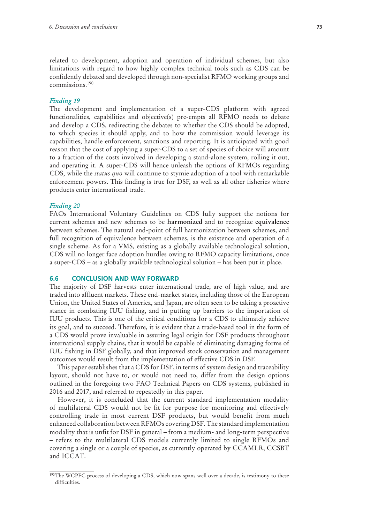related to development, adoption and operation of individual schemes, but also limitations with regard to how highly complex technical tools such as CDS can be confidently debated and developed through non-specialist RFMO working groups and commissions.190

# *Finding 19*

The development and implementation of a super-CDS platform with agreed functionalities, capabilities and objective(s) pre-empts all RFMO needs to debate and develop a CDS, redirecting the debates to whether the CDS should be adopted, to which species it should apply, and to how the commission would leverage its capabilities, handle enforcement, sanctions and reporting. It is anticipated with good reason that the cost of applying a super-CDS to a set of species of choice will amount to a fraction of the costs involved in developing a stand-alone system, rolling it out, and operating it. A super-CDS will hence unleash the options of RFMOs regarding CDS, while the *status quo* will continue to stymie adoption of a tool with remarkable enforcement powers. This finding is true for DSF, as well as all other fisheries where products enter international trade.

## *Finding 20*

FAOs International Voluntary Guidelines on CDS fully support the notions for current schemes and new schemes to be **harmonized** and to recognize **equivalence** between schemes. The natural end-point of full harmonization between schemes, and full recognition of equivalence between schemes, is the existence and operation of a single scheme. As for a VMS, existing as a globally available technological solution, CDS will no longer face adoption hurdles owing to RFMO capacity limitations, once a super-CDS – as a globally available technological solution – has been put in place.

# **6.6 Conclusion and way forward**

The majority of DSF harvests enter international trade, are of high value, and are traded into affluent markets. These end-market states, including those of the European Union, the United States of America, and Japan, are often seen to be taking a proactive stance in combating IUU fishing, and in putting up barriers to the importation of IUU products. This is one of the critical conditions for a CDS to ultimately achieve its goal, and to succeed. Therefore, it is evident that a trade-based tool in the form of a CDS would prove invaluable in assuring legal origin for DSF products throughout international supply chains, that it would be capable of eliminating damaging forms of IUU fishing in DSF globally, and that improved stock conservation and management outcomes would result from the implementation of effective CDS in DSF.

This paper establishes that a CDS for DSF, in terms of system design and traceability layout, should not have to, or would not need to, differ from the design options outlined in the foregoing two FAO Technical Papers on CDS systems, published in 2016 and 2017, and referred to repeatedly in this paper.

However, it is concluded that the current standard implementation modality of multilateral CDS would not be fit for purpose for monitoring and effectively controlling trade in most current DSF products, but would benefit from much enhanced collaboration between RFMOs covering DSF. The standard implementation modality that is unfit for DSF in general – from a medium- and long-term perspective – refers to the multilateral CDS models currently limited to single RFMOs and covering a single or a couple of species, as currently operated by CCAMLR, CCSBT and ICCAT.

<sup>&</sup>lt;sup>190</sup>The WCPFC process of developing a CDS, which now spans well over a decade, is testimony to these difficulties.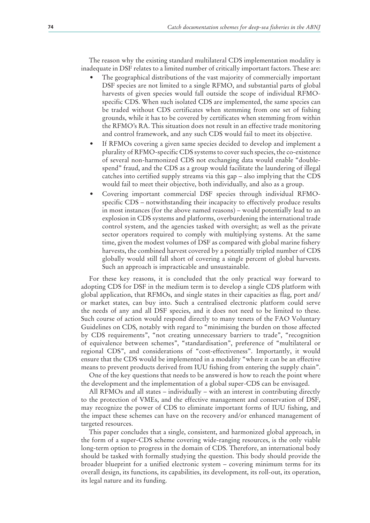The reason why the existing standard multilateral CDS implementation modality is inadequate in DSF relates to a limited number of critically important factors. These are:

- The geographical distributions of the vast majority of commercially important DSF species are not limited to a single RFMO, and substantial parts of global harvests of given species would fall outside the scope of individual RFMOspecific CDS. When such isolated CDS are implemented, the same species can be traded without CDS certificates when stemming from one set of fishing grounds, while it has to be covered by certificates when stemming from within the RFMO's RA. This situation does not result in an effective trade monitoring and control framework, and any such CDS would fail to meet its objective.
- If RFMOs covering a given same species decided to develop and implement a plurality of RFMO-specific CDS systems to cover such species, the co-existence of several non-harmonized CDS not exchanging data would enable "doublespend" fraud, and the CDS as a group would facilitate the laundering of illegal catches into certified supply streams via this gap – also implying that the CDS would fail to meet their objective, both individually, and also as a group.
- Covering important commercial DSF species through individual RFMOspecific CDS – notwithstanding their incapacity to effectively produce results in most instances (for the above named reasons) – would potentially lead to an explosion in CDS systems and platforms, overburdening the international trade control system, and the agencies tasked with oversight; as well as the private sector operators required to comply with multiplying systems. At the same time, given the modest volumes of DSF as compared with global marine fishery harvests, the combined harvest covered by a potentially tripled number of CDS globally would still fall short of covering a single percent of global harvests. Such an approach is impracticable and unsustainable.

For these key reasons, it is concluded that the only practical way forward to adopting CDS for DSF in the medium term is to develop a single CDS platform with global application, that RFMOs, and single states in their capacities as flag, port and/ or market states, can buy into. Such a centralised electronic platform could serve the needs of any and all DSF species, and it does not need to be limited to these. Such course of action would respond directly to many tenets of the FAO Voluntary Guidelines on CDS, notably with regard to "minimising the burden on those affected by CDS requirements", "not creating unnecessary barriers to trade", "recognition of equivalence between schemes", "standardisation", preference of "multilateral or regional CDS", and considerations of "cost-effectiveness". Importantly, it would ensure that the CDS would be implemented in a modality "where it can be an effective means to prevent products derived from IUU fishing from entering the supply chain".

One of the key questions that needs to be answered is how to reach the point where the development and the implementation of a global super-CDS can be envisaged.

All RFMOs and all states – individually – with an interest in contributing directly to the protection of VMEs, and the effective management and conservation of DSF, may recognize the power of CDS to eliminate important forms of IUU fishing, and the impact these schemes can have on the recovery and/or enhanced management of targeted resources.

This paper concludes that a single, consistent, and harmonized global approach, in the form of a super-CDS scheme covering wide-ranging resources, is the only viable long-term option to progress in the domain of CDS. Therefore, an international body should be tasked with formally studying the question. This body should provide the broader blueprint for a unified electronic system – covering minimum terms for its overall design, its functions, its capabilities, its development, its roll-out, its operation, its legal nature and its funding.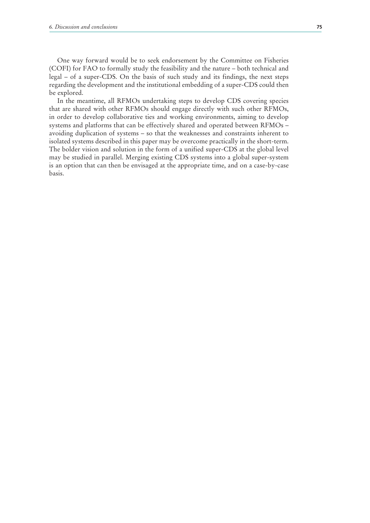One way forward would be to seek endorsement by the Committee on Fisheries (COFI) for FAO to formally study the feasibility and the nature – both technical and legal – of a super-CDS. On the basis of such study and its findings, the next steps regarding the development and the institutional embedding of a super-CDS could then be explored.

In the meantime, all RFMOs undertaking steps to develop CDS covering species that are shared with other RFMOs should engage directly with such other RFMOs, in order to develop collaborative ties and working environments, aiming to develop systems and platforms that can be effectively shared and operated between RFMOs – avoiding duplication of systems – so that the weaknesses and constraints inherent to isolated systems described in this paper may be overcome practically in the short-term. The bolder vision and solution in the form of a unified super-CDS at the global level may be studied in parallel. Merging existing CDS systems into a global super-system is an option that can then be envisaged at the appropriate time, and on a case-by-case basis.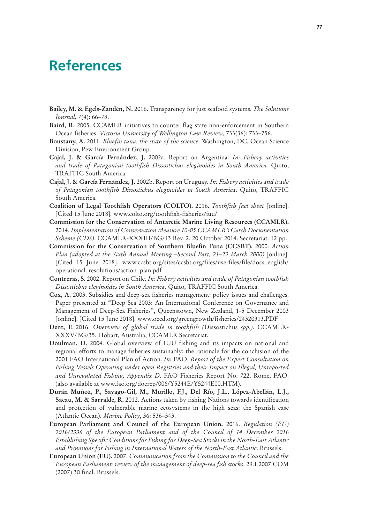# **References**

- **Bailey, M. & Egels-Zandén, N.** 2016. Transparency for just seafood systems. *The Solutions Journal*, 7(4): 66–73.
- **Baird, R.** 2005. CCAMLR initiatives to counter flag state non-enforcement in Southern Ocean fisheries. *Victoria University of Wellington Law Review*, 733(36): 733–756.
- **Boustany, A.** 2011. *Bluefin tuna: the state of the science*. Washington, DC, Ocean Science Division, Pew Environment Group.
- **Cajal, J. & García Fernández, J.** 2002a. Report on Argentina. *In: Fishery activities and trade of Patagonian toothfish Dissostichus eleginoides in South America*. Quito, TRAFFIC South America.
- **Cajal, J. & García Fernández, J.** 2002b. Report on Uruguay. *In: Fishery activities and trade of Patagonian toothfish Dissostichus eleginoides in South America*. Quito, TRAFFIC South America.
- **Coalition of Legal Toothfish Operators (COLTO).** 2016. *Toothfish fact sheet* [online]. [Cited 15 June 2018]. www.colto.org/toothfish-fisheries/iuu/
- **Commission for the Conservation of Antarctic Marine Living Resources (CCAMLR).**  2014. *Implementation of Conservation Measure 10-05 CCAMLR's Catch Documentation Scheme (CDS)*. CCAMLR-XXXIII/BG/13 Rev. 2. 20 October 2014. Secretariat. 12 pp.
- **Commission for the Conservation of Southern Bluefin Tuna (CCSBT).** 2000. *Action Plan (adopted at the Sixth Annual Meeting –Second Part; 21–23 March 2000)* [online]. [Cited 15 June 2018]. www.ccsbt.org/sites/ccsbt.org/files/userfiles/file/docs\_english/ operational\_resolutions/action\_plan.pdf
- **Contreras, S.** 2002. Report on Chile. *In: Fishery activities and trade of Patagonian toothfish Dissostichus eleginoides in South America*. Quito, TRAFFIC South America.
- **Cox, A.** 2003. Subsidies and deep-sea fisheries management: policy issues and challenges. Paper presented at "Deep Sea 2003: An International Conference on Governance and Management of Deep-Sea Fisheries", Queenstown, New Zealand, 1-5 December 2003 [online]. [Cited 15 June 2018]. www.oecd.org/greengrowth/fisheries/24320313.PDF
- **Dent, F.** 2016. *Overview of global trade in toothfish (*Dissostichus *spp.)*. CCAMLR-XXXV/BG/35. Hobart, Australia, CCAMLR Secretariat.
- **Doulman, D.** 2004. Global overview of IUU fishing and its impacts on national and regional efforts to manage fisheries sustainably: the rationale for the conclusion of the 2001 FAO International Plan of Action. *In*: FAO. *Report of the Expert Consultation on Fishing Vessels Operating under open Registries and their Impact on Illegal, Unreported and Unregulated Fishing, Appendix D*. FAO Fisheries Report No. 722. Rome, FAO. (also available at www.fao.org/docrep/006/Y5244E/Y5244E00.HTM).
- **Durán Muñoz, P., Sayago-Gil, M., Murillo, F.J., Del Río, J.L., López-Abellán, L.J., Sacau, M. & Sarralde, R.** 2012. Actions taken by fishing Nations towards identification and protection of vulnerable marine ecosystems in the high seas: the Spanish case (Atlantic Ocean). *Marine Policy*, 36: 536–543.
- **European Parliament and Council of the European Union.** 2016. *Regulation (EU) 2016/2336 of the European Parliament and of the Council of 14 December 2016 Establishing Specific Conditions for Fishing for Deep-Sea Stocks in the North-East Atlantic and Provisions for Fishing in International Waters of the North-East Atlantic*. Brussels.
- **European Union (EU).** 2007. *Communication from the Commission to the Council and the European Parliament: review of the management of deep-sea fish stocks*. 29.1.2007 COM (2007) 30 final. Brussels.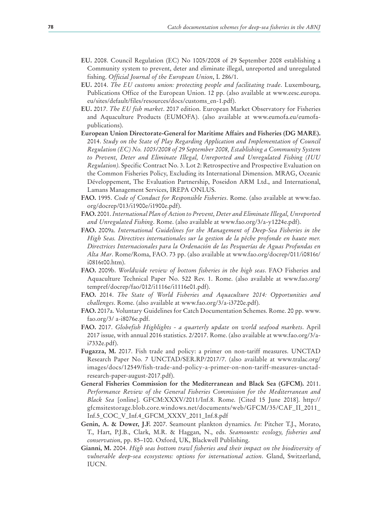- **EU.** 2008. Council Regulation (EC) No 1005/2008 of 29 September 2008 establishing a Community system to prevent, deter and eliminate illegal, unreported and unregulated fishing. *Official Journal of the European Union*, L 286/1.
- **EU.** 2014. *The EU customs union: protecting people and facilitating trade*. Luxembourg, Publications Office of the European Union. 12 pp. (also available at www.eesc.europa. eu/sites/default/files/resources/docs/customs\_en-1.pdf).
- **EU.** 2017. *The EU fish market*. 2017 edition. European Market Observatory for Fisheries and Aquaculture Products (EUMOFA). (also available at www.eumofa.eu/eumofapublications).
- **European Union Directorate-General for Maritime Affairs and Fisheries (DG MARE).**  2014. *Study on the State of Play Regarding Application and Implementation of Council Regulation (EC) No. 1005/2008 of 29 September 2008, Establishing a Community System to Prevent, Deter and Eliminate Illegal, Unreported and Unregulated Fishing (IUU Regulation)*. Specific Contract No. 3. Lot 2: Retrospective and Prospective Evaluation on the Common Fisheries Policy, Excluding its International Dimension. MRAG, Oceanic Développement, The Evaluation Partnership, Poseidon ARM Ltd., and International, Lamans Management Services, IREPA ONLUS.
- **FAO.** 1995. *Code of Conduct for Responsible Fisheries*. Rome. (also available at www.fao. org/docrep/013/i1900e/i1900e.pdf).
- **FAO.** 2001. *International Plan of Action to Prevent, Deter and Eliminate Illegal, Unreported and Unregulated Fishing*. Rome. (also available at www.fao.org/3/a-y1224e.pdf).
- **FAO.** 2009a. *International Guidelines for the Management of Deep-Sea Fisheries in the High Seas. Directives internationales sur la gestion de la pêche profonde en haute mer. Directrices Internacionales para la Ordenación de las Pesquerías de Aguas Profundas en Alta Mar*. Rome/Roma, FAO. 73 pp. (also available at www.fao.org/docrep/011/i0816t/ i0816t00.htm).
- **FAO.** 2009b. *Worldwide review of bottom fisheries in the high seas*. FAO Fisheries and Aquaculture Technical Paper No. 522 Rev. 1. Rome. (also available at www.fao.org/ tempref/docrep/fao/012/i1116e/i1116e01.pdf).
- **FAO.** 2014. *The State of World Fisheries and Aquaculture 2014: Opportunities and challenges*. Rome. (also available at www.fao.org/3/a-i3720e.pdf).
- **FAO.** 2017a. Voluntary Guidelines for Catch Documentation Schemes. Rome. 20 pp. www. fao.org/3/ a-i8076e.pdf.
- **FAO.** 2017. *Globefish Highlights a quarterly update on world seafood markets*. April 2017 issue, with annual 2016 statistics. 2/2017. Rome. (also available at www.fao.org/3/ai7332e.pdf).
- **Fugazza, M.** 2017. Fish trade and policy: a primer on non-tariff measures. UNCTAD Research Paper No. 7 UNCTAD/SER.RP/2017/7. (also available at www.tralac.org/ images/docs/12549/fish-trade-and-policy-a-primer-on-non-tariff-measures-unctadresearch-paper-august-2017.pdf).
- **General Fisheries Commission for the Mediterranean and Black Sea (GFCM).** 2011. *Performance Review of the General Fisheries Commission for the Mediterranean and Black Sea* [online]. GFCM:XXXV/2011/Inf.8. Rome. [Cited 15 June 2018]. http:// gfcmsitestorage.blob.core.windows.net/documents/web/GFCM/35/CAF\_II\_2011\_ Inf.5\_COC\_V\_Inf.4\_GFCM\_XXXV\_2011\_Inf.8.pdf
- **Genin, A. & Dower, J.F.** 2007. Seamount plankton dynamics. *In*: Pitcher T.J., Morato, T., Hart, P.J.B., Clark, M.R. & Haggan, N., eds. *Seamounts: ecology, fisheries and conservation*, pp. 85–100. Oxford, UK, Blackwell Publishing.
- **Gianni, M.** 2004. *High seas bottom trawl fisheries and their impact on the biodiversity of vulnerable deep-sea ecosystems: options for international action*. Gland, Switzerland, IUCN.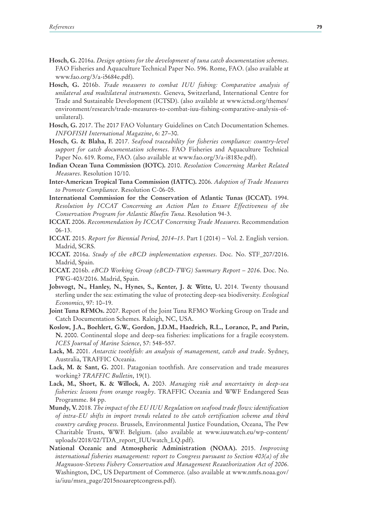- **Hosch, G.** 2016a. *Design options for the development of tuna catch documentation schemes*. FAO Fisheries and Aquaculture Technical Paper No. 596. Rome, FAO. (also available at www.fao.org/3/a-i5684e.pdf).
- **Hosch, G.** 2016b. *Trade measures to combat IUU fishing: Comparative analysis of unilateral and multilateral instruments*. Geneva, Switzerland, International Centre for Trade and Sustainable Development (ICTSD). (also available at www.ictsd.org/themes/ environment/research/trade-measures-to-combat-iuu-fishing-comparative-analysis-ofunilateral).
- **Hosch, G.** 2017. The 2017 FAO Voluntary Guidelines on Catch Documentation Schemes. *INFOFISH International Magazine*, 6: 27–30.
- **Hosch, G. & Blaha, F.** 2017. *Seafood traceability for fisheries compliance: country-level support for catch documentation schemes*. FAO Fisheries and Aquaculture Technical Paper No. 619. Rome, FAO. (also available at www.fao.org/3/a-i8183e.pdf).
- **Indian Ocean Tuna Commission (IOTC).** 2010. *Resolution Concerning Market Related Measures*. Resolution 10/10.
- **Inter-American Tropical Tuna Commission (IATTC).** 2006. *Adoption of Trade Measures to Promote Compliance*. Resolution C-06-05.
- **International Commission for the Conservation of Atlantic Tunas (ICCAT).** 1994. *Resolution by ICCAT Concerning an Action Plan to Ensure Effectiveness of the Conservation Program for Atlantic Bluefin Tuna*. Resolution 94-3.
- **ICCAT.** 2006. *Recommendation by ICCAT Concerning Trade Measures*. Recommendation 06-13.
- **ICCAT.** 2015. *Report for Biennial Period, 2014–15*. Part I (2014) Vol. 2. English version. Madrid, SCRS.
- **ICCAT.** 2016a. *Study of the eBCD implementation expenses*. Doc. No. STF\_207/2016. Madrid, Spain.
- **ICCAT.** 2016b. *eBCD Working Group (eBCD-TWG) Summary Report 2016*. Doc. No. PWG-403/2016. Madrid, Spain.
- **Jobsvogt, N., Hanley, N., Hynes, S., Kenter, J. & Witte, U.** 2014. Twenty thousand sterling under the sea: estimating the value of protecting deep-sea biodiversity. *Ecological Economics*, 97: 10–19.
- **Joint Tuna RFMOs.** 2007. Report of the Joint Tuna RFMO Working Group on Trade and Catch Documentation Schemes. Raleigh, NC, USA.
- **Koslow, J.A., Boehlert, G.W., Gordon, J.D.M., Haedrich, R.L., Lorance, P., and Parin, N.** 2000. Continental slope and deep-sea fisheries: implications for a fragile ecosystem. *ICES Journal of Marine Science*, 57: 548–557.
- **Lack, M.** 2001. *Antarctic toothfish: an analysis of management, catch and trade*. Sydney, Australia, TRAFFIC Oceania.
- **Lack, M. & Sant, G.** 2001. Patagonian toothfish. Are conservation and trade measures working? *TRAFFIC Bulletin*, 19(1).
- **Lack, M., Short, K. & Willock, A.** 2003. *Managing risk and uncertainty in deep-sea fisheries: lessons from orange roughy*. TRAFFIC Oceania and WWF Endangered Seas Programme. 84 pp.
- **Mundy, V.** 2018. *The impact of the EU IUU Regulation on seafood trade flows: identification of intra-EU shifts in import trends related to the catch certification scheme and third country carding process*. Brussels, Environmental Justice Foundation, Oceana, The Pew Charitable Trusts, WWF. Belgium. (also available at www.iuuwatch.eu/wp-content/ uploads/2018/02/TDA\_report\_IUUwatch\_LQ.pdf).
- **National Oceanic and Atmospheric Administration (NOAA).** 2015. *Improving international fisheries management: report to Congress pursuant to Section 403(a) of the Magnuson-Stevens Fishery Conservation and Management Reauthorization Act of 2006*. Washington, DC, US Department of Commerce. (also available at www.nmfs.noaa.gov/ ia/iuu/msra\_page/2015noaareptcongress.pdf).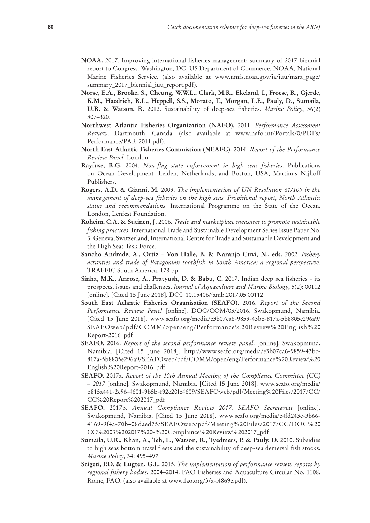- **NOAA.** 2017. Improving international fisheries management: summary of 2017 biennial report to Congress. Washington, DC, US Department of Commerce, NOAA, National Marine Fisheries Service. (also available at www.nmfs.noaa.gov/ia/iuu/msra\_page/ summary\_2017\_biennial\_iuu\_report.pdf).
- **Norse, E.A., Brooke, S., Cheung, W.W.L., Clark, M.R., Ekeland, I., Froese, R., Gjerde, K.M., Haedrich, R.L., Heppell, S.S., Morato, T., Morgan, L.E., Pauly, D., Sumaila, U.R. & Watson, R.** 2012. Sustainability of deep-sea fisheries. *Marine Policy*, 36(2) 307–320.
- **Northwest Atlantic Fisheries Organization (NAFO).** 2011. *Performance Assessment Review*. Dartmouth, Canada. (also available at www.nafo.int/Portals/0/PDFs/ Performance/PAR-2011.pdf).
- **North East Atlantic Fisheries Commission (NEAFC).** 2014. *Report of the Performance Review Panel*. London.
- **Rayfuse, R.G.** 2004. *Non-flag state enforcement in high seas fisheries*. Publications on Ocean Development. Leiden, Netherlands, and Boston, USA, Martinus Nijhoff Publishers.
- **Rogers, A.D. & Gianni, M.** 2009. *The implementation of UN Resolution 61/105 in the management of deep-sea fisheries on the high seas. Provisional report, North Atlantic: status and recommendations*. International Programme on the State of the Ocean. London, Lenfest Foundation.
- **Roheim, C.A. & Sutinen, J.** 2006. *Trade and marketplace measures to promote sustainable fishing practices*. International Trade and Sustainable Development Series Issue Paper No. 3. Geneva, Switzerland, International Centre for Trade and Sustainable Development and the High Seas Task Force.
- **Sancho Andrade, A., Ortiz Von Halle, B. & Naranjo Cuvi, N., eds.** 2002. *Fishery activities and trade of Patagonian toothfish in South America: a regional perspective*. TRAFFIC South America. 178 pp.
- **Sinha, M.K., Anrose, A., Pratyush, D. & Babu, C.** 2017. Indian deep sea fisheries its prospects, issues and challenges. *Journal of Aquaculture and Marine Biology*, 5(2): 00112 [online]. [Cited 15 June 2018]. DOI: 10.15406/jamb.2017.05.00112
- **South East Atlantic Fisheries Organisation (SEAFO).** 2016. *Report of the Second Performance Review Panel* [online]. DOC/COM/03/2016. Swakopmund, Namibia. [Cited 15 June 2018]. www.seafo.org/media/e3b07ca6-9859-43bc-817a-5b8805e296a9/ SEAFOweb/pdf/COMM/open/eng/Performance%20Review%20English%20 Report-2016\_pdf
- **SEAFO.** 2016. *Report of the second performance review panel*. [online]. Swakopmund, Namibia. [Cited 15 June 2018]. http://www.seafo.org/media/e3b07ca6-9859-43bc-817a-5b8805e296a9/SEAFOweb/pdf/COMM/open/eng/Performance%20Review%20 English%20Report-2016\_pdf
- **SEAFO.** 2017a. *Report of the 10th Annual Meeting of the Compliance Committee (CC) – 2017* [online]. Swakopmund, Namibia. [Cited 15 June 2018]. www.seafo.org/media/ b815a441-2c96-4601-9b5b-f92c20fc4609/SEAFOweb/pdf/Meeting%20Files/2017/CC/ CC%20Report%202017\_pdf
- **SEAFO.** 2017b. *Annual Compliance Review 2017. SEAFO Secretariat* [online]. Swakopmund, Namibia. [Cited 15 June 2018]. www.seafo.org/media/e4fd243c-3b66- 4169-9f4a-70b408daed75/SEAFOweb/pdf/Meeting%20Files/2017/CC/DOC%20 CC%2003%202017%20-%20Complaince%20Review%202017\_pdf
- **Sumaila, U.R., Khan, A., Teh, L., Watson, R., Tyedmers, P. & Pauly, D.** 2010. Subsidies to high seas bottom trawl fleets and the sustainability of deep-sea demersal fish stocks. *Marine Policy*, 34: 495–497.
- **Szigeti, P.D. & Lugten, G.L.** 2015. *The implementation of performance review reports by regional fishery bodies*, 2004–2014. FAO Fisheries and Aquaculture Circular No. 1108. Rome, FAO. (also available at www.fao.org/3/a-i4869e.pdf).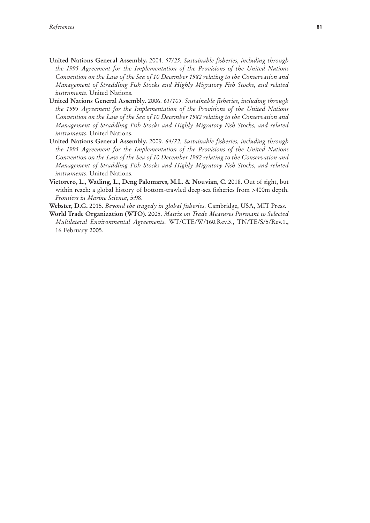- **United Nations General Assembly.** 2004. *57/25. Sustainable fisheries, including through the 1995 Agreement for the Implementation of the Provisions of the United Nations Convention on the Law of the Sea of 10 December 1982 relating to the Conservation and Management of Straddling Fish Stocks and Highly Migratory Fish Stocks, and related instruments*. United Nations.
- **United Nations General Assembly.** 2006. *61/105. Sustainable fisheries, including through the 1995 Agreement for the Implementation of the Provisions of the United Nations Convention on the Law of the Sea of 10 December 1982 relating to the Conservation and Management of Straddling Fish Stocks and Highly Migratory Fish Stocks, and related instruments*. United Nations.
- **United Nations General Assembly.** 2009. *64/72. Sustainable fisheries, including through the 1995 Agreement for the Implementation of the Provisions of the United Nations Convention on the Law of the Sea of 10 December 1982 relating to the Conservation and Management of Straddling Fish Stocks and Highly Migratory Fish Stocks, and related instruments*. United Nations.
- Victorero, L., Watling, L., Deng Palomares, M.L. & Nouvian, C. 2018. Out of sight, but within reach: a global history of bottom-trawled deep-sea fisheries from >400m depth. *Frontiers in Marine Science*, 5:98.
- **Webster, D.G.** 2015. *Beyond the tragedy in global fisheries*. Cambridge, USA, MIT Press.
- **World Trade Organization (WTO).** 2005. *Matrix on Trade Measures Pursuant to Selected Multilateral Environmental Agreements*. WT/CTE/W/160.Rev.3., TN/TE/S/5/Rev.1., 16 February 2005.